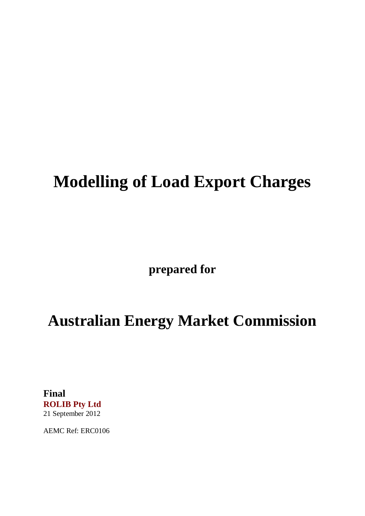# **Modelling of Load Export Charges**

**prepared for**

# **Australian Energy Market Commission**

**Final ROLIB Pty Ltd** 21 September 2012

AEMC Ref: ERC0106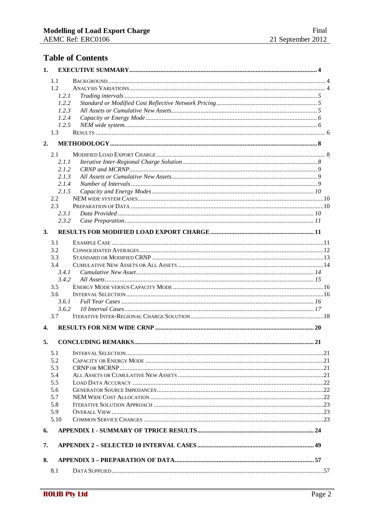## **Table of Contents**

| 1. |                |  |
|----|----------------|--|
|    | 1.1            |  |
|    | 1.2            |  |
|    | 1.2.1          |  |
|    | 1.2.2          |  |
|    | 1.2.3          |  |
|    | 1.2.4          |  |
|    | 1.2.5          |  |
|    | 1.3            |  |
| 2. |                |  |
|    | 2.1            |  |
|    | 2.1.1          |  |
|    | 2.1.2          |  |
|    | 2.1.3          |  |
|    | 2.1.4          |  |
|    | 2.1.5          |  |
|    | 2.2            |  |
|    | 2.3            |  |
|    | 2.3.1          |  |
|    | 2.3.2          |  |
| 3. |                |  |
|    |                |  |
|    | 3.1            |  |
|    | 3.2            |  |
|    | 3.3            |  |
|    | 3.4            |  |
|    | 3.4.1<br>3.4.2 |  |
|    | 3.5            |  |
|    | 3.6            |  |
|    | 3.6.1          |  |
|    | 3.6.2          |  |
|    | 3.7            |  |
|    |                |  |
| 4. |                |  |
| 5. |                |  |
|    | 5.1            |  |
|    | 5.2            |  |
|    | 5.3            |  |
|    | 5.4            |  |
|    | 5.5            |  |
|    | 5.6            |  |
|    | 5.7            |  |
|    | 5.8            |  |
|    | 5.9            |  |
|    | 5.10           |  |
| 6. |                |  |
|    |                |  |
| 7. |                |  |
| 8. |                |  |
|    | 8.1            |  |
|    |                |  |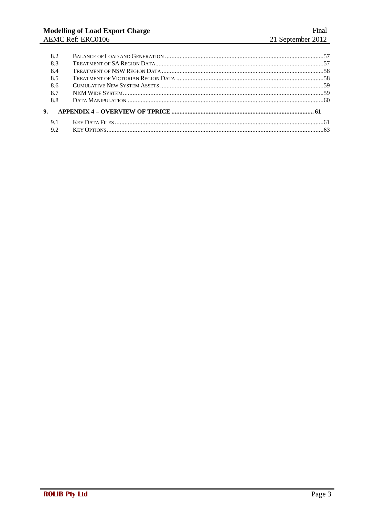| 8.2 |  |
|-----|--|
| 8.3 |  |
| 8.4 |  |
| 8.5 |  |
| 8.6 |  |
| 8.7 |  |
| 8.8 |  |
| 9.  |  |
| 9.1 |  |
| 9.2 |  |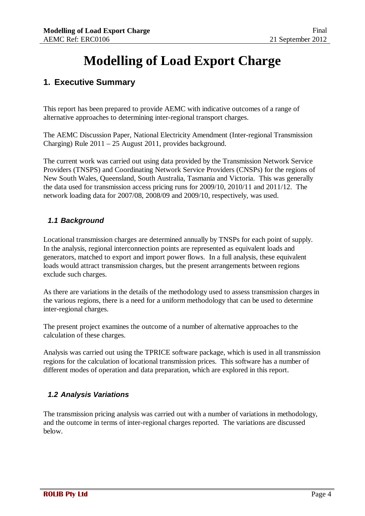## **Modelling of Load Export Charge**

## <span id="page-3-0"></span>**1. Executive Summary**

This report has been prepared to provide AEMC with indicative outcomes of a range of alternative approaches to determining inter-regional transport charges.

The AEMC Discussion Paper, National Electricity Amendment (Inter-regional Transmission Charging) Rule 2011 – 25 August 2011, provides background.

The current work was carried out using data provided by the Transmission Network Service Providers (TNSPS) and Coordinating Network Service Providers (CNSPs) for the regions of New South Wales, Queensland, South Australia, Tasmania and Victoria. This was generally the data used for transmission access pricing runs for 2009/10, 2010/11 and 2011/12. The network loading data for 2007/08, 2008/09 and 2009/10, respectively, was used.

## <span id="page-3-1"></span>*1.1 Background*

Locational transmission charges are determined annually by TNSPs for each point of supply. In the analysis, regional interconnection points are represented as equivalent loads and generators, matched to export and import power flows. In a full analysis, these equivalent loads would attract transmission charges, but the present arrangements between regions exclude such charges.

As there are variations in the details of the methodology used to assess transmission charges in the various regions, there is a need for a uniform methodology that can be used to determine inter-regional charges.

The present project examines the outcome of a number of alternative approaches to the calculation of these charges.

Analysis was carried out using the TPRICE software package, which is used in all transmission regions for the calculation of locational transmission prices. This software has a number of different modes of operation and data preparation, which are explored in this report.

## <span id="page-3-2"></span>*1.2 Analysis Variations*

The transmission pricing analysis was carried out with a number of variations in methodology, and the outcome in terms of inter-regional charges reported. The variations are discussed below.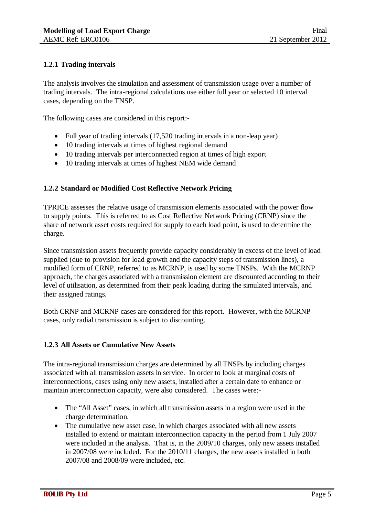#### <span id="page-4-0"></span>**1.2.1 Trading intervals**

The analysis involves the simulation and assessment of transmission usage over a number of trading intervals. The intra-regional calculations use either full year or selected 10 interval cases, depending on the TNSP.

The following cases are considered in this report:-

- Full year of trading intervals (17,520 trading intervals in a non-leap year)
- 10 trading intervals at times of highest regional demand
- 10 trading intervals per interconnected region at times of high export
- 10 trading intervals at times of highest NEM wide demand

#### <span id="page-4-1"></span>**1.2.2 Standard or Modified Cost Reflective Network Pricing**

TPRICE assesses the relative usage of transmission elements associated with the power flow to supply points. This is referred to as Cost Reflective Network Pricing (CRNP) since the share of network asset costs required for supply to each load point, is used to determine the charge.

Since transmission assets frequently provide capacity considerably in excess of the level of load supplied (due to provision for load growth and the capacity steps of transmission lines), a modified form of CRNP, referred to as MCRNP, is used by some TNSPs. With the MCRNP approach, the charges associated with a transmission element are discounted according to their level of utilisation, as determined from their peak loading during the simulated intervals, and their assigned ratings.

Both CRNP and MCRNP cases are considered for this report. However, with the MCRNP cases, only radial transmission is subject to discounting.

#### <span id="page-4-2"></span>**1.2.3 All Assets or Cumulative New Assets**

The intra-regional transmission charges are determined by all TNSPs by including charges associated with all transmission assets in service. In order to look at marginal costs of interconnections, cases using only new assets, installed after a certain date to enhance or maintain interconnection capacity, were also considered. The cases were:-

- The "All Asset" cases, in which all transmission assets in a region were used in the charge determination.
- The cumulative new asset case, in which charges associated with all new assets installed to extend or maintain interconnection capacity in the period from 1 July 2007 were included in the analysis. That is, in the 2009/10 charges, only new assets installed in 2007/08 were included. For the 2010/11 charges, the new assets installed in both 2007/08 and 2008/09 were included, etc.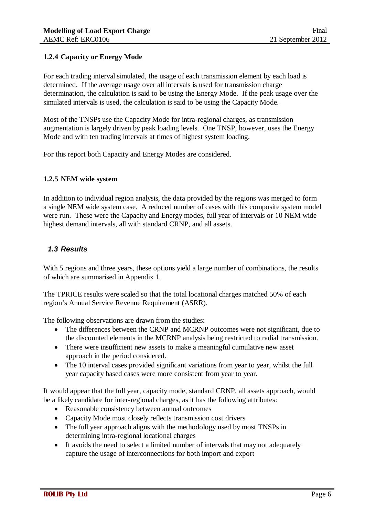#### <span id="page-5-0"></span>**1.2.4 Capacity or Energy Mode**

For each trading interval simulated, the usage of each transmission element by each load is determined. If the average usage over all intervals is used for transmission charge determination, the calculation is said to be using the Energy Mode. If the peak usage over the simulated intervals is used, the calculation is said to be using the Capacity Mode.

Most of the TNSPs use the Capacity Mode for intra-regional charges, as transmission augmentation is largely driven by peak loading levels. One TNSP, however, uses the Energy Mode and with ten trading intervals at times of highest system loading.

For this report both Capacity and Energy Modes are considered.

#### <span id="page-5-1"></span>**1.2.5 NEM wide system**

In addition to individual region analysis, the data provided by the regions was merged to form a single NEM wide system case. A reduced number of cases with this composite system model were run. These were the Capacity and Energy modes, full year of intervals or 10 NEM wide highest demand intervals, all with standard CRNP, and all assets.

#### <span id="page-5-2"></span>*1.3 Results*

With 5 regions and three years, these options yield a large number of combinations, the results of which are summarised in Appendix 1.

The TPRICE results were scaled so that the total locational charges matched 50% of each region's Annual Service Revenue Requirement (ASRR).

The following observations are drawn from the studies:

- The differences between the CRNP and MCRNP outcomes were not significant, due to the discounted elements in the MCRNP analysis being restricted to radial transmission.
- There were insufficient new assets to make a meaningful cumulative new asset approach in the period considered.
- The 10 interval cases provided significant variations from year to year, whilst the full year capacity based cases were more consistent from year to year.

It would appear that the full year, capacity mode, standard CRNP, all assets approach, would be a likely candidate for inter-regional charges, as it has the following attributes:

- Reasonable consistency between annual outcomes
- Capacity Mode most closely reflects transmission cost drivers
- The full year approach aligns with the methodology used by most TNSPs in determining intra-regional locational charges
- It avoids the need to select a limited number of intervals that may not adequately capture the usage of interconnections for both import and export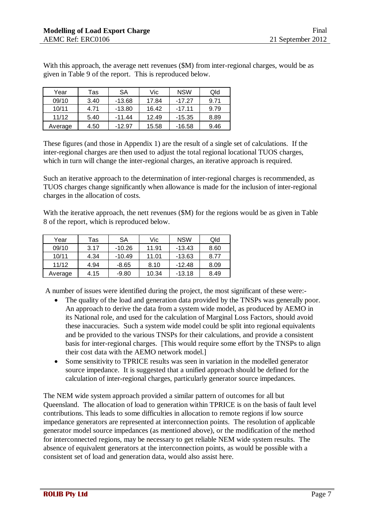With this approach, the average nett revenues (\$M) from inter-regional charges, would be as given in Table 9 of the report. This is reproduced below.

| Year    | Tas  | SA       | Vic   | <b>NSW</b> | Qld  |
|---------|------|----------|-------|------------|------|
| 09/10   | 3.40 | -13.68   | 17.84 | $-17.27$   | 9.71 |
| 10/11   | 4.71 | $-13.80$ | 16.42 | $-17.11$   | 9.79 |
| 11/12   | 5.40 | $-11.44$ | 12.49 | -15.35     | 8.89 |
| Average | 4.50 | $-12.97$ | 15.58 | -16.58     | 9.46 |

These figures (and those in Appendix 1) are the result of a single set of calculations. If the inter-regional charges are then used to adjust the total regional locational TUOS charges, which in turn will change the inter-regional charges, an iterative approach is required.

Such an iterative approach to the determination of inter-regional charges is recommended, as TUOS charges change significantly when allowance is made for the inclusion of inter-regional charges in the allocation of costs.

With the iterative approach, the nett revenues (\$M) for the regions would be as given in Table 8 of the report, which is reproduced below.

| Year    | Tas  | SA       | Vic   | <b>NSW</b> | Qld  |
|---------|------|----------|-------|------------|------|
| 09/10   | 3.17 | -10.26   | 11.91 | -13.43     | 8.60 |
| 10/11   | 4.34 | $-10.49$ | 11.01 | -13.63     | 8.77 |
| 11/12   | 4.94 | $-8.65$  | 8.10  | -12.48     | 8.09 |
| Average | 4.15 | -9.80    | 10.34 | $-13.18$   | 8.49 |

A number of issues were identified during the project, the most significant of these were:-

- The quality of the load and generation data provided by the TNSPs was generally poor. An approach to derive the data from a system wide model, as produced by AEMO in its National role, and used for the calculation of Marginal Loss Factors, should avoid these inaccuracies. Such a system wide model could be split into regional equivalents and be provided to the various TNSPs for their calculations, and provide a consistent basis for inter-regional charges. [This would require some effort by the TNSPs to align their cost data with the AEMO network model.]
- Some sensitivity to TPRICE results was seen in variation in the modelled generator source impedance. It is suggested that a unified approach should be defined for the calculation of inter-regional charges, particularly generator source impedances.

The NEM wide system approach provided a similar pattern of outcomes for all but Queensland. The allocation of load to generation within TPRICE is on the basis of fault level contributions. This leads to some difficulties in allocation to remote regions if low source impedance generators are represented at interconnection points. The resolution of applicable generator model source impedances (as mentioned above), or the modification of the method for interconnected regions, may be necessary to get reliable NEM wide system results. The absence of equivalent generators at the interconnection points, as would be possible with a consistent set of load and generation data, would also assist here.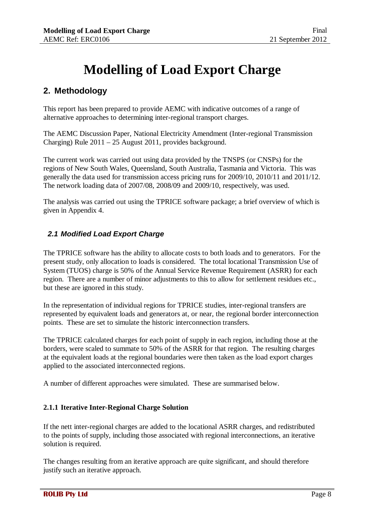## **Modelling of Load Export Charge**

## <span id="page-7-0"></span>**2. Methodology**

This report has been prepared to provide AEMC with indicative outcomes of a range of alternative approaches to determining inter-regional transport charges.

The AEMC Discussion Paper, National Electricity Amendment (Inter-regional Transmission Charging) Rule 2011 – 25 August 2011, provides background.

The current work was carried out using data provided by the TNSPS (or CNSPs) for the regions of New South Wales, Queensland, South Australia, Tasmania and Victoria. This was generally the data used for transmission access pricing runs for 2009/10, 2010/11 and 2011/12. The network loading data of 2007/08, 2008/09 and 2009/10, respectively, was used.

The analysis was carried out using the TPRICE software package; a brief overview of which is given in Appendix 4.

## <span id="page-7-1"></span>*2.1 Modified Load Export Charge*

The TPRICE software has the ability to allocate costs to both loads and to generators. For the present study, only allocation to loads is considered. The total locational Transmission Use of System (TUOS) charge is 50% of the Annual Service Revenue Requirement (ASRR) for each region. There are a number of minor adjustments to this to allow for settlement residues etc., but these are ignored in this study.

In the representation of individual regions for TPRICE studies, inter-regional transfers are represented by equivalent loads and generators at, or near, the regional border interconnection points. These are set to simulate the historic interconnection transfers.

The TPRICE calculated charges for each point of supply in each region, including those at the borders, were scaled to summate to 50% of the ASRR for that region. The resulting charges at the equivalent loads at the regional boundaries were then taken as the load export charges applied to the associated interconnected regions.

A number of different approaches were simulated. These are summarised below.

#### <span id="page-7-2"></span>**2.1.1 Iterative Inter-Regional Charge Solution**

If the nett inter-regional charges are added to the locational ASRR charges, and redistributed to the points of supply, including those associated with regional interconnections, an iterative solution is required.

The changes resulting from an iterative approach are quite significant, and should therefore justify such an iterative approach.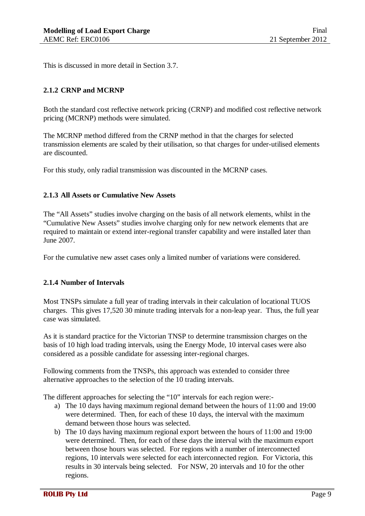This is discussed in more detail in Section 3.7.

#### <span id="page-8-0"></span>**2.1.2 CRNP and MCRNP**

Both the standard cost reflective network pricing (CRNP) and modified cost reflective network pricing (MCRNP) methods were simulated.

The MCRNP method differed from the CRNP method in that the charges for selected transmission elements are scaled by their utilisation, so that charges for under-utilised elements are discounted.

For this study, only radial transmission was discounted in the MCRNP cases.

#### <span id="page-8-1"></span>**2.1.3 All Assets or Cumulative New Assets**

The "All Assets" studies involve charging on the basis of all network elements, whilst in the "Cumulative New Assets" studies involve charging only for new network elements that are required to maintain or extend inter-regional transfer capability and were installed later than June 2007.

For the cumulative new asset cases only a limited number of variations were considered.

#### <span id="page-8-2"></span>**2.1.4 Number of Intervals**

Most TNSPs simulate a full year of trading intervals in their calculation of locational TUOS charges. This gives 17,520 30 minute trading intervals for a non-leap year. Thus, the full year case was simulated.

As it is standard practice for the Victorian TNSP to determine transmission charges on the basis of 10 high load trading intervals, using the Energy Mode, 10 interval cases were also considered as a possible candidate for assessing inter-regional charges.

Following comments from the TNSPs, this approach was extended to consider three alternative approaches to the selection of the 10 trading intervals.

The different approaches for selecting the "10" intervals for each region were:-

- a) The 10 days having maximum regional demand between the hours of 11:00 and 19:00 were determined. Then, for each of these 10 days, the interval with the maximum demand between those hours was selected.
- b) The 10 days having maximum regional export between the hours of 11:00 and 19:00 were determined. Then, for each of these days the interval with the maximum export between those hours was selected. For regions with a number of interconnected regions, 10 intervals were selected for each interconnected region. For Victoria, this results in 30 intervals being selected. For NSW, 20 intervals and 10 for the other regions.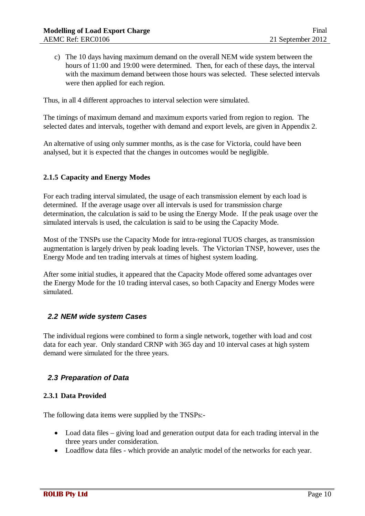c) The 10 days having maximum demand on the overall NEM wide system between the hours of 11:00 and 19:00 were determined. Then, for each of these days, the interval with the maximum demand between those hours was selected. These selected intervals were then applied for each region.

Thus, in all 4 different approaches to interval selection were simulated.

The timings of maximum demand and maximum exports varied from region to region. The selected dates and intervals, together with demand and export levels, are given in Appendix 2.

An alternative of using only summer months, as is the case for Victoria, could have been analysed, but it is expected that the changes in outcomes would be negligible.

#### <span id="page-9-0"></span>**2.1.5 Capacity and Energy Modes**

For each trading interval simulated, the usage of each transmission element by each load is determined. If the average usage over all intervals is used for transmission charge determination, the calculation is said to be using the Energy Mode. If the peak usage over the simulated intervals is used, the calculation is said to be using the Capacity Mode.

Most of the TNSPs use the Capacity Mode for intra-regional TUOS charges, as transmission augmentation is largely driven by peak loading levels. The Victorian TNSP, however, uses the Energy Mode and ten trading intervals at times of highest system loading.

After some initial studies, it appeared that the Capacity Mode offered some advantages over the Energy Mode for the 10 trading interval cases, so both Capacity and Energy Modes were simulated.

#### <span id="page-9-1"></span>*2.2 NEM wide system Cases*

The individual regions were combined to form a single network, together with load and cost data for each year. Only standard CRNP with 365 day and 10 interval cases at high system demand were simulated for the three years.

#### <span id="page-9-2"></span>*2.3 Preparation of Data*

#### <span id="page-9-3"></span>**2.3.1 Data Provided**

The following data items were supplied by the TNSPs:-

- Load data files giving load and generation output data for each trading interval in the three years under consideration.
- Loadflow data files which provide an analytic model of the networks for each year.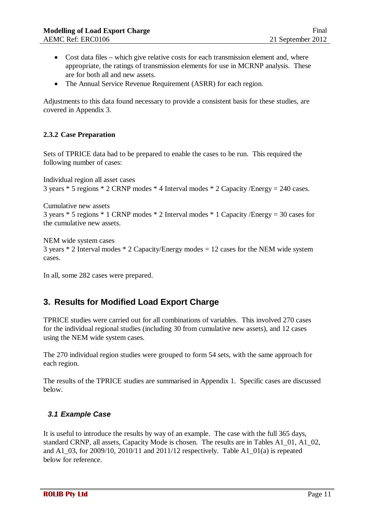- Cost data files which give relative costs for each transmission element and, where appropriate, the ratings of transmission elements for use in MCRNP analysis. These are for both all and new assets.
- The Annual Service Revenue Requirement (ASRR) for each region.

Adjustments to this data found necessary to provide a consistent basis for these studies, are covered in Appendix 3.

#### <span id="page-10-0"></span>**2.3.2 Case Preparation**

Sets of TPRICE data had to be prepared to enable the cases to be run. This required the following number of cases:

Individual region all asset cases 3 years \* 5 regions \* 2 CRNP modes \* 4 Interval modes \* 2 Capacity /Energy = 240 cases.

Cumulative new assets 3 years \* 5 regions \* 1 CRNP modes \* 2 Interval modes \* 1 Capacity /Energy = 30 cases for the cumulative new assets.

NEM wide system cases 3 years \* 2 Interval modes \* 2 Capacity/Energy modes = 12 cases for the NEM wide system cases.

In all, some 282 cases were prepared.

## <span id="page-10-1"></span>**3. Results for Modified Load Export Charge**

TPRICE studies were carried out for all combinations of variables. This involved 270 cases for the individual regional studies (including 30 from cumulative new assets), and 12 cases using the NEM wide system cases.

The 270 individual region studies were grouped to form 54 sets, with the same approach for each region.

The results of the TPRICE studies are summarised in Appendix 1. Specific cases are discussed below.

#### <span id="page-10-2"></span>*3.1 Example Case*

It is useful to introduce the results by way of an example. The case with the full 365 days, standard CRNP, all assets, Capacity Mode is chosen. The results are in Tables A1\_01, A1\_02, and A1\_03, for 2009/10, 2010/11 and 2011/12 respectively. Table A1\_01(a) is repeated below for reference.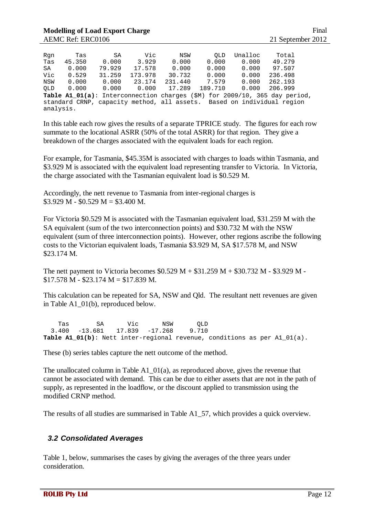| Rqn       | Tas    | SA     | Vic     | NSW     | <b>OLD</b>                                                             | Unalloc | Total                                                                      |
|-----------|--------|--------|---------|---------|------------------------------------------------------------------------|---------|----------------------------------------------------------------------------|
| Tas       | 45.350 | 0.000  | 3.929   | 0.000   | 0.000                                                                  | 0.000   | 49.279                                                                     |
| SA        | 0.000  | 79.929 | 17.578  | 0.000   | 0.000                                                                  | 0.000   | 97.507                                                                     |
| Vic       | 0.529  | 31.259 | 173.978 | 30.732  | 0.000                                                                  | 0.000   | 236.498                                                                    |
| NSW       | 0.000  | 0.000  | 23.174  | 231.440 | 7.579                                                                  | 0.000   | 262.193                                                                    |
| OLD       | 0.000  | 0.000  | 0.000   | 17.289  | 189.710                                                                | 0.000   | 206.999                                                                    |
|           |        |        |         |         |                                                                        |         | Table A1_01(a): Interconnection charges (\$M) for 2009/10, 365 day period, |
| analysis. |        |        |         |         | standard CRNP, capacity method, all assets. Based on individual region |         |                                                                            |

In this table each row gives the results of a separate TPRICE study. The figures for each row summate to the locational ASRR (50% of the total ASRR) for that region. They give a breakdown of the charges associated with the equivalent loads for each region.

For example, for Tasmania, \$45.35M is associated with charges to loads within Tasmania, and \$3.929 M is associated with the equivalent load representing transfer to Victoria. In Victoria, the charge associated with the Tasmanian equivalent load is \$0.529 M.

Accordingly, the nett revenue to Tasmania from inter-regional charges is  $$3.929 \text{ M} - $0.529 \text{ M} = $3.400 \text{ M}.$ 

For Victoria \$0.529 M is associated with the Tasmanian equivalent load, \$31.259 M with the SA equivalent (sum of the two interconnection points) and \$30.732 M with the NSW equivalent (sum of three interconnection points). However, other regions ascribe the following costs to the Victorian equivalent loads, Tasmania \$3.929 M, SA \$17.578 M, and NSW \$23.174 M.

The nett payment to Victoria becomes \$0.529 M + \$31.259 M + \$30.732 M - \$3.929 M -  $$17.578 \text{ M} - $23.174 \text{ M} = $17.839 \text{ M}.$ 

This calculation can be repeated for SA, NSW and Qld. The resultant nett revenues are given in Table A1\_01(b), reproduced below.

Tas SA Vic NSW QLD<br>3.400 -13.681 17.839 -17.268 9.710 17.839 -17.268 Table A1  $01(b)$ : Nett inter-regional revenue, conditions as per A1  $01(a)$ .

These (b) series tables capture the nett outcome of the method.

The unallocated column in Table A1\_01(a), as reproduced above, gives the revenue that cannot be associated with demand. This can be due to either assets that are not in the path of supply, as represented in the loadflow, or the discount applied to transmission using the modified CRNP method.

The results of all studies are summarised in Table A1\_57, which provides a quick overview.

#### <span id="page-11-0"></span>*3.2 Consolidated Averages*

Table 1, below, summarises the cases by giving the averages of the three years under consideration.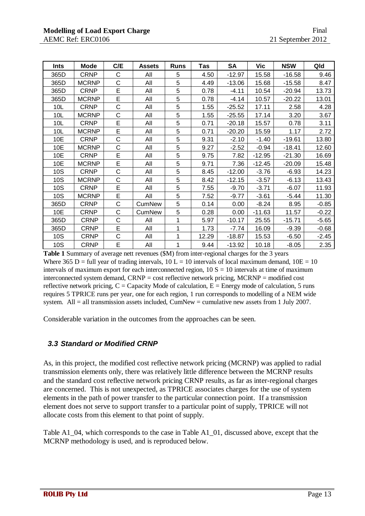| <b>Ints</b>     | <b>Mode</b>  | C/E | Assets | <b>Runs</b> | Tas   | SA       | Vic      | <b>NSW</b> | Qld     |
|-----------------|--------------|-----|--------|-------------|-------|----------|----------|------------|---------|
| 365D            | <b>CRNP</b>  | С   | All    | 5           | 4.50  | $-12.97$ | 15.58    | $-16.58$   | 9.46    |
| 365D            | <b>MCRNP</b> | C   | All    | 5           | 4.49  | $-13.06$ | 15.68    | $-15.58$   | 8.47    |
| 365D            | <b>CRNP</b>  | E   | All    | 5           | 0.78  | $-4.11$  | 10.54    | $-20.94$   | 13.73   |
| 365D            | <b>MCRNP</b> | E   | All    | 5           | 0.78  | $-4.14$  | 10.57    | $-20.22$   | 13.01   |
| 10L             | <b>CRNP</b>  | C   | All    | 5           | 1.55  | $-25.52$ | 17.11    | 2.58       | 4.28    |
| 10L             | <b>MCRNP</b> | C   | All    | 5           | 1.55  | $-25.55$ | 17.14    | 3.20       | 3.67    |
| 10 <sub>L</sub> | <b>CRNP</b>  | E   | All    | 5           | 0.71  | $-20.18$ | 15.57    | 0.78       | 3.11    |
| 10L             | <b>MCRNP</b> | E   | All    | 5           | 0.71  | $-20.20$ | 15.59    | 1.17       | 2.72    |
| 10E             | <b>CRNP</b>  | C   | All    | 5           | 9.31  | $-2.10$  | $-1.40$  | $-19.61$   | 13.80   |
| 10E             | <b>MCRNP</b> | C   | All    | 5           | 9.27  | $-2.52$  | $-0.94$  | $-18.41$   | 12.60   |
| 10E             | <b>CRNP</b>  | E   | All    | 5           | 9.75  | 7.82     | $-12.95$ | $-21.30$   | 16.69   |
| 10E             | <b>MCRNP</b> | E   | All    | 5           | 9.71  | 7.36     | $-12.45$ | $-20.09$   | 15.48   |
| 10S             | <b>CRNP</b>  | Ċ   | All    | 5           | 8.45  | $-12.00$ | $-3.76$  | $-6.93$    | 14.23   |
| 10S             | <b>MCRNP</b> | C   | All    | 5           | 8.42  | $-12.15$ | $-3.57$  | $-6.13$    | 13.43   |
| 10S             | <b>CRNP</b>  | E   | All    | 5           | 7.55  | $-9.70$  | $-3.71$  | $-6.07$    | 11.93   |
| 10S             | <b>MCRNP</b> | E   | All    | 5           | 7.52  | $-9.77$  | $-3.61$  | $-5.44$    | 11.30   |
| 365D            | <b>CRNP</b>  | C   | CumNew | 5           | 0.14  | 0.00     | $-8.24$  | 8.95       | $-0.85$ |
| 10E             | <b>CRNP</b>  | C   | CumNew | 5           | 0.28  | 0.00     | $-11.63$ | 11.57      | $-0.22$ |
| 365D            | <b>CRNP</b>  | C   | All    | 1           | 5.97  | -10.17   | 25.55    | $-15.71$   | $-5.65$ |
| 365D            | <b>CRNP</b>  | E   | All    | 1           | 1.73  | $-7.74$  | 16.09    | $-9.39$    | $-0.68$ |
| 10S             | <b>CRNP</b>  | C   | All    | 1           | 12.29 | -18.87   | 15.53    | $-6.50$    | $-2.45$ |
| 10S             | <b>CRNP</b>  | E   | All    | 1           | 9.44  | -13.92   | 10.18    | -8.05      | 2.35    |

**Table 1** Summary of average nett revenues (\$M) from inter-regional charges for the 3 years Where 365 D = full year of trading intervals,  $10 L = 10$  intervals of local maximum demand,  $10E = 10$ intervals of maximum export for each interconnected region,  $10 S = 10$  intervals at time of maximum interconnected system demand, CRNP = cost reflective network pricing, MCRNP = modified cost reflective network pricing,  $C =$  Capacity Mode of calculation,  $E =$  Energy mode of calculation, 5 runs requires 5 TPRICE runs per year, one for each region, 1 run corresponds to modelling of a NEM wide system. All = all transmission assets included,  $CumNew = cumulative$  new assets from 1 July 2007.

Considerable variation in the outcomes from the approaches can be seen.

#### <span id="page-12-0"></span>*3.3 Standard or Modified CRNP*

As, in this project, the modified cost reflective network pricing (MCRNP) was applied to radial transmission elements only, there was relatively little difference between the MCRNP results and the standard cost reflective network pricing CRNP results, as far as inter-regional charges are concerned. This is not unexpected, as TPRICE associates charges for the use of system elements in the path of power transfer to the particular connection point. If a transmission element does not serve to support transfer to a particular point of supply, TPRICE will not allocate costs from this element to that point of supply.

Table A1\_04, which corresponds to the case in Table A1\_01, discussed above, except that the MCRNP methodology is used, and is reproduced below.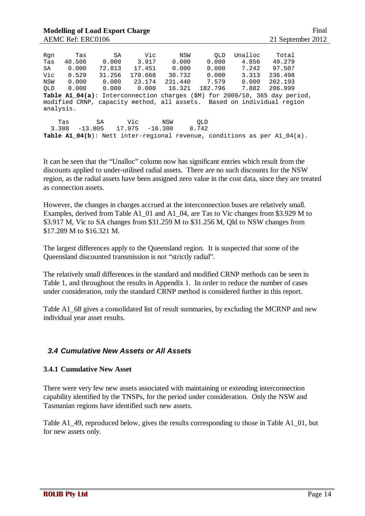| Rqn<br>Tas | Tas<br>40.506 | SA<br>0.000 | Vic<br>3.917 | NSW<br>0.000 | <b>OLD</b><br>0.000 | Unalloc<br>4.856 | Total<br>49.279                                                                           |
|------------|---------------|-------------|--------------|--------------|---------------------|------------------|-------------------------------------------------------------------------------------------|
| SA         | 0.000         | 72.813      | 17.451       | 0.000        | 0.000               | 7.242            | 97.507                                                                                    |
| Vic        | 0.529         | 31.256      | 170.668      | 30.732       | 0.000               | 3.313            | 236.498                                                                                   |
| NSW        | 0.000         | 0.000       | 23.174       | 231.440      | 7.579               | 0.000            | 262.193                                                                                   |
| OLD        | 0.000         | 0.000       | 0.000        | 16.321       | 182.796             | 7.882            | 206.999                                                                                   |
|            |               |             |              |              |                     |                  | <b>Table A1 04(a):</b> Interconnection charges $(\text{SM})$ for 2009/10, 365 day period, |
|            |               |             |              |              |                     |                  | modified CRNP, capacity method, all assets. Based on individual region                    |
| analysis.  |               |             |              |              |                     |                  |                                                                                           |
|            |               |             |              |              |                     |                  |                                                                                           |
|            | Tas           | SA          | Vic          | NSW          | <b>OLD</b>          |                  |                                                                                           |
| 3.388      | $-13.805$     | 17.975      | $-16.300$    | 8.742        |                     |                  |                                                                                           |
|            |               |             |              |              |                     |                  | <b>Table A1 04(b):</b> Nett inter-regional revenue, conditions as per A1 04(a).           |

It can be seen that the "Unalloc" column now has significant entries which result from the discounts applied to under-utilised radial assets. There are no such discounts for the NSW region, as the radial assets have been assigned zero value in the cost data, since they are treated as connection assets.

However, the changes in charges accrued at the interconnection buses are relatively small. Examples, derived from Table A1\_01 and A1\_04, are Tas to Vic changes from \$3.929 M to \$3.917 M, Vic to SA changes from \$31.259 M to \$31.256 M, Qld to NSW changes from \$17.289 M to \$16.321 M.

The largest differences apply to the Queensland region. It is suspected that some of the Queensland discounted transmission is not "strictly radial".

The relatively small differences in the standard and modified CRNP methods can be seen in Table 1, and throughout the results in Appendix 1. In order to reduce the number of cases under consideration, only the standard CRNP method is considered further in this report.

Table A1\_68 gives a consolidated list of result summaries, by excluding the MCRNP and new individual year asset results.

#### <span id="page-13-0"></span>*3.4 Cumulative New Assets or All Assets*

#### <span id="page-13-1"></span>**3.4.1 Cumulative New Asset**

There were very few new assets associated with maintaining or extending interconnection capability identified by the TNSPs, for the period under consideration. Only the NSW and Tasmanian regions have identified such new assets.

Table A1\_49, reproduced below, gives the results corresponding to those in Table A1\_01, but for new assets only.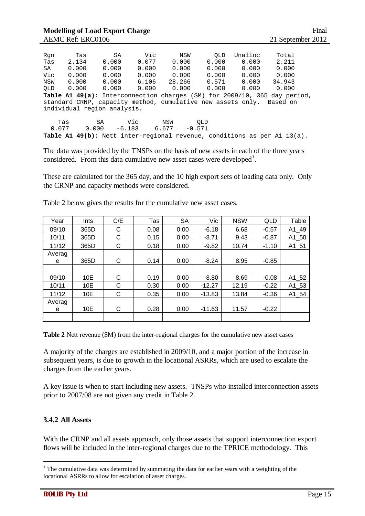| Rqn   | Tas   | SA                          | Vic   | NSW                                                         | OLD        | Unalloc | Total                                                                              |
|-------|-------|-----------------------------|-------|-------------------------------------------------------------|------------|---------|------------------------------------------------------------------------------------|
| Tas   | 2.134 | 0.000                       | 0.077 | 0.000                                                       | 0.000      | 0.000   | 2.211                                                                              |
| SA    | 0.000 | 0.000                       | 0.000 | 0.000                                                       | 0.000      | 0.000   | 0.000                                                                              |
| Vic   | 0.000 | 0.000                       | 0.000 | 0.000                                                       | 0.000      | 0.000   | 0.000                                                                              |
| NSW   | 0.000 | 0.000                       | 6.106 | 28.266                                                      | 0.571      | 0.000   | 34.943                                                                             |
| OLD   | 0.000 | 0.000                       | 0.000 | 0.000                                                       | 0.000      | 0.000   | 0.000                                                                              |
|       |       |                             |       |                                                             |            |         | Table A1_49(a): Interconnection charges (\$M) for 2009/10, 365 day period,         |
|       |       |                             |       | standard CRNP, capacity method, cumulative new assets only. |            |         | Based on                                                                           |
|       |       | individual region analysis. |       |                                                             |            |         |                                                                                    |
|       |       |                             |       |                                                             |            |         |                                                                                    |
| Tas   |       | SA                          | Vic   | NSW                                                         | <b>OLD</b> |         |                                                                                    |
| 0.077 | 0.000 | $-6.183$                    |       | 6.677<br>$-0.571$                                           |            |         |                                                                                    |
|       |       |                             |       |                                                             |            |         | <b>Table A1 49(b):</b> Nett inter-regional revenue, conditions as per A1 $13(a)$ . |

The data was provided by the TNSPs on the basis of new assets in each of the three years considered. From this data cumulative new asset cases were developed<sup>[1](#page-14-1)</sup>.

These are calculated for the 365 day, and the 10 high export sets of loading data only. Only the CRNP and capacity methods were considered.

| Year   | Ints | C/E | Tas  | <b>SA</b> | <b>Vic</b> | <b>NSW</b> | QLD     | Table    |
|--------|------|-----|------|-----------|------------|------------|---------|----------|
| 09/10  | 365D | C   | 0.08 | 0.00      | $-6.18$    | 6.68       | $-0.57$ | $A1_49$  |
| 10/11  | 365D | С   | 0.15 | 0.00      | $-8.71$    | 9.43       | $-0.87$ | $A1$ _50 |
| 11/12  | 365D | C   | 0.18 | 0.00      | $-9.82$    | 10.74      | $-1.10$ | $A1_51$  |
| Averag |      |     |      |           |            |            |         |          |
| е      | 365D | C   | 0.14 | 0.00      | $-8.24$    | 8.95       | $-0.85$ |          |
|        |      |     |      |           |            |            |         |          |
| 09/10  | 10E  | C   | 0.19 | 0.00      | $-8.80$    | 8.69       | $-0.08$ | $A1_52$  |
| 10/11  | 10E  | С   | 0.30 | 0.00      | $-12.27$   | 12.19      | $-0.22$ | $A1$ _53 |
| 11/12  | 10E  | C   | 0.35 | 0.00      | $-13.83$   | 13.84      | $-0.36$ | $A1_54$  |
| Averag |      |     |      |           |            |            |         |          |
| е      | 10E  | С   | 0.28 | 0.00      | $-11.63$   | 11.57      | $-0.22$ |          |
|        |      |     |      |           |            |            |         |          |

Table 2 below gives the results for the cumulative new asset cases.

**Table 2** Nett revenue (\$M) from the inter-regional charges for the cumulative new asset cases

A majority of the charges are established in 2009/10, and a major portion of the increase in subsequent years, is due to growth in the locational ASRRs, which are used to escalate the charges from the earlier years.

A key issue is when to start including new assets. TNSPs who installed interconnection assets prior to 2007/08 are not given any credit in Table 2.

#### <span id="page-14-0"></span>**3.4.2 All Assets**

With the CRNP and all assets approach, only those assets that support interconnection export flows will be included in the inter-regional charges due to the TPRICE methodology. This

<span id="page-14-1"></span> $1$  The cumulative data was determined by summating the data for earlier years with a weighting of the locational ASRRs to allow for escalation of asset charges.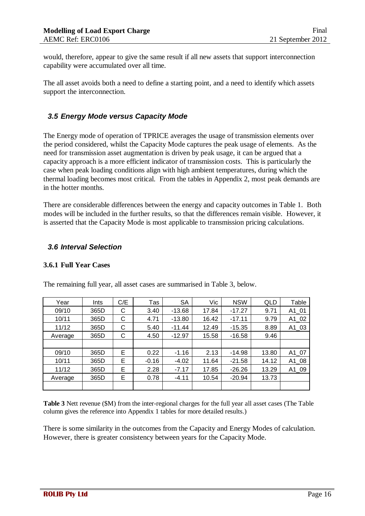would, therefore, appear to give the same result if all new assets that support interconnection capability were accumulated over all time.

The all asset avoids both a need to define a starting point, and a need to identify which assets support the interconnection.

#### <span id="page-15-0"></span>*3.5 Energy Mode versus Capacity Mode*

The Energy mode of operation of TPRICE averages the usage of transmission elements over the period considered, whilst the Capacity Mode captures the peak usage of elements. As the need for transmission asset augmentation is driven by peak usage, it can be argued that a capacity approach is a more efficient indicator of transmission costs. This is particularly the case when peak loading conditions align with high ambient temperatures, during which the thermal loading becomes most critical. From the tables in Appendix 2, most peak demands are in the hotter months.

There are considerable differences between the energy and capacity outcomes in Table 1. Both modes will be included in the further results, so that the differences remain visible. However, it is asserted that the Capacity Mode is most applicable to transmission pricing calculations.

#### <span id="page-15-1"></span>*3.6 Interval Selection*

#### <span id="page-15-2"></span>**3.6.1 Full Year Cases**

| Year    | Ints | C/E | Tas     | <b>SA</b> | Vic   | <b>NSW</b> | QLD   | Table   |
|---------|------|-----|---------|-----------|-------|------------|-------|---------|
| 09/10   | 365D | C   | 3.40    | $-13.68$  | 17.84 | $-17.27$   | 9.71  | A1 01   |
| 10/11   | 365D | C   | 4.71    | $-13.80$  | 16.42 | $-17.11$   | 9.79  | $A1_02$ |
| 11/12   | 365D | С   | 5.40    | $-11.44$  | 12.49 | $-15.35$   | 8.89  | $A1_03$ |
| Average | 365D | C   | 4.50    | $-12.97$  | 15.58 | $-16.58$   | 9.46  |         |
|         |      |     |         |           |       |            |       |         |
| 09/10   | 365D | Е   | 0.22    | $-1.16$   | 2.13  | $-14.98$   | 13.80 | A1 07   |
| 10/11   | 365D | E   | $-0.16$ | $-4.02$   | 11.64 | $-21.58$   | 14.12 | $A1_08$ |
| 11/12   | 365D | E   | 2.28    | $-7.17$   | 17.85 | $-26.26$   | 13.29 | A1_09   |
| Average | 365D | Е   | 0.78    | $-4.11$   | 10.54 | $-20.94$   | 13.73 |         |
|         |      |     |         |           |       |            |       |         |

The remaining full year, all asset cases are summarised in Table 3, below.

**Table 3** Nett revenue (\$M) from the inter-regional charges for the full year all asset cases (The Table column gives the reference into Appendix 1 tables for more detailed results.)

There is some similarity in the outcomes from the Capacity and Energy Modes of calculation. However, there is greater consistency between years for the Capacity Mode.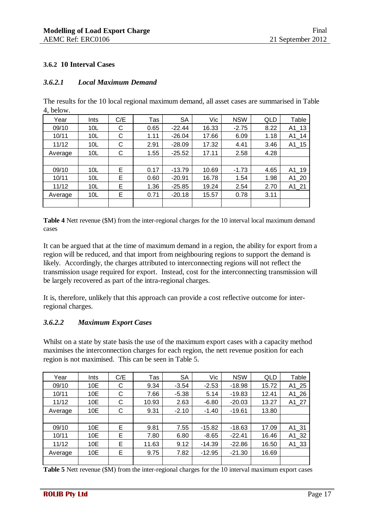#### <span id="page-16-0"></span>**3.6.2 10 Interval Cases**

#### *3.6.2.1 Local Maximum Demand*

The results for the 10 local regional maximum demand, all asset cases are summarised in Table 4, below.

| Year    | Ints            | C/E | Tas  | <b>SA</b> | Vic   | <b>NSW</b> | QLD  | Table              |
|---------|-----------------|-----|------|-----------|-------|------------|------|--------------------|
| 09/10   | 10 <sub>L</sub> | C   | 0.65 | $-22.44$  | 16.33 | $-2.75$    | 8.22 | $A1$ _13           |
| 10/11   | 10L             | С   | 1.11 | $-26.04$  | 17.66 | 6.09       | 1.18 | $A1$ <sup>14</sup> |
| 11/12   | 10 <sub>L</sub> | С   | 2.91 | $-28.09$  | 17.32 | 4.41       | 3.46 | $A1$ _15           |
| Average | 10 <sub>L</sub> | C   | 1.55 | $-25.52$  | 17.11 | 2.58       | 4.28 |                    |
|         |                 |     |      |           |       |            |      |                    |
| 09/10   | 10 <sub>L</sub> | Е   | 0.17 | $-13.79$  | 10.69 | $-1.73$    | 4.65 | A1 19              |
| 10/11   | 10 <sub>L</sub> | E   | 0.60 | $-20.91$  | 16.78 | 1.54       | 1.98 | $A1_20$            |
| 11/12   | 10 <sub>L</sub> | E   | 1.36 | $-25.85$  | 19.24 | 2.54       | 2.70 | $A1_21$            |
| Average | 10L             | Е   | 0.71 | $-20.18$  | 15.57 | 0.78       | 3.11 |                    |
|         |                 |     |      |           |       |            |      |                    |

**Table 4** Nett revenue (\$M) from the inter-regional charges for the 10 interval local maximum demand cases

It can be argued that at the time of maximum demand in a region, the ability for export from a region will be reduced, and that import from neighbouring regions to support the demand is likely. Accordingly, the charges attributed to interconnecting regions will not reflect the transmission usage required for export. Instead, cost for the interconnecting transmission will be largely recovered as part of the intra-regional charges.

It is, therefore, unlikely that this approach can provide a cost reflective outcome for interregional charges.

#### *3.6.2.2 Maximum Export Cases*

Whilst on a state by state basis the use of the maximum export cases with a capacity method maximises the interconnection charges for each region, the nett revenue position for each region is not maximised. This can be seen in Table 5.

| Year    | Ints | C/E | Tas   | <b>SA</b> | <b>Vic</b> | <b>NSW</b> | QLD   | Table   |
|---------|------|-----|-------|-----------|------------|------------|-------|---------|
| 09/10   | 10E  | C   | 9.34  | $-3.54$   | $-2.53$    | $-18.98$   | 15.72 | $A1_25$ |
| 10/11   | 10E  | С   | 7.66  | $-5.38$   | 5.14       | $-19.83$   | 12.41 | $A1_28$ |
| 11/12   | 10E  | С   | 10.93 | 2.63      | $-6.80$    | $-20.03$   | 13.27 | $A1_27$ |
| Average | 10E  | C   | 9.31  | $-2.10$   | $-1.40$    | $-19.61$   | 13.80 |         |
|         |      |     |       |           |            |            |       |         |
| 09/10   | 10E  | Е   | 9.81  | 7.55      | $-15.82$   | $-18.63$   | 17.09 | $A1_31$ |
| 10/11   | 10E  | Е   | 7.80  | 6.80      | $-8.65$    | $-22.41$   | 16.46 | $A1_32$ |
| 11/12   | 10E  | Е   | 11.63 | 9.12      | $-14.39$   | $-22.86$   | 16.50 | $A1_33$ |
| Average | 10E  | Е   | 9.75  | 7.82      | $-12.95$   | $-21.30$   | 16.69 |         |
|         |      |     |       |           |            |            |       |         |

**Table 5** Nett revenue (\$M) from the inter-regional charges for the 10 interval maximum export cases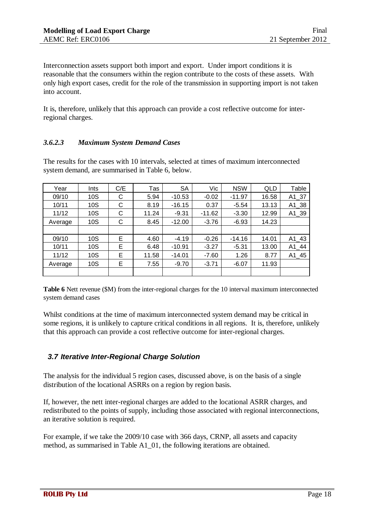Interconnection assets support both import and export. Under import conditions it is reasonable that the consumers within the region contribute to the costs of these assets. With only high export cases, credit for the role of the transmission in supporting import is not taken into account.

It is, therefore, unlikely that this approach can provide a cost reflective outcome for interregional charges.

#### *3.6.2.3 Maximum System Demand Cases*

The results for the cases with 10 intervals, selected at times of maximum interconnected system demand, are summarised in Table 6, below.

| Year    | Ints | C/E | Tas                          | <b>SA</b> | Vic     | <b>NSW</b> | <b>QLD</b> | Table    |
|---------|------|-----|------------------------------|-----------|---------|------------|------------|----------|
| 09/10   | 10S  | C   | 5.94                         | $-10.53$  | $-0.02$ | $-11.97$   | 16.58      | $A1$ _37 |
| 10/11   | 10S  | С   | 8.19                         | $-16.15$  | 0.37    | $-5.54$    | 13.13      | $A1_38$  |
| 11/12   | 10S  | C   | 11.24<br>$-9.31$<br>$-11.62$ |           | $-3.30$ | 12.99      | $A1$ _39   |          |
| Average | 10S  | С   | 8.45                         | $-12.00$  | $-3.76$ | $-6.93$    | 14.23      |          |
|         |      |     |                              |           |         |            |            |          |
| 09/10   | 10S  | E   | 4.60                         | $-4.19$   | $-0.26$ | $-14.16$   | 14.01      | $A1_43$  |
| 10/11   | 10S  | E   | 6.48                         | $-10.91$  | $-3.27$ | $-5.31$    | 13.00      | $A1_44$  |
| 11/12   | 10S  | Е   | 11.58                        | $-14.01$  | $-7.60$ | 1.26       | 8.77       | $A1_45$  |
| Average | 10S  | E   | 7.55                         | $-9.70$   | $-3.71$ | $-6.07$    | 11.93      |          |
|         |      |     |                              |           |         |            |            |          |

**Table 6** Nett revenue (\$M) from the inter-regional charges for the 10 interval maximum interconnected system demand cases

Whilst conditions at the time of maximum interconnected system demand may be critical in some regions, it is unlikely to capture critical conditions in all regions. It is, therefore, unlikely that this approach can provide a cost reflective outcome for inter-regional charges.

#### <span id="page-17-0"></span>*3.7 Iterative Inter-Regional Charge Solution*

The analysis for the individual 5 region cases, discussed above, is on the basis of a single distribution of the locational ASRRs on a region by region basis.

If, however, the nett inter-regional charges are added to the locational ASRR charges, and redistributed to the points of supply, including those associated with regional interconnections, an iterative solution is required.

For example, if we take the 2009/10 case with 366 days, CRNP, all assets and capacity method, as summarised in Table A1\_01, the following iterations are obtained.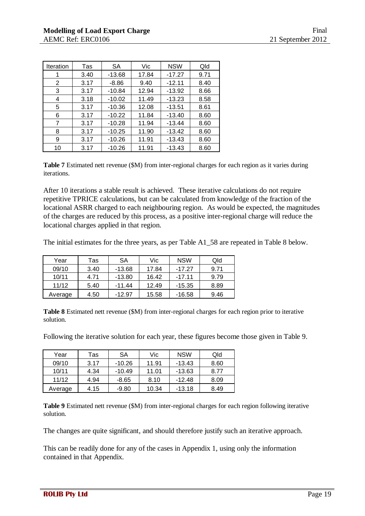| <b>Iteration</b> | Tas  | SА       | Vic   | <b>NSW</b> | Qld  |
|------------------|------|----------|-------|------------|------|
| 1                | 3.40 | $-13.68$ | 17.84 | $-17.27$   | 9.71 |
| 2                | 3.17 | $-8.86$  | 9.40  | $-12.11$   | 8.40 |
| 3                | 3.17 | $-10.84$ | 12.94 | $-13.92$   | 8.66 |
| 4                | 3.18 | $-10.02$ | 11.49 | $-13.23$   | 8.58 |
| 5                | 3.17 | $-10.36$ | 12.08 | $-13.51$   | 8.61 |
| 6                | 3.17 | $-10.22$ | 11.84 | $-13.40$   | 8.60 |
| 7                | 3.17 | $-10.28$ | 11.94 | $-13.44$   | 8.60 |
| 8                | 3.17 | $-10.25$ | 11.90 | $-13.42$   | 8.60 |
| 9                | 3.17 | $-10.26$ | 11.91 | $-13.43$   | 8.60 |
| 10               | 3.17 | $-10.26$ | 11.91 | $-13.43$   | 8.60 |

**Table 7** Estimated nett revenue (\$M) from inter-regional charges for each region as it varies during iterations.

After 10 iterations a stable result is achieved. These iterative calculations do not require repetitive TPRICE calculations, but can be calculated from knowledge of the fraction of the locational ASRR charged to each neighbouring region. As would be expected, the magnitudes of the charges are reduced by this process, as a positive inter-regional charge will reduce the locational charges applied in that region.

The initial estimates for the three years, as per Table A1\_58 are repeated in Table 8 below.

| Year    | Tas  | SА       | Vic   | <b>NSW</b> | Qld  |
|---------|------|----------|-------|------------|------|
| 09/10   | 3.40 | -13.68   | 17.84 | $-17.27$   | 9.71 |
| 10/11   | 4.71 | $-13.80$ | 16.42 | $-17.11$   | 9.79 |
| 11/12   | 5.40 | $-11.44$ | 12.49 | -15.35     | 8.89 |
| Average | 4.50 | $-12.97$ | 15.58 | -16.58     | 9.46 |

**Table 8** Estimated nett revenue (\$M) from inter-regional charges for each region prior to iterative solution.

Following the iterative solution for each year, these figures become those given in Table 9.

| Year    | Tas  | SА     | Vic   | <b>NSW</b> | Qld  |
|---------|------|--------|-------|------------|------|
| 09/10   | 3.17 | -10.26 | 11.91 | -13.43     | 8.60 |
| 10/11   | 4.34 | -10.49 | 11.01 | -13.63     | 8.77 |
| 11/12   | 4.94 | -8.65  | 8.10  | -12.48     | 8.09 |
| Average | 4.15 | -9.80  | 10.34 | $-13.18$   | 8.49 |

**Table 9** Estimated nett revenue (\$M) from inter-regional charges for each region following iterative solution.

The changes are quite significant, and should therefore justify such an iterative approach.

This can be readily done for any of the cases in Appendix 1, using only the information contained in that Appendix.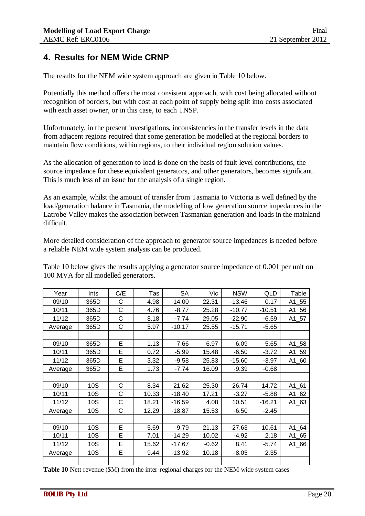## <span id="page-19-0"></span>**4. Results for NEM Wide CRNP**

The results for the NEM wide system approach are given in Table 10 below.

Potentially this method offers the most consistent approach, with cost being allocated without recognition of borders, but with cost at each point of supply being split into costs associated with each asset owner, or in this case, to each TNSP.

Unfortunately, in the present investigations, inconsistencies in the transfer levels in the data from adjacent regions required that some generation be modelled at the regional borders to maintain flow conditions, within regions, to their individual region solution values.

As the allocation of generation to load is done on the basis of fault level contributions, the source impedance for these equivalent generators, and other generators, becomes significant. This is much less of an issue for the analysis of a single region.

As an example, whilst the amount of transfer from Tasmania to Victoria is well defined by the load/generation balance in Tasmania, the modelling of low generation source impedances in the Latrobe Valley makes the association between Tasmanian generation and loads in the mainland difficult.

More detailed consideration of the approach to generator source impedances is needed before a reliable NEM wide system analysis can be produced.

Table 10 below gives the results applying a generator source impedance of 0.001 per unit on 100 MVA for all modelled generators.

| Year    | Ints | C/E | Tas   | <b>SA</b> | Vic     | <b>NSW</b> | QLD      | Table               |
|---------|------|-----|-------|-----------|---------|------------|----------|---------------------|
| 09/10   | 365D | С   | 4.98  | $-14.00$  | 22.31   | $-13.46$   | 0.17     | A1_55               |
| 10/11   | 365D | С   | 4.76  | $-8.77$   | 25.28   | $-10.77$   | $-10.51$ | A1_56               |
| 11/12   | 365D | C   | 8.18  | $-7.74$   | 29.05   | $-22.90$   | $-6.59$  | $A1$ _57            |
| Average | 365D | C   | 5.97  | $-10.17$  | 25.55   | $-15.71$   | $-5.65$  |                     |
|         |      |     |       |           |         |            |          |                     |
| 09/10   | 365D | E   | 1.13  | $-7.66$   | 6.97    | $-6.09$    | 5.65     | $A1$ _58            |
| 10/11   | 365D | E   | 0.72  | $-5.99$   | 15.48   | $-6.50$    | $-3.72$  | A1_59               |
| 11/12   | 365D | E   | 3.32  | $-9.58$   | 25.83   | $-15.60$   | $-3.97$  | $A1$ <sub>-60</sub> |
| Average | 365D | E   | 1.73  | $-7.74$   | 16.09   | $-9.39$    | $-0.68$  |                     |
|         |      |     |       |           |         |            |          |                     |
| 09/10   | 10S  | C   | 8.34  | $-21.62$  | 25.30   | $-26.74$   | 14.72    | $A1$ 61             |
| 10/11   | 10S  | С   | 10.33 | $-18.40$  | 17.21   | $-3.27$    | $-5.88$  | $A1$ 62             |
| 11/12   | 10S  | C   | 18.21 | $-16.59$  | 4.08    | 10.51      | $-16.21$ | $A1$ 63             |
| Average | 10S  | C   | 12.29 | $-18.87$  | 15.53   | $-6.50$    | $-2.45$  |                     |
|         |      |     |       |           |         |            |          |                     |
| 09/10   | 10S  | E   | 5.69  | $-9.79$   | 21.13   | $-27.63$   | 10.61    | A1 64               |
| 10/11   | 10S  | E   | 7.01  | $-14.29$  | 10.02   | -4.92      | 2.18     | A1_65               |
| 11/12   | 10S  | E   | 15.62 | $-17.67$  | $-0.62$ | 8.41       | $-5.74$  | $A1_66$             |
| Average | 10S  | E   | 9.44  | $-13.92$  | 10.18   | $-8.05$    | 2.35     |                     |
|         |      |     |       |           |         |            |          |                     |

**Table 10** Nett revenue (\$M) from the inter-regional charges for the NEM wide system cases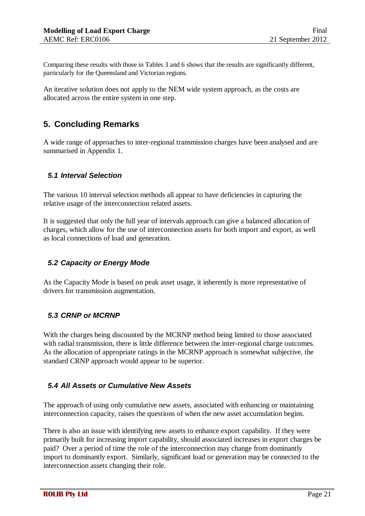Comparing these results with those in Tables 3 and 6 shows that the results are significantly different, particularly for the Queensland and Victorian regions.

An iterative solution does not apply to the NEM wide system approach, as the costs are allocated across the entire system in one step.

## <span id="page-20-0"></span>**5. Concluding Remarks**

A wide range of approaches to inter-regional transmission charges have been analysed and are summarised in Appendix 1.

#### <span id="page-20-1"></span>*5.1 Interval Selection*

The various 10 interval selection methods all appear to have deficiencies in capturing the relative usage of the interconnection related assets.

It is suggested that only the full year of intervals approach can give a balanced allocation of charges, which allow for the use of interconnection assets for both import and export, as well as local connections of load and generation.

#### <span id="page-20-2"></span>*5.2 Capacity or Energy Mode*

As the Capacity Mode is based on peak asset usage, it inherently is more representative of drivers for transmission augmentation.

#### <span id="page-20-3"></span>*5.3 CRNP or MCRNP*

With the charges being discounted by the MCRNP method being limited to those associated with radial transmission, there is little difference between the inter-regional charge outcomes. As the allocation of appropriate ratings in the MCRNP approach is somewhat subjective, the standard CRNP approach would appear to be superior.

#### <span id="page-20-4"></span>*5.4 All Assets or Cumulative New Assets*

The approach of using only cumulative new assets, associated with enhancing or maintaining interconnection capacity, raises the questions of when the new asset accumulation begins.

There is also an issue with identifying new assets to enhance export capability. If they were primarily built for increasing import capability, should associated increases in export charges be paid? Over a period of time the role of the interconnection may change from dominantly import to dominantly export. Similarly, significant load or generation may be connected to the interconnection assets changing their role.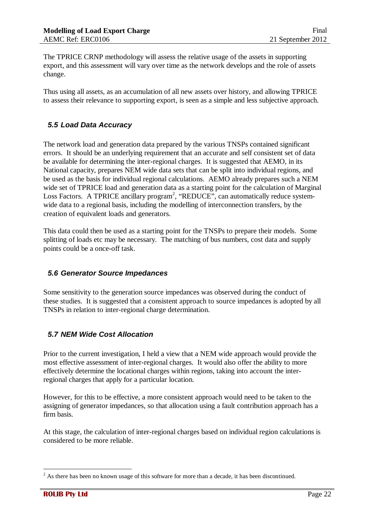The TPRICE CRNP methodology will assess the relative usage of the assets in supporting export, and this assessment will vary over time as the network develops and the role of assets change.

Thus using all assets, as an accumulation of all new assets over history, and allowing TPRICE to assess their relevance to supporting export, is seen as a simple and less subjective approach.

## <span id="page-21-0"></span>*5.5 Load Data Accuracy*

The network load and generation data prepared by the various TNSPs contained significant errors. It should be an underlying requirement that an accurate and self consistent set of data be available for determining the inter-regional charges. It is suggested that AEMO, in its National capacity, prepares NEM wide data sets that can be split into individual regions, and be used as the basis for individual regional calculations. AEMO already prepares such a NEM wide set of TPRICE load and generation data as a starting point for the calculation of Marginal Loss Factors. A TPRICE ancillary program<sup>[2](#page-21-3)</sup>, "REDUCE", can automatically reduce systemwide data to a regional basis, including the modelling of interconnection transfers, by the creation of equivalent loads and generators.

This data could then be used as a starting point for the TNSPs to prepare their models. Some splitting of loads etc may be necessary. The matching of bus numbers, cost data and supply points could be a once-off task.

#### <span id="page-21-1"></span>*5.6 Generator Source Impedances*

Some sensitivity to the generation source impedances was observed during the conduct of these studies. It is suggested that a consistent approach to source impedances is adopted by all TNSPs in relation to inter-regional charge determination.

#### <span id="page-21-2"></span>*5.7 NEM Wide Cost Allocation*

Prior to the current investigation, I held a view that a NEM wide approach would provide the most effective assessment of inter-regional charges. It would also offer the ability to more effectively determine the locational charges within regions, taking into account the interregional charges that apply for a particular location.

However, for this to be effective, a more consistent approach would need to be taken to the assigning of generator impedances, so that allocation using a fault contribution approach has a firm basis.

At this stage, the calculation of inter-regional charges based on individual region calculations is considered to be more reliable.

<span id="page-21-3"></span><sup>&</sup>lt;sup>2</sup> As there has been no known usage of this software for more than a decade, it has been discontinued.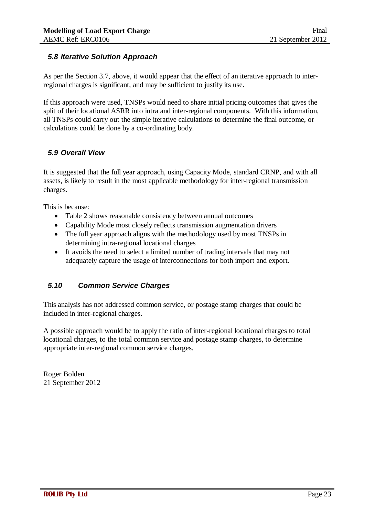#### <span id="page-22-0"></span>*5.8 Iterative Solution Approach*

As per the Section 3.7, above, it would appear that the effect of an iterative approach to interregional charges is significant, and may be sufficient to justify its use.

If this approach were used, TNSPs would need to share initial pricing outcomes that gives the split of their locational ASRR into intra and inter-regional components. With this information, all TNSPs could carry out the simple iterative calculations to determine the final outcome, or calculations could be done by a co-ordinating body.

#### <span id="page-22-1"></span>*5.9 Overall View*

It is suggested that the full year approach, using Capacity Mode, standard CRNP, and with all assets, is likely to result in the most applicable methodology for inter-regional transmission charges.

This is because:

- Table 2 shows reasonable consistency between annual outcomes
- Capability Mode most closely reflects transmission augmentation drivers
- The full year approach aligns with the methodology used by most TNSPs in determining intra-regional locational charges
- It avoids the need to select a limited number of trading intervals that may not adequately capture the usage of interconnections for both import and export.

#### <span id="page-22-2"></span>*5.10 Common Service Charges*

This analysis has not addressed common service, or postage stamp charges that could be included in inter-regional charges.

A possible approach would be to apply the ratio of inter-regional locational charges to total locational charges, to the total common service and postage stamp charges, to determine appropriate inter-regional common service charges.

Roger Bolden 21 September 2012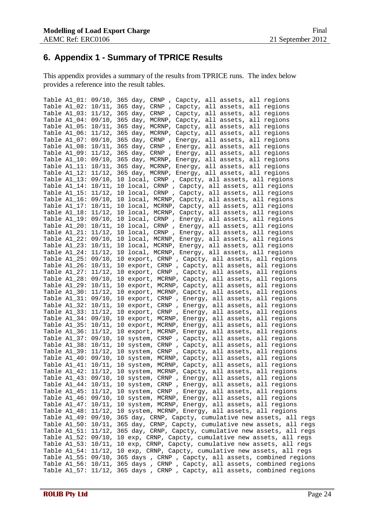## <span id="page-23-0"></span>**6. Appendix 1 - Summary of TPRICE Results**

This appendix provides a summary of the results from TPRICE runs. The index below provides a reference into the result tables.

|  | Table A1_01: 09/10, 365 day, CRNP, Capcty, all assets, all regions         |
|--|----------------------------------------------------------------------------|
|  | Table A1_02: 10/11, 365 day, CRNP, Capcty, all assets, all regions         |
|  | Table A1_03: 11/12, 365 day, CRNP, Capcty, all assets, all regions         |
|  | Table A1_04: 09/10, 365 day, MCRNP, Capcty, all assets, all regions        |
|  | Table A1_05: 10/11, 365 day, MCRNP, Capcty, all assets, all regions        |
|  | Table A1_06: 11/12, 365 day, MCRNP, Capcty, all assets, all regions        |
|  |                                                                            |
|  | Table A1_07: 09/10, 365 day, CRNP, Energy, all assets, all regions         |
|  | Table A1_08: 10/11, 365 day, CRNP, Energy, all assets, all regions         |
|  | Table A1_09: 11/12, 365 day, CRNP, Energy, all assets, all regions         |
|  | Table A1_10: 09/10, 365 day, MCRNP, Energy, all assets, all regions        |
|  | Table A1_11: 10/11, 365 day, MCRNP, Energy, all assets, all regions        |
|  | Table A1_12: 11/12, 365 day, MCRNP, Energy, all assets, all regions        |
|  | Table A1_13: 09/10, 10 local, CRNP, Capcty, all assets, all regions        |
|  | Table A1_14: 10/11, 10 local, CRNP, Capcty, all assets, all regions        |
|  |                                                                            |
|  | Table A1_15: 11/12, 10 local, CRNP, Capcty, all assets, all regions        |
|  | Table A1_16: 09/10, 10 local, MCRNP, Capcty, all assets, all regions       |
|  | Table A1_17: 10/11, 10 local, MCRNP, Capcty, all assets, all regions       |
|  | Table A1_18: 11/12, 10 local, MCRNP, Capcty, all assets, all regions       |
|  | Table A1_19: 09/10, 10 local, CRNP, Energy, all assets, all regions        |
|  | Table A1_20: 10/11, 10 local, CRNP, Energy, all assets, all regions        |
|  | Table A1_21: 11/12, 10 local, CRNP, Energy, all assets, all regions        |
|  |                                                                            |
|  | Table A1_22: 09/10, 10 local, MCRNP, Energy, all assets, all regions       |
|  | Table A1_23: 10/11, 10 local, MCRNP, Energy, all assets, all regions       |
|  | Table A1_24: 11/12, 10 local, MCRNP, Energy, all assets, all regions       |
|  | Table A1_25: 09/10, 10 export, CRNP, Capcty, all assets, all regions       |
|  | Table A1_26: 10/11, 10 export, CRNP, Capcty, all assets, all regions       |
|  | Table A1_27: 11/12, 10 export, CRNP, Capcty, all assets, all regions       |
|  | Table A1_28: 09/10, 10 export, MCRNP, Capcty, all assets, all regions      |
|  | Table A1_29: 10/11, 10 export, MCRNP, Capcty, all assets, all regions      |
|  | Table A1_30: 11/12, 10 export, MCRNP, Capcty, all assets, all regions      |
|  |                                                                            |
|  | Table A1_31: 09/10, 10 export, CRNP, Energy, all assets, all regions       |
|  | Table A1_32: 10/11, 10 export, CRNP, Energy, all assets, all regions       |
|  | Table A1_33: 11/12, 10 export, CRNP, Energy, all assets, all regions       |
|  | Table A1_34: 09/10, 10 export, MCRNP, Energy, all assets, all regions      |
|  | Table A1_35: 10/11, 10 export, MCRNP, Energy, all assets, all regions      |
|  | Table A1_36: 11/12, 10 export, MCRNP, Energy, all assets, all regions      |
|  | Table A1_37: 09/10, 10 system, CRNP, Capcty, all assets, all regions       |
|  | Table A1_38: 10/11, 10 system, CRNP, Capcty, all assets, all regions       |
|  |                                                                            |
|  | Table A1_39: 11/12, 10 system, CRNP, Capcty, all assets, all regions       |
|  | Table A1_40: 09/10, 10 system, MCRNP, Capcty, all assets, all regions      |
|  | Table A1_41: 10/11, 10 system, MCRNP, Capcty, all assets, all regions      |
|  | Table A1_42: 11/12, 10 system, MCRNP, Capcty, all assets, all regions      |
|  | Table A1_43: 09/10, 10 system, CRNP, Energy, all assets, all regions       |
|  | Table A1_44: 10/11, 10 system, CRNP, Energy, all assets, all regions       |
|  | Table A1_45: 11/12, 10 system, CRNP, Energy, all assets, all regions       |
|  | Table A1_46: 09/10, 10 system, MCRNP, Energy, all assets, all regions      |
|  | Table A1_47: 10/11, 10 system, MCRNP, Energy, all assets, all regions      |
|  |                                                                            |
|  | Table A1_48: 11/12, 10 system, MCRNP, Energy, all assets, all regions      |
|  | Table A1_49: 09/10, 365 day, CRNP, Capcty, cumulative new assets, all regs |
|  | Table A1_50: 10/11, 365 day, CRNP, Capcty, cumulative new assets, all regs |
|  | Table A1_51: 11/12, 365 day, CRNP, Capcty, cumulative new assets, all regs |
|  | Table A1_52: 09/10, 10 exp, CRNP, Capcty, cumulative new assets, all regs  |
|  | Table A1_53: 10/11, 10 exp, CRNP, Capcty, cumulative new assets, all regs  |
|  | Table A1_54: 11/12, 10 exp, CRNP, Capcty, cumulative new assets, all regs  |
|  |                                                                            |
|  | Table A1_55: 09/10, 365 days, CRNP, Capcty, all assets, combined regions   |
|  | Table A1_56: 10/11, 365 days, CRNP, Capcty, all assets, combined regions   |
|  | Table A1_57: 11/12, 365 days, CRNP, Capcty, all assets, combined regions   |
|  |                                                                            |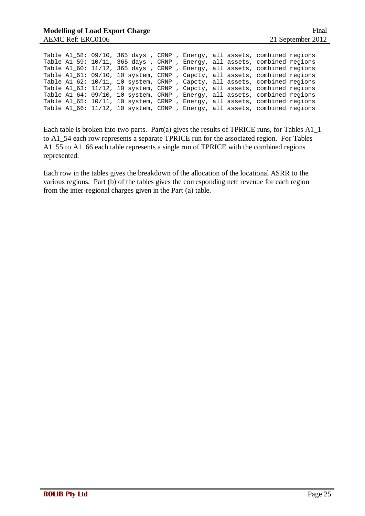|  | Table A1_58: 09/10, 365 days, CRNP, Energy, all assets, combined regions  |  |  |                                      |  |
|--|---------------------------------------------------------------------------|--|--|--------------------------------------|--|
|  | Table A1 59: 10/11, 365 days, CRNP, Energy, all assets, combined regions  |  |  |                                      |  |
|  | Table A1 60: 11/12, 365 days, CRNP, Energy, all assets, combined regions  |  |  |                                      |  |
|  | Table A1_61: 09/10, 10 system, CRNP, Capcty, all assets, combined regions |  |  |                                      |  |
|  | Table A1_62: 10/11, 10 system, CRNP, Capcty, all assets, combined regions |  |  |                                      |  |
|  | Table A1 63: 11/12, 10 system, CRNP, Capcty, all assets, combined regions |  |  |                                      |  |
|  | Table A1_64: 09/10, 10 system, CRNP,                                      |  |  | Energy, all assets, combined regions |  |
|  | Table A1_65: 10/11, 10 system, CRNP,                                      |  |  | Energy, all assets, combined regions |  |
|  | Table A1_66: 11/12, 10 system, CRNP                                       |  |  | Energy, all assets, combined regions |  |

Each table is broken into two parts. Part(a) gives the results of TPRICE runs, for Tables A1\_1 to A1\_54 each row represents a separate TPRICE run for the associated region. For Tables A1\_55 to A1\_66 each table represents a single run of TPRICE with the combined regions represented.

Each row in the tables gives the breakdown of the allocation of the locational ASRR to the various regions. Part (b) of the tables gives the corresponding nett revenue for each region from the inter-regional charges given in the Part (a) table.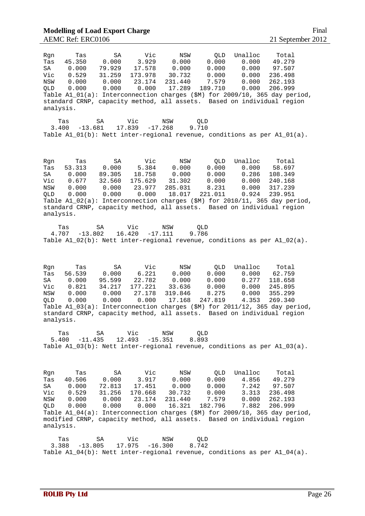| Rgn<br>Tas<br>SA<br>Vic<br>NSW<br>QLD<br>analysis. | Tas<br>45.350<br>0.000<br>0.529<br>0.000<br>0.000 | SA<br>0.000<br>79.929<br>31.259<br>0.000<br>0.000                                                | Vic<br>3.929<br>17.578<br>173.978<br>23.174<br>0.000 | NSW<br>0.000<br>0.000<br>30.732<br>231.440<br>17.289 | QLD<br>0.000<br>0.000<br>0.000<br>7.579<br>189.710 | Unalloc<br>0.000<br>0.000<br>0.000<br>0.000<br>0.000<br>standard CRNP, capacity method, all assets. Based on individual region | Total<br>49.279<br>97.507<br>236.498<br>262.193<br>206.999<br>Table A1_01(a): Interconnection charges (\$M) for 2009/10, 365 day period,  |
|----------------------------------------------------|---------------------------------------------------|--------------------------------------------------------------------------------------------------|------------------------------------------------------|------------------------------------------------------|----------------------------------------------------|--------------------------------------------------------------------------------------------------------------------------------|-------------------------------------------------------------------------------------------------------------------------------------------|
| Tas<br>3.400                                       | $-13.681$                                         | SA<br>17.839                                                                                     | Vic                                                  | NSW<br>$-17.268$                                     | QLD<br>9.710                                       |                                                                                                                                | Table $A1_01(b)$ : Nett inter-regional revenue, conditions as per $A1_01(a)$ .                                                            |
| Rgn<br>Tas<br>SA<br>Vic<br>NSW<br>QLD<br>analysis. | Tas<br>53.313<br>0.000<br>0.677<br>0.000<br>0.000 | SA<br>0.000<br>89.305<br>32.560<br>0.000<br>0.000                                                | Vic<br>5.384<br>18.758<br>175.629<br>23.977<br>0.000 | NSW<br>0.000<br>0.000<br>31.302<br>285.031<br>18.017 | QLD<br>0.000<br>0.000<br>0.000<br>8.231<br>221.011 | Unalloc<br>0.000<br>0.286<br>0.000<br>0.000<br>0.924<br>standard CRNP, capacity method, all assets. Based on individual region | Total<br>58.697<br>108.349<br>240.168<br>317.239<br>239.951<br>Table A1_02(a): Interconnection charges (\$M) for 2010/11, 365 day period, |
| Tas<br>4.707                                       | $-13.802$                                         | SA<br>16.420                                                                                     | Vic                                                  | NSW<br>$-17.111$                                     | QLD<br>9.786                                       |                                                                                                                                | Table $A1_02(b)$ : Nett inter-regional revenue, conditions as per $A1_02(a)$ .                                                            |
| Rgn<br>Tas<br>SA<br>Vic<br>NSW<br>QLD<br>analysis. | Tas<br>56.539<br>0.000<br>0.821<br>0.000<br>0.000 | SA<br>0.000<br>95.599<br>34.217<br>0.000<br>0.000<br>standard CRNP, capacity method, all assets. | Vic<br>6.221<br>22.782<br>177.221<br>27.178<br>0.000 | NSW<br>0.000<br>0.000<br>33.636<br>319.846<br>17.168 | QLD<br>0.000<br>0.000<br>0.000<br>8.275<br>247.819 | Unalloc<br>0.000<br>0.277<br>0.000<br>0.000<br>4.353<br>Based on individual region                                             | Total<br>62.759<br>118.658<br>245.895<br>355.299<br>269.340<br>Table A1_03(a): Interconnection charges (\$M) for 2011/12, 365 day period, |
| Tas<br>5.400                                       | SA<br>$-11.435$                                   | 12.493                                                                                           | Vic                                                  | NSW<br>$-15.351$                                     | QLD<br>8.893                                       |                                                                                                                                | Table $A1_03(b)$ : Nett inter-regional revenue, conditions as per $A1_03(a)$ .                                                            |
| Rgn<br>Tas<br>SA<br>Vic<br>NSW<br>QLD<br>analysis. | Tas<br>40.506<br>0.000<br>0.529<br>0.000<br>0.000 | SA<br>0.000<br>72.813<br>31.256<br>0.000<br>0.000                                                | Vic<br>3.917<br>17.451<br>170.668<br>23.174<br>0.000 | NSW<br>0.000<br>0.000<br>30.732<br>231.440<br>16.321 | QLD<br>0.000<br>0.000<br>0.000<br>7.579<br>182.796 | Unalloc<br>4.856<br>7.242<br>3.313<br>0.000<br>7.882<br>modified CRNP, capacity method, all assets. Based on individual region | Total<br>49.279<br>97.507<br>236.498<br>262.193<br>206.999<br>Table A1_04(a): Interconnection charges (\$M) for 2009/10, 365 day period,  |
| Tas<br>3.388                                       | SA<br>$-13.805$                                   | 17.975                                                                                           | Vic                                                  | NSW<br>$-16.300$                                     | <b>QLD</b><br>8.742                                |                                                                                                                                | Table $A1_04(b)$ : Nett inter-regional revenue, conditions as per $A1_04(a)$ .                                                            |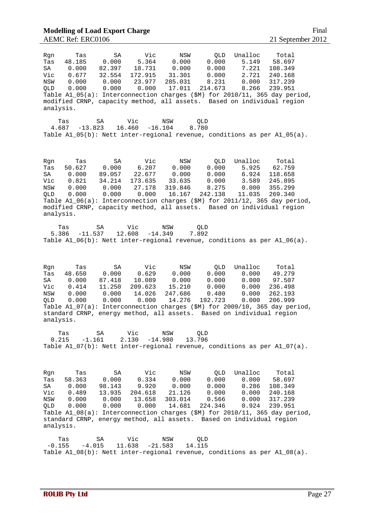| Rqn<br>48.185<br>Tas<br>SA<br>0.000<br>Vic<br>0.677<br>NSW<br>0.000<br>0.000<br>QLD<br>analysis. | SA<br>Tas<br>0.000<br>82.397<br>32.554<br>0.000<br>0.000<br>modified CRNP, capacity method, all assets. Based on individual region | Vic<br>5.364<br>18.731<br>172.915<br>23.977<br>0.000 | NSW<br>0.000<br>0.000<br>31.301<br>285.031<br>17.011 | QLD<br>0.000<br>0.000<br>0.000<br>8.231<br>214.673 | Unalloc<br>5.149<br>7.221<br>2.721<br>0.000<br>8.266                               | Total<br>58.697<br>108.349<br>240.168<br>317.239<br>239.951<br>Table A1_05(a): Interconnection charges (\$M) for 2010/11, 365 day period, |
|--------------------------------------------------------------------------------------------------|------------------------------------------------------------------------------------------------------------------------------------|------------------------------------------------------|------------------------------------------------------|----------------------------------------------------|------------------------------------------------------------------------------------|-------------------------------------------------------------------------------------------------------------------------------------------|
| Tas<br>4.687                                                                                     | SA<br>$-13.823$<br>Table $A1_05(b)$ : Nett inter-regional revenue, conditions as per $A1_05(a)$ .                                  | Vic<br>16.460<br>$-16.104$                           | NSW                                                  | QLD<br>8.780                                       |                                                                                    |                                                                                                                                           |
| Rgn<br>Tas<br>50.627<br>0.000<br>SA<br>Vic<br>0.821<br>NSW<br>0.000<br>0.000<br>QLD<br>analysis. | Tas<br>SA<br>0.000<br>89.057<br>34.214<br>0.000<br>0.000<br>modified CRNP, capacity method, all assets. Based on individual region | Vic<br>6.207<br>22.677<br>173.635<br>27.178<br>0.000 | NSW<br>0.000<br>0.000<br>33.635<br>319.846<br>16.167 | QLD<br>0.000<br>0.000<br>0.000<br>8.275<br>242.138 | Unalloc<br>5.925<br>6.924<br>3.589<br>0.000<br>11.035                              | Total<br>62.759<br>118.658<br>245.895<br>355.299<br>269.340<br>Table A1_06(a): Interconnection charges (\$M) for 2011/12, 365 day period, |
| Tas<br>5.386                                                                                     | SΑ<br>$-11.537$<br>Table $A1_06(b)$ : Nett inter-regional revenue, conditions as per $A1_06(a)$ .                                  | Vic<br>12.608<br>$-14.349$                           | NSW                                                  | <b>QLD</b><br>7.892                                |                                                                                    |                                                                                                                                           |
| Rgn<br>Tas<br>48.650<br>0.000<br>SA<br>0.414<br>Vic<br>NSW<br>0.000<br>0.000<br>QLD<br>analysis. | SA<br>Tas<br>0.000<br>87.418<br>11.250<br>0.000<br>0.000<br>standard CRNP, energy method, all assets.                              | Vic<br>0.629<br>10.089<br>209.623<br>14.026<br>0.000 | NSW<br>0.000<br>0.000<br>15.210<br>247.686<br>14.276 | QLD<br>0.000<br>0.000<br>0.000<br>0.480<br>192.723 | Unalloc<br>0.000<br>0.000<br>0.000<br>0.000<br>0.000<br>Based on individual region | Total<br>49.279<br>97.507<br>236.498<br>262.193<br>206.999<br>Table A1_07(a): Interconnection charges (\$M) for 2009/10, 365 day period,  |
| Tas<br>0.215                                                                                     | SA<br>$-1.161$<br>Table $A1_07(b)$ : Nett inter-regional revenue, conditions as per $A1_07(a)$ .                                   | Vic<br>2.130<br>$-14.980$                            | NSW<br>13.796                                        | QLD                                                |                                                                                    |                                                                                                                                           |
| Rgn<br>58.363<br>Tas<br>SA<br>0.000<br>Vic<br>0.489<br>0.000<br>NSW<br>0.000<br>QLD<br>analysis. | SA<br>Tas<br>0.000<br>98.143<br>13.935<br>0.000<br>0.000<br>standard CRNP, energy method, all assets. Based on individual region   | Vic<br>0.334<br>9.920<br>204.618<br>13.658<br>0.000  | NSW<br>0.000<br>0.000<br>21.126<br>303.014<br>14.681 | QLD<br>0.000<br>0.000<br>0.000<br>0.566<br>224.346 | Unalloc<br>0.000<br>0.286<br>0.000<br>0.000<br>0.924                               | Total<br>58.697<br>108.349<br>240.168<br>317.239<br>239.951<br>Table A1_08(a): Interconnection charges (\$M) for 2010/11, 365 day period, |
| Tas<br>$-0.155$                                                                                  | SА<br>$-4.015$<br>Table $A1_08(b)$ : Nett inter-regional revenue, conditions as per $A1_08(a)$ .                                   | Vic<br>11.638<br>$-21.583$                           | NSW<br>14.115                                        | QLD                                                |                                                                                    |                                                                                                                                           |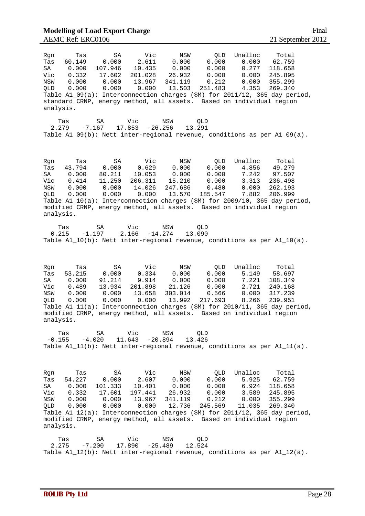| Rgn<br>Tas<br>SA<br>Vic<br>NSW<br>QLD<br>analysis. | Tas<br>60.149<br>0.000<br>0.332<br>0.000<br>0.000 | SA<br>0.000<br>107.946<br>17.602<br>0.000<br>0.000 | Vic<br>2.611<br>10.435<br>201.028<br>13.967<br>0.000<br>standard CRNP, energy method, all assets. Based on individual region | NSW<br>0.000<br>0.000<br>26.932<br>341.119<br>13.503 | QLD<br>0.000<br>0.000<br>0.000<br>0.212<br>251.483 | Unalloc<br>0.000<br>0.277<br>0.000<br>0.000<br>4.353  | Total<br>62.759<br>118.658<br>245.895<br>355.299<br>269.340<br>Table A1_09(a): Interconnection charges (\$M) for 2011/12, 365 day period, |
|----------------------------------------------------|---------------------------------------------------|----------------------------------------------------|------------------------------------------------------------------------------------------------------------------------------|------------------------------------------------------|----------------------------------------------------|-------------------------------------------------------|-------------------------------------------------------------------------------------------------------------------------------------------|
| 2.279                                              | Tas                                               | SA<br>$-7.167$                                     | Vic<br>17.853<br>$-26.256$                                                                                                   | NSW                                                  | QLD<br>13.291                                      |                                                       | Table $A1_09(b)$ : Nett inter-regional revenue, conditions as per $A1_09(a)$ .                                                            |
| Rgn<br>Tas<br>SA<br>Vic<br>NSW<br>QLD<br>analysis. | Tas<br>43.794<br>0.000<br>0.414<br>0.000<br>0.000 | SA<br>0.000<br>80.211<br>11.250<br>0.000<br>0.000  | Vic<br>0.629<br>10.053<br>206.311<br>14.026<br>0.000<br>modified CRNP, energy method, all assets. Based on individual region | NSW<br>0.000<br>0.000<br>15.210<br>247.686<br>13.570 | QLD<br>0.000<br>0.000<br>0.000<br>0.480<br>185.547 | Unalloc<br>4.856<br>7.242<br>3.313<br>0.000<br>7.882  | Total<br>49.279<br>97.507<br>236.498<br>262.193<br>206.999<br>Table A1_10(a): Interconnection charges (\$M) for 2009/10, 365 day period,  |
| 0.215                                              | Tas                                               | SΑ<br>$-1.197$                                     | Vic<br>2.166<br>$-14.274$                                                                                                    | NSW                                                  | <b>QLD</b><br>13.090                               |                                                       | Table $A1_10(b)$ : Nett inter-regional revenue, conditions as per $A1_10(a)$ .                                                            |
| Rgn<br>Tas<br>SA<br>Vic<br>NSW<br>QLD<br>analysis. | Tas<br>53.215<br>0.000<br>0.489<br>0.000<br>0.000 | SA<br>0.000<br>91.214<br>13.934<br>0.000<br>0.000  | Vic<br>0.334<br>9.914<br>201.898<br>13.658<br>0.000<br>modified CRNP, energy method, all assets. Based on individual region  | NSW<br>0.000<br>0.000<br>21.126<br>303.014<br>13.992 | QLD<br>0.000<br>0.000<br>0.000<br>0.566<br>217.693 | Unalloc<br>5.149<br>7.221<br>2.721<br>0.000<br>8.266  | Total<br>58.697<br>108.349<br>240.168<br>317.239<br>239.951<br>Table Al_11(a): Interconnection charges (\$M) for 2010/11, 365 day period, |
| $-0.155$                                           | Tas                                               | SA<br>$-4.020$                                     | Vic<br>11.643<br>$-20.894$                                                                                                   | NSW                                                  | QLD<br>13.426                                      |                                                       | Table $A1_1(1(b))$ : Nett inter-regional revenue, conditions as per $A1_1(1(a))$ .                                                        |
| Rgn<br>Tas<br>SA<br>Vic<br>NSW<br>QLD<br>analysis. | Tas<br>54.227<br>0.000<br>0.332<br>0.000<br>0.000 | SA<br>0.000<br>101.333<br>17.601<br>0.000<br>0.000 | Vic<br>2.607<br>10.401<br>197.441<br>13.967<br>0.000<br>modified CRNP, energy method, all assets. Based on individual region | NSW<br>0.000<br>0.000<br>26.932<br>341.119<br>12.736 | QLD<br>0.000<br>0.000<br>0.000<br>0.212<br>245.569 | Unalloc<br>5.925<br>6.924<br>3.589<br>0.000<br>11.035 | Total<br>62.759<br>118.658<br>245.895<br>355.299<br>269.340<br>Table Al_12(a): Interconnection charges (\$M) for 2011/12, 365 day period, |
| 2.275                                              | Tas                                               | SA<br>$-7.200$                                     | Vic<br>17.890<br>$-25.489$                                                                                                   | NSW                                                  | QLD<br>12.524                                      |                                                       | Table $Al_12(b)$ : Nett inter-regional revenue, conditions as per $Al_12(a)$ .                                                            |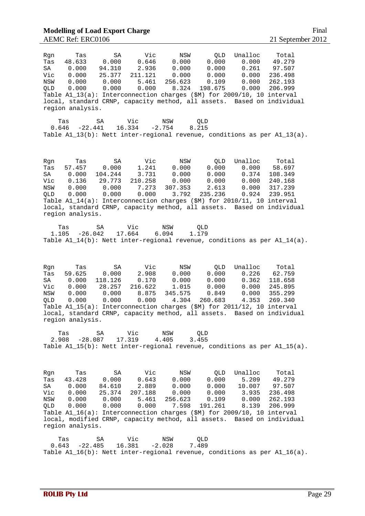| Rqn<br>Tas<br>SA<br>Vic<br>NSW<br><b>OLD</b> | Tas<br>48.633<br>0.000<br>0.000<br>0.000<br>0.000<br>region analysis. | SA<br>0.000<br>94.310<br>25.377<br>0.000<br>0.000  | Vic<br>0.646<br>2.936<br>211.121<br>5.461<br>0.000<br>Table A1_13(a): Interconnection charges (\$M) for 2009/10, 10 interval<br>local, standard CRNP, capacity method, all assets. | NSW<br>0.000<br>0.000<br>0.000<br>256.623<br>8.324 | QLD<br>0.000<br>0.000<br>0.000<br>0.109<br>198.675 | Unalloc<br>0.000<br>0.261<br>0.000<br>0.000<br>0.000  | Total<br>49.279<br>97.507<br>236.498<br>262.193<br>206.999<br>Based on individual                                                     |
|----------------------------------------------|-----------------------------------------------------------------------|----------------------------------------------------|------------------------------------------------------------------------------------------------------------------------------------------------------------------------------------|----------------------------------------------------|----------------------------------------------------|-------------------------------------------------------|---------------------------------------------------------------------------------------------------------------------------------------|
| Tas<br>0.646                                 | $-22.441$                                                             | SA<br>16.334                                       | Vic<br>NSW<br>$-2.754$                                                                                                                                                             | QLD<br>8.215                                       |                                                    |                                                       | Table $A1_13(b)$ : Nett inter-regional revenue, conditions as per $A1_13(a)$ .                                                        |
| Rgn<br>Tas<br>SA<br>Vic<br>NSW<br>QLD        | Tas<br>57.457<br>0.000<br>0.136<br>0.000<br>0.000<br>region analysis. | SA<br>0.000<br>104.244<br>29.773<br>0.000<br>0.000 | Vic<br>1.241<br>3.731<br>210.258<br>7.273<br>0.000<br>Table Al_14(a): Interconnection charges (\$M) for 2010/11, 10 interval                                                       | NSW<br>0.000<br>0.000<br>0.000<br>307.353<br>3.792 | QLD<br>0.000<br>0.000<br>0.000<br>2.613<br>235.236 | Unalloc<br>0.000<br>0.374<br>0.000<br>0.000<br>0.924  | Total<br>58.697<br>108.349<br>240.168<br>317.239<br>239.951<br>local, standard CRNP, capacity method, all assets. Based on individual |
| Tas<br>1.105                                 | $-26.042$                                                             | SA<br>17.664                                       | Vic<br>NSW<br>6.094                                                                                                                                                                | QLD<br>1.179                                       |                                                    |                                                       | Table $A1_14(b)$ : Nett inter-regional revenue, conditions as per $A1_14(a)$ .                                                        |
| Rgn<br>Tas<br>SA<br>Vic<br>NSW<br>QLD        | Tas<br>59.625<br>0.000<br>0.000<br>0.000<br>0.000<br>region analysis. | SA<br>0.000<br>118.126<br>28.257<br>0.000<br>0.000 | Vic<br>2.908<br>0.170<br>216.622<br>8.875<br>0.000<br>Table A1_15(a): Interconnection charges (\$M) for 2011/12, 10 interval<br>local, standard CRNP, capacity method, all assets. | NSW<br>0.000<br>0.000<br>1.015<br>345.575<br>4.304 | QLD<br>0.000<br>0.000<br>0.000<br>0.849<br>260.683 | Unalloc<br>0.226<br>0.362<br>0.000<br>0.000<br>4.353  | Total<br>62.759<br>118.658<br>245.895<br>355.299<br>269.340<br>Based on individual                                                    |
| Tas<br>2.908                                 | $-28.087$                                                             | SA<br>17.319                                       | Vic<br>NSW<br>4.405                                                                                                                                                                | QLD<br>3.455                                       |                                                    |                                                       | Table $A1_15(b)$ : Nett inter-regional revenue, conditions as per $A1_15(a)$ .                                                        |
| Rgn<br>Tas<br>SA<br>Vic<br>NSW<br>QLD        | Tas<br>43.428<br>0.000<br>0.000<br>0.000<br>0.000<br>region analysis. | SA<br>0.000<br>84.610<br>25.374<br>0.000<br>0.000  | Vic<br>0.643<br>2.889<br>207.188<br>5.461<br>0.000<br>Table A1_16(a): Interconnection charges (\$M) for 2009/10, 10 interval<br>local, modified CRNP, capacity method, all assets. | NSW<br>0.000<br>0.000<br>0.000<br>256.623<br>7.598 | QLD<br>0.000<br>0.000<br>0.000<br>0.109<br>191.261 | Unalloc<br>5.209<br>10.007<br>3.935<br>0.000<br>8.139 | Total<br>49.279<br>97.507<br>236.498<br>262.193<br>206.999<br>Based on individual                                                     |
| Tas<br>0.643                                 | $-22.485$                                                             | SA<br>16.381                                       | Vic<br>NSW<br>$-2.028$                                                                                                                                                             | QLD<br>7.489                                       |                                                    |                                                       | Table $A1_16(b)$ : Nett inter-regional revenue, conditions as per $A1_16(a)$ .                                                        |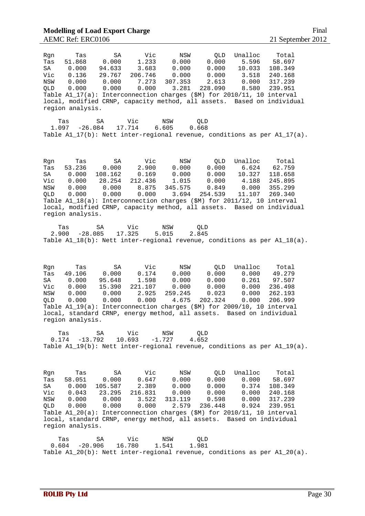| Tas<br>Rqn<br>51.868<br>Tas<br>SA<br>0.000<br>Vic<br>0.136<br>0.000<br>NSW<br>0.000<br>QLD<br>region analysis.        | SA<br>0.000<br>94.633<br>29.767<br>0.000<br>0.000  | Vic<br>1.233<br>3.683<br>206.746<br>7.273<br>0.000<br>Table A1_17(a): Interconnection charges (\$M) for 2010/11, 10 interval<br>local, modified CRNP, capacity method, all assets.                     | NSW<br>0.000<br>0.000<br>0.000<br>307.353<br>3.281 | QLD<br>0.000<br>0.000<br>0.000<br>2.613<br>228.090 | Unalloc<br>5.596<br>10.033<br>3.518<br>0.000<br>8.580  | Total<br>58.697<br>108.349<br>240.168<br>317.239<br>239.951<br>Based on individual |
|-----------------------------------------------------------------------------------------------------------------------|----------------------------------------------------|--------------------------------------------------------------------------------------------------------------------------------------------------------------------------------------------------------|----------------------------------------------------|----------------------------------------------------|--------------------------------------------------------|------------------------------------------------------------------------------------|
| Tas<br>1.097                                                                                                          | SA<br>$-26.084$                                    | Vic<br>17.714<br>6.605<br>Table $Al_17(b)$ : Nett inter-regional revenue, conditions as per $Al_17(a)$ .                                                                                               | NSW<br>0.668                                       | QLD                                                |                                                        |                                                                                    |
| Rgn<br>Tas<br>53.236<br>Tas<br>SA<br>0.000<br>Vic<br>0.000<br>NSW<br>0.000<br>QLD<br>0.000<br>region analysis.        | SA<br>0.000<br>108.162<br>28.254<br>0.000<br>0.000 | Vic<br>2.900<br>0.169<br>212.436<br>8.875<br>0.000<br>Table A1_18(a): Interconnection charges (\$M) for 2011/12, 10 interval<br>local, modified CRNP, capacity method, all assets. Based on individual | NSW<br>0.000<br>0.000<br>1.015<br>345.575<br>3.694 | QLD<br>0.000<br>0.000<br>0.000<br>0.849<br>254.539 | Unalloc<br>6.624<br>10.327<br>4.188<br>0.000<br>11.107 | Total<br>62.759<br>118.658<br>245.895<br>355.299<br>269.340                        |
| Tas<br>2.900                                                                                                          | SA<br>$-28.085$                                    | Vic<br>17.325<br>5.015<br>Table $A1_18(b)$ : Nett inter-regional revenue, conditions as per $A1_18(a)$ .                                                                                               | NSW<br>2.845                                       | <b>QLD</b>                                         |                                                        |                                                                                    |
| Tas<br>Rgn<br>49.106<br>Tas<br>0.000<br>SA<br>0.000<br>Vic<br>NSW<br>0.000<br><b>QLD</b><br>0.000<br>region analysis. | SA<br>0.000<br>95.648<br>15.390<br>0.000<br>0.000  | Vic<br>0.174<br>1.598<br>221.107<br>2.925<br>0.000<br>Table A1_19(a): Interconnection charges (\$M) for 2009/10, 10 interval<br>local, standard CRNP, energy method, all assets. Based on individual   | NSW<br>0.000<br>0.000<br>0.000<br>259.245<br>4.675 | QLD<br>0.000<br>0.000<br>0.000<br>0.023<br>202.324 | Unalloc<br>0.000<br>0.261<br>0.000<br>0.000<br>0.000   | Total<br>49.279<br>97.507<br>236.498<br>262.193<br>206.999                         |
| Tas<br>0.174                                                                                                          | SA<br>$-13.792$                                    | Vic<br>10.693<br>$-1.727$<br>Table $A1_19(b)$ : Nett inter-regional revenue, conditions as per $A1_19(a)$ .                                                                                            | NSW<br>4.652                                       | QLD                                                |                                                        |                                                                                    |
| Tas<br>Rgn<br>58.051<br>Tas<br>0.000<br>SA<br>Vic<br>0.043<br>NSW<br>0.000<br>QLD<br>0.000<br>region analysis.        | SA<br>0.000<br>105.587<br>23.295<br>0.000<br>0.000 | Vic<br>0.647<br>2.389<br>216.831<br>3.522<br>0.000<br>Table A1_20(a): Interconnection charges (\$M) for 2010/11, 10 interval<br>local, standard CRNP, energy method, all assets. Based on individual   | NSW<br>0.000<br>0.000<br>0.000<br>313.119<br>2.579 | QLD<br>0.000<br>0.000<br>0.000<br>0.598<br>236.448 | Unalloc<br>0.000<br>0.374<br>0.000<br>0.000<br>0.924   | Total<br>58.697<br>108.349<br>240.168<br>317.239<br>239.951                        |
| Tas<br>0.604                                                                                                          | SА<br>$-20.906$                                    | Vic<br>16.780<br>1.541                                                                                                                                                                                 | NSW<br>1.981                                       | QLD                                                |                                                        | Table $A1_20(b)$ : Nett inter-regional revenue, conditions as per $A1_20(a)$ .     |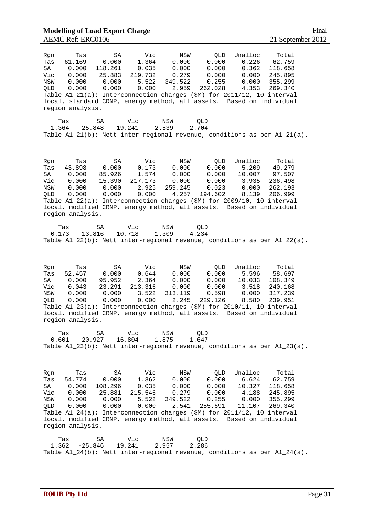| Tas<br>Rgn<br>61.169<br>Tas<br>0.000<br>SA<br>Vic<br>0.000<br>NSW<br>0.000<br><b>OLD</b><br>0.000<br>region analysis. | SA<br>0.000<br>118.261<br>25.883<br>0.000<br>0.000 | Vic<br>1.364<br>0.035<br>219.732<br>5.522<br>0.000 | NSW<br>0.000<br>0.000<br>0.279<br>349.522<br>2.959<br>262.028 | Unalloc<br>QLD<br>0.000<br>0.226<br>0.000<br>0.362<br>0.000<br>0.000<br>0.255<br>0.000<br>4.353<br>Table A1_21(a): Interconnection charges (\$M) for 2011/12, 10 interval<br>local, standard CRNP, energy method, all assets. Based on individual   | Total<br>62.759<br>118.658<br>245.895<br>355.299<br>269.340 |
|-----------------------------------------------------------------------------------------------------------------------|----------------------------------------------------|----------------------------------------------------|---------------------------------------------------------------|-----------------------------------------------------------------------------------------------------------------------------------------------------------------------------------------------------------------------------------------------------|-------------------------------------------------------------|
| Tas<br>1.364<br>$-25.848$                                                                                             | Vic<br>SA<br>19.241                                | NSW<br>2.539                                       | <b>QLD</b><br>2.704                                           | Table $A1_21(b)$ : Nett inter-regional revenue, conditions as per $A1_21(a)$ .                                                                                                                                                                      |                                                             |
| Tas<br>Rgn<br>43.898<br>Tas<br>0.000<br>SA<br>Vic<br>0.000<br>NSW<br>0.000<br>0.000<br>QLD<br>region analysis.        | SA<br>0.000<br>85.926<br>15.390<br>0.000<br>0.000  | Vic<br>0.173<br>1.574<br>217.173<br>2.925<br>0.000 | NSW<br>0.000<br>0.000<br>0.000<br>259.245<br>4.257<br>194.602 | Unalloc<br>QLD<br>0.000<br>5.209<br>0.000<br>10.007<br>0.000<br>3.935<br>0.023<br>0.000<br>8.139<br>Table A1_22(a): Interconnection charges (\$M) for 2009/10, 10 interval<br>local, modified CRNP, energy method, all assets. Based on individual  | Total<br>49.279<br>97.507<br>236.498<br>262.193<br>206.999  |
| Tas<br>$-13.816$<br>0.173                                                                                             | Vic<br>SА<br>10.718                                | NSW<br>$-1.309$                                    | QLD<br>4.234                                                  | Table $A1_22(b)$ : Nett inter-regional revenue, conditions as per $A1_22(a)$ .                                                                                                                                                                      |                                                             |
| Rgn<br>Tas<br>52.457<br>Tas<br>SA<br>0.000<br>Vic<br>0.043<br>NSW<br>0.000<br>QLD<br>0.000<br>region analysis.        | SA<br>0.000<br>95.952<br>23.291<br>0.000<br>0.000  | Vic<br>0.644<br>2.364<br>213.316<br>3.522<br>0.000 | NSW<br>0.000<br>0.000<br>0.000<br>313.119<br>2.245<br>229.126 | Unalloc<br>QLD<br>0.000<br>5.596<br>0.000<br>10.033<br>0.000<br>3.518<br>0.598<br>0.000<br>8.580<br>Table A1_23(a): Interconnection charges (\$M) for 2010/11, 10 interval<br>local, modified CRNP, energy method, all assets. Based on individual  | Total<br>58.697<br>108.349<br>240.168<br>317.239<br>239.951 |
| Tas<br>0.601<br>$-20.927$                                                                                             | Vic<br>SA<br>16.804                                | NSW<br>1.875                                       | QLD<br>1.647                                                  | Table $A1_23(b)$ : Nett inter-regional revenue, conditions as per $A1_23(a)$ .                                                                                                                                                                      |                                                             |
| Tas<br>Rgn<br>54.774<br>Tas<br>0.000<br>SA<br>Vic<br>0.000<br>0.000<br>NSW<br>0.000<br>QLD<br>region analysis.        | SA<br>0.000<br>108.296<br>25.881<br>0.000<br>0.000 | Vic<br>1.362<br>0.035<br>215.546<br>5.522<br>0.000 | NSW<br>0.000<br>0.000<br>0.279<br>349.522<br>2.541<br>255.691 | Unalloc<br>QLD<br>0.000<br>6.624<br>0.000<br>10.327<br>0.000<br>4.188<br>0.255<br>0.000<br>11.107<br>Table A1_24(a): Interconnection charges (\$M) for 2011/12, 10 interval<br>local, modified CRNP, energy method, all assets. Based on individual | Total<br>62.759<br>118.658<br>245.895<br>355.299<br>269.340 |
| Tas<br>1.362<br>$-25.846$                                                                                             | Vic<br>SA<br>19.241                                | NSW<br>2.957                                       | QLD<br>2.286                                                  | Table $A1_24(b)$ : Nett inter-regional revenue, conditions as per $A1_24(a)$ .                                                                                                                                                                      |                                                             |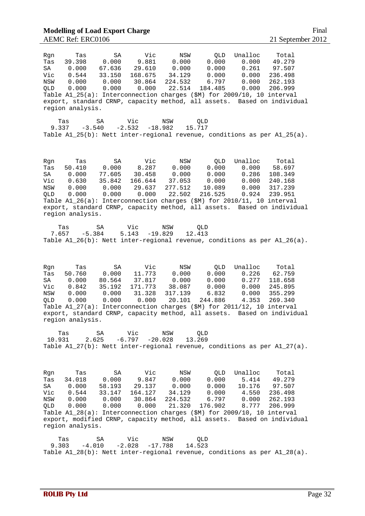| Rgn<br>Tas<br>SA<br>Vic<br>NSW<br>QLD        | Tas<br>39.398<br>0.000<br>0.544<br>0.000<br>0.000<br>region analysis. | SA<br>0.000<br>67.636<br>33.150<br>0.000<br>0.000 | Vic<br>9.881<br>29.610<br>168.675<br>30.864<br>0.000  | NSW<br>0.000<br>0.000<br>34.129<br>224.532<br>22.514<br>Table A1_25(a): Interconnection charges (\$M) for 2009/10, 10 interval<br>export, standard CRNP, capacity method, all assets. | QLD<br>0.000<br>0.000<br>0.000<br>6.797<br>184.485  | Unalloc<br>0.000<br>0.261<br>0.000<br>0.000<br>0.000  | Total<br>49.279<br>97.507<br>236.498<br>262.193<br>206.999<br>Based on individual                                                     |
|----------------------------------------------|-----------------------------------------------------------------------|---------------------------------------------------|-------------------------------------------------------|---------------------------------------------------------------------------------------------------------------------------------------------------------------------------------------|-----------------------------------------------------|-------------------------------------------------------|---------------------------------------------------------------------------------------------------------------------------------------|
| 9.337                                        | Tas<br>$-3.540$                                                       | SΑ<br>$-2.532$                                    | Vic<br>$-18.982$                                      | NSW<br>QLD<br>15.717                                                                                                                                                                  |                                                     |                                                       | Table $A1_25(b)$ : Nett inter-regional revenue, conditions as per $A1_25(a)$ .                                                        |
| Rgn<br>Tas<br>SA<br>Vic<br>NSW<br>QLD        | Tas<br>50.410<br>0.000<br>0.630<br>0.000<br>0.000<br>region analysis. | SA<br>0.000<br>77.605<br>35.842<br>0.000<br>0.000 | Vic<br>8.287<br>30.458<br>166.644<br>29.637<br>0.000  | NSW<br>0.000<br>0.000<br>37.053<br>277.512<br>22.502<br>Table A1_26(a): Interconnection charges (\$M) for 2010/11, 10 interval<br>export, standard CRNP, capacity method, all assets. | QLD<br>0.000<br>0.000<br>0.000<br>10.089<br>216.525 | Unalloc<br>0.000<br>0.286<br>0.000<br>0.000<br>0.924  | Total<br>58.697<br>108.349<br>240.168<br>317.239<br>239.951<br>Based on individual                                                    |
| 7.657                                        | Tas<br>$-5.384$                                                       | SA<br>5.143                                       | Vic<br>$-19.829$                                      | QLD<br>NSW<br>12.413                                                                                                                                                                  |                                                     |                                                       | Table $A1_26(b)$ : Nett inter-regional revenue, conditions as per $A1_26(a)$ .                                                        |
| Rgn<br>Tas<br>SA<br>Vic<br>NSW<br><b>QLD</b> | Tas<br>50.760<br>0.000<br>0.842<br>0.000<br>0.000<br>region analysis. | SA<br>0.000<br>80.564<br>35.192<br>0.000<br>0.000 | Vic<br>11.773<br>37.817<br>171.773<br>31.328<br>0.000 | NSW<br>0.000<br>0.000<br>38.087<br>317.139<br>20.101<br>Table A1_27(a): Interconnection charges (\$M) for 2011/12, 10 interval<br>export, standard CRNP, capacity method, all assets. | QLD<br>0.000<br>0.000<br>0.000<br>6.832<br>244.886  | Unalloc<br>0.226<br>0.277<br>0.000<br>0.000<br>4.353  | Total<br>62.759<br>118.658<br>245.895<br>355.299<br>269.340<br>Based on individual                                                    |
| 10.931                                       | Tas<br>2.625                                                          | SA<br>$-6.797$                                    | Vic<br>$-20.028$                                      | NSW<br>QLD<br>13.269                                                                                                                                                                  |                                                     |                                                       | Table $A1_27(b)$ : Nett inter-regional revenue, conditions as per $A1_27(a)$ .                                                        |
| Rqn<br>Tas<br>SA<br>Vic<br>NSW<br>QLD        | Tas<br>34.018<br>0.000<br>0.544<br>0.000<br>0.000<br>region analysis. | SA<br>0.000<br>58.193<br>33.147<br>0.000<br>0.000 | Vic<br>9.847<br>29.137<br>164.127<br>30.864<br>0.000  | NSW<br>0.000<br>0.000<br>34.129<br>224.532<br>21.320<br>Table A1_28(a): Interconnection charges (\$M) for 2009/10, 10 interval                                                        | QLD<br>0.000<br>0.000<br>0.000<br>6.797<br>176.902  | Unalloc<br>5.414<br>10.176<br>4.550<br>0.000<br>8.777 | Total<br>49.279<br>97.507<br>236.498<br>262.193<br>206.999<br>export, modified CRNP, capacity method, all assets. Based on individual |
| 9.303                                        | Tas<br>$-4.010$                                                       | SA<br>$-2.028$                                    | Vic<br>$-17.788$                                      | NSW<br>QLD<br>14.523                                                                                                                                                                  |                                                     |                                                       | Table A1_28(b): Nett inter-regional revenue, conditions as per A1_28(a).                                                              |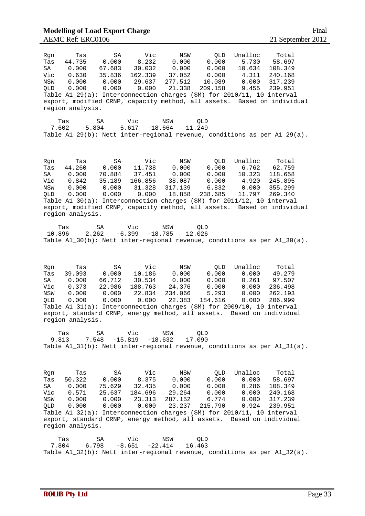| Rgn<br>Tas<br>SA<br>Vic<br>NSW<br>OLD<br>region analysis. | Tas<br>44.735<br>0.000<br>0.630<br>0.000<br>0.000 | SA<br>0.000<br>67.683<br>35.836<br>0.000<br>0.000 | Vic<br>8.232<br>30.032<br>162.339<br>29.637<br>0.000  | NSW<br>0.000<br>0.000<br>37.052<br>277.512<br>21.338 | QLD<br>0.000<br>0.000<br>0.000<br>10.089<br>209.158<br>Table A1_29(a): Interconnection charges (\$M) for 2010/11, 10 interval                                                                                | Unalloc<br>5.730<br>10.634<br>4.311<br>0.000<br>9.455  | Total<br>58.697<br>108.349<br>240.168<br>317.239<br>239.951<br>export, modified CRNP, capacity method, all assets. Based on individual |
|-----------------------------------------------------------|---------------------------------------------------|---------------------------------------------------|-------------------------------------------------------|------------------------------------------------------|--------------------------------------------------------------------------------------------------------------------------------------------------------------------------------------------------------------|--------------------------------------------------------|----------------------------------------------------------------------------------------------------------------------------------------|
| Tas<br>7.602                                              | SA<br>$-5.804$                                    | Vic<br>5.617                                      | NSW<br>$-18.664$                                      | QLD<br>11.249                                        |                                                                                                                                                                                                              |                                                        | Table A1_29(b): Nett inter-regional revenue, conditions as per A1_29(a).                                                               |
| Rgn<br>Tas<br>SA<br>Vic<br>NSW<br>QLD<br>region analysis. | Tas<br>44.260<br>0.000<br>0.842<br>0.000<br>0.000 | SA<br>0.000<br>70.884<br>35.189<br>0.000<br>0.000 | Vic<br>11.738<br>37.451<br>166.856<br>31.328<br>0.000 | NSW<br>0.000<br>0.000<br>38.087<br>317.139<br>18.858 | <b>OLD</b><br>0.000<br>0.000<br>0.000<br>6.832<br>238.685<br>Table A1_30(a): Interconnection charges (\$M) for 2011/12, 10 interval                                                                          | Unalloc<br>6.762<br>10.323<br>4.920<br>0.000<br>11.797 | Total<br>62.759<br>118.658<br>245.895<br>355.299<br>269.340<br>export, modified CRNP, capacity method, all assets. Based on individual |
| Tas<br>10.896                                             | SA<br>2.262                                       | Vic<br>$-6.399$                                   | NSW<br>$-18.785$                                      | QLD<br>12.026                                        |                                                                                                                                                                                                              |                                                        | Table $A1_30(b)$ : Nett inter-regional revenue, conditions as per $A1_30(a)$ .                                                         |
| Rgn<br>Tas<br>SA<br>Vic<br>NSW<br>QLD<br>region analysis. | Tas<br>39.093<br>0.000<br>0.373<br>0.000<br>0.000 | SA<br>0.000<br>66.712<br>22.986<br>0.000<br>0.000 | Vic<br>10.186<br>30.534<br>188.763<br>22.834<br>0.000 | NSW<br>0.000<br>0.000<br>24.376<br>234.066<br>22.383 | <b>OLD</b><br>0.000<br>0.000<br>0.000<br>5.293<br>184.616<br>Table A1_31(a): Interconnection charges (\$M) for 2009/10, 10 interval<br>export, standard CRNP, energy method, all assets. Based on individual | Unalloc<br>0.000<br>0.261<br>0.000<br>0.000<br>0.000   | Total<br>49.279<br>97.507<br>236.498<br>262.193<br>206.999                                                                             |
| Tas<br>9.813                                              | SA<br>7.548                                       | Vic<br>$-15.819$                                  | NSW<br>$-18.632$                                      | QLD<br>17.090                                        |                                                                                                                                                                                                              |                                                        | Table $A1_31(b)$ : Nett inter-regional revenue, conditions as per $A1_31(a)$ .                                                         |
| Rgn<br>Tas<br>SA<br>Vic<br>NSW<br>QLD<br>region analysis. | Tas<br>50.322<br>0.000<br>0.571<br>0.000<br>0.000 | SA<br>0.000<br>75.629<br>25.637<br>0.000<br>0.000 | Vic<br>8.375<br>32.435<br>184.696<br>23.313<br>0.000  | NSW<br>0.000<br>0.000<br>29.264<br>287.152<br>23.237 | QLD<br>0.000<br>0.000<br>0.000<br>6.774<br>215.790<br>Table A1_32(a): Interconnection charges (\$M) for 2010/11, 10 interval<br>export, standard CRNP, energy method, all assets. Based on individual        | Unalloc<br>0.000<br>0.286<br>0.000<br>0.000<br>0.924   | Total<br>58.697<br>108.349<br>240.168<br>317.239<br>239.951                                                                            |
| Tas<br>7.804                                              | SA<br>6.798                                       | Vic<br>$-8.651$                                   | NSW<br>$-22.414$                                      | QLD<br>16.463                                        |                                                                                                                                                                                                              |                                                        | Table $A1_32(b)$ : Nett inter-regional revenue, conditions as per $A1_32(a)$ .                                                         |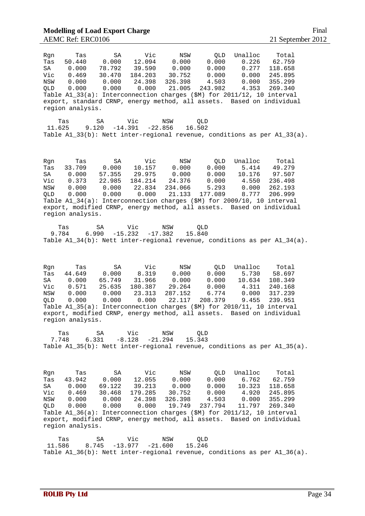| Tas<br>Rgn<br>50.440<br>0.000<br>Tas<br>SA<br>0.000<br>78.792<br>Vic<br>0.469<br>30.470<br>0.000<br>0.000<br>NSW<br>QLD<br>0.000<br>0.000<br>Table A1_33(a): Interconnection charges (\$M) for 2011/12, 10 interval<br>export, standard CRNP, energy method, all assets. Based on individual<br>region analysis.        | Vic<br>SA<br>12.094<br>39.590<br>184.203<br>24.398<br>0.000 | NSW<br>QLD<br>0.000<br>0.000<br>0.000<br>0.000<br>30.752<br>0.000<br>326.398<br>4.503<br>21.005<br>243.982 | Unalloc<br>Total<br>0.226<br>62.759<br>0.277<br>118.658<br>0.000<br>245.895<br>0.000<br>355.299<br>4.353<br>269.340   |  |
|-------------------------------------------------------------------------------------------------------------------------------------------------------------------------------------------------------------------------------------------------------------------------------------------------------------------------|-------------------------------------------------------------|------------------------------------------------------------------------------------------------------------|-----------------------------------------------------------------------------------------------------------------------|--|
| Tas<br>SA<br>11.625<br>9.120                                                                                                                                                                                                                                                                                            | Vic<br>NSW<br>$-14.391$<br>$-22.856$                        | QLD<br>16.502                                                                                              | Table A1_33(b): Nett inter-regional revenue, conditions as per A1_33(a).                                              |  |
| Tas<br>Rgn<br>33.709<br>0.000<br>Tas<br>0.000<br>57.355<br>SA<br>Vic<br>0.373<br>22.985<br>NSW<br>0.000<br>0.000<br>0.000<br><b>OLD</b><br>0.000<br>Table A1_34(a): Interconnection charges (\$M) for 2009/10, 10 interval<br>export, modified CRNP, energy method, all assets. Based on individual<br>region analysis. | Vic<br>SA<br>10.157<br>29.975<br>184.214<br>22.834<br>0.000 | NSW<br>QLD<br>0.000<br>0.000<br>0.000<br>0.000<br>24.376<br>0.000<br>234.066<br>5.293<br>21.133<br>177.089 | Unalloc<br>Total<br>5.414<br>49.279<br>10.176<br>97.507<br>4.550<br>236.498<br>0.000<br>262.193<br>8.777<br>206.999   |  |
| SA<br>Tas<br>6.990<br>9.784                                                                                                                                                                                                                                                                                             | Vic<br>NSW<br>$-15.232$<br>$-17.382$                        | <b>QLD</b><br>15.840                                                                                       | Table $A1_34(b)$ : Nett inter-regional revenue, conditions as per $A1_34(a)$ .                                        |  |
| Rgn<br>Tas<br>44.649<br>0.000<br>Tas<br>0.000<br>65.749<br>SA<br>0.571<br>25.635<br>Vic<br>NSW<br>0.000<br>0.000<br>0.000<br>0.000<br>QLD<br>Table A1_35(a): Interconnection charges (\$M) for 2010/11, 10 interval<br>export, modified CRNP, energy method, all assets. Based on individual<br>region analysis.        | Vic<br>SA<br>8.319<br>31.966<br>180.387<br>23.313<br>0.000  | NSW<br>QLD<br>0.000<br>0.000<br>0.000<br>0.000<br>29.264<br>0.000<br>287.152<br>6.774<br>22.117<br>208.379 | Unalloc<br>Total<br>5.730<br>58.697<br>10.634<br>108.349<br>4.311<br>240.168<br>0.000<br>317.239<br>9.455<br>239.951  |  |
| SA<br>Tas<br>7.748<br>6.331                                                                                                                                                                                                                                                                                             | Vic<br>NSW<br>$-8.128 - 21.294$                             | QLD<br>15.343                                                                                              | Table A1_35(b): Nett inter-regional revenue, conditions as per A1_35(a).                                              |  |
| Tas<br>Rqn<br>43.942<br>0.000<br>Tas<br>SA<br>0.000<br>69.122<br>Vic<br>30.468<br>0.469<br>NSW<br>0.000<br>0.000<br>0.000<br>0.000<br>QLD<br>Table A1_36(a): Interconnection charges (\$M) for 2011/12, 10 interval<br>export, modified CRNP, energy method, all assets. Based on individual<br>region analysis.        | Vic<br>SA<br>12.055<br>39.213<br>179.285<br>24.398<br>0.000 | NSW<br>QLD<br>0.000<br>0.000<br>0.000<br>0.000<br>0.000<br>30.752<br>326.398<br>4.503<br>19.749<br>237.794 | Unalloc<br>Total<br>6.762<br>62.759<br>10.323<br>118.658<br>4.920<br>245.895<br>0.000<br>355.299<br>11.797<br>269.340 |  |
| Tas<br>SA<br>11.586<br>8.745                                                                                                                                                                                                                                                                                            | Vic<br>NSW<br>$-13.977$<br>$-21.600$                        | QLD<br>15.246                                                                                              | Table A1_36(b): Nett inter-regional revenue, conditions as per A1_36(a).                                              |  |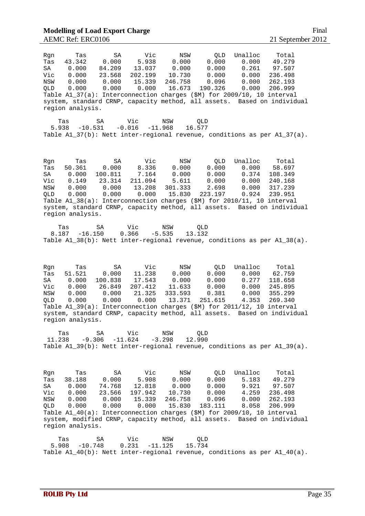| Tas<br>Rgn<br>43.342<br>Tas<br>SA<br>0.000<br>Vic<br>0.000<br>0.000<br>NSW<br>QLD<br>0.000<br>Table A1_37(a): Interconnection charges (\$M) for 2009/10, 10 interval<br>system, standard CRNP, capacity method, all assets. Based on individual<br>region analysis.        | Vic<br>SA<br>0.000<br>5.938<br>84.209<br>13.037<br>23.568<br>202.199<br>0.000<br>15.339<br>0.000<br>0.000   | NSW<br>0.000<br>0.000<br>10.730<br>246.758<br>16.673 | Unalloc<br>QLD<br>0.000<br>0.000<br>0.000<br>0.096<br>190.326 | Total<br>0.000<br>49.279<br>0.261<br>97.507<br>0.000<br>236.498<br>0.000<br>262.193<br>0.000<br>206.999  |
|----------------------------------------------------------------------------------------------------------------------------------------------------------------------------------------------------------------------------------------------------------------------------|-------------------------------------------------------------------------------------------------------------|------------------------------------------------------|---------------------------------------------------------------|----------------------------------------------------------------------------------------------------------|
| Tas<br>SΑ<br>5.938<br>$-10.531$<br>Table A1_37(b): Nett inter-regional revenue, conditions as per A1_37(a).                                                                                                                                                                | Vic<br>$-0.016$<br>$-11.968$                                                                                | QLD<br>NSW<br>16.577                                 |                                                               |                                                                                                          |
| Tas<br>Rgn<br>50.361<br>Tas<br>0.000<br>SA<br>Vic<br>0.149<br>NSW<br>0.000<br><b>QLD</b><br>0.000<br>Table A1_38(a): Interconnection charges (\$M) for 2010/11, 10 interval<br>system, standard CRNP, capacity method, all assets. Based on individual<br>region analysis. | Vic<br>SA<br>0.000<br>8.336<br>100.811<br>7.164<br>23.314<br>211.094<br>0.000<br>13.208<br>0.000<br>0.000   | NSW<br>0.000<br>0.000<br>5.611<br>301.333<br>15.830  | Unalloc<br>QLD<br>0.000<br>0.000<br>0.000<br>2.698<br>223.197 | Total<br>0.000<br>58.697<br>0.374<br>108.349<br>0.000<br>240.168<br>0.000<br>317.239<br>0.924<br>239.951 |
| SA<br>Tas<br>$-16.150$<br>8.187<br>Table A1_38(b): Nett inter-regional revenue, conditions as per A1_38(a).                                                                                                                                                                | Vic<br>0.366<br>$-5.535$                                                                                    | NSW<br><b>QLD</b><br>13.132                          |                                                               |                                                                                                          |
| Rgn<br>Tas<br>51.521<br>Tas<br>0.000<br>SA<br>0.000<br>Vic<br>NSW<br>0.000<br>0.000<br>QLD<br>Table A1_39(a): Interconnection charges (\$M) for 2011/12, 10 interval<br>system, standard CRNP, capacity method, all assets. Based on individual<br>region analysis.        | Vic<br>SA<br>0.000<br>11.238<br>100.838<br>17.543<br>26.849<br>207.412<br>0.000<br>21.325<br>0.000<br>0.000 | NSW<br>0.000<br>0.000<br>11.633<br>333.593<br>13.371 | Unalloc<br>QLD<br>0.000<br>0.000<br>0.000<br>0.381<br>251.615 | Total<br>0.000<br>62.759<br>0.277<br>118.658<br>0.000<br>245.895<br>0.000<br>355.299<br>4.353<br>269.340 |
| SA<br>Tas<br>11.238<br>$-9.306$<br>Table A1_39(b): Nett inter-regional revenue, conditions as per A1_39(a).                                                                                                                                                                | Vic<br>$-11.624$<br>$-3.298$                                                                                | $_{\rm NSW}$<br>QLD<br>12.990                        |                                                               |                                                                                                          |
| Tas<br>Rgn<br>38.188<br>Tas<br>SA<br>0.000<br>Vic<br>0.000<br>NSW<br>0.000<br>0.000<br>QLD<br>Table A1_40(a): Interconnection charges (\$M) for 2009/10, 10 interval<br>system, modified CRNP, capacity method, all assets. Based on individual<br>region analysis.        | Vic<br>SA<br>0.000<br>5.908<br>74.768<br>12.818<br>197.942<br>23.566<br>0.000<br>15.339<br>0.000<br>0.000   | NSW<br>0.000<br>0.000<br>10.730<br>246.758<br>15.830 | QLD<br>Unalloc<br>0.000<br>0.000<br>0.000<br>0.096<br>183.111 | Total<br>5.183<br>49.279<br>9.921<br>97.507<br>4.259<br>236.498<br>0.000<br>262.193<br>8.058<br>206.999  |
| SA<br>Tas<br>5.908<br>$-10.748$<br>Table $A1_40(b)$ : Nett inter-regional revenue, conditions as per $A1_40(a)$ .                                                                                                                                                          | Vic<br>0.231<br>$-11.125$                                                                                   | NSW<br>QLD<br>15.734                                 |                                                               |                                                                                                          |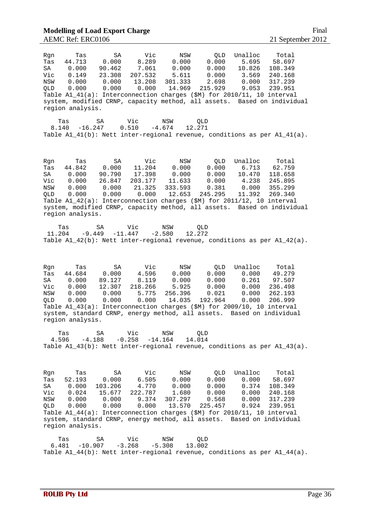| Rgn<br>Tas<br>SA<br>Vic<br>NSW<br>QLD<br>region analysis. | Tas<br>44.713<br>0.000<br>0.149<br>0.000<br>0.000 | SA<br>0.000<br>90.462<br>23.308<br>0.000<br>0.000  | Vic<br>8.289<br>7.061<br>207.532<br>13.208<br>0.000   | NSW<br>0.000<br>0.000<br>5.611<br>301.333<br>14.969<br>Table A1_41(a): Interconnection charges (\$M) for 2010/11, 10 interval                                                                          | <b>QLD</b><br>0.000<br>0.000<br>0.000<br>2.698<br>215.929 | Unalloc<br>5.695<br>10.826<br>3.569<br>0.000<br>9.053  | Total<br>58.697<br>108.349<br>240.168<br>317.239<br>239.951<br>system, modified CRNP, capacity method, all assets. Based on individual |
|-----------------------------------------------------------|---------------------------------------------------|----------------------------------------------------|-------------------------------------------------------|--------------------------------------------------------------------------------------------------------------------------------------------------------------------------------------------------------|-----------------------------------------------------------|--------------------------------------------------------|----------------------------------------------------------------------------------------------------------------------------------------|
| Tas<br>8.140                                              | SA<br>$-16.247$                                   | Vic<br>0.510                                       | NSW<br>$-4.674$                                       | <b>QLD</b><br>12.271                                                                                                                                                                                   |                                                           |                                                        | Table $A1_41(b)$ : Nett inter-regional revenue, conditions as per $A1_41(a)$ .                                                         |
| Rgn<br>Tas<br>SA<br>Vic<br>NSW<br>QLD<br>region analysis. | Tas<br>44.842<br>0.000<br>0.000<br>0.000<br>0.000 | SA<br>0.000<br>90.790<br>26.847<br>0.000<br>0.000  | Vic<br>11.204<br>17.398<br>203.177<br>21.325<br>0.000 | NSW<br>0.000<br>0.000<br>11.633<br>333.593<br>12.653<br>Table A1_42(a): Interconnection charges (\$M) for 2011/12, 10 interval                                                                         | QLD<br>0.000<br>0.000<br>0.000<br>0.381<br>245.295        | Unalloc<br>6.713<br>10.470<br>4.238<br>0.000<br>11.392 | Total<br>62.759<br>118.658<br>245.895<br>355.299<br>269.340<br>system, modified CRNP, capacity method, all assets. Based on individual |
| Tas<br>11.204                                             | SA<br>$-9.449$                                    | Vic<br>$-11.447$                                   | NSW<br>$-2.580$                                       | QLD<br>12.272                                                                                                                                                                                          |                                                           |                                                        | Table A1_42(b): Nett inter-regional revenue, conditions as per A1_42(a).                                                               |
| Rgn<br>Tas<br>SA<br>Vic<br>NSW<br>QLD<br>region analysis. | Tas<br>44.684<br>0.000<br>0.000<br>0.000<br>0.000 | SA<br>0.000<br>89.127<br>12.307<br>0.000<br>0.000  | Vic<br>4.596<br>8.119<br>218.266<br>5.775<br>0.000    | NSW<br>0.000<br>0.000<br>5.925<br>256.396<br>14.035<br>Table A1_43(a): Interconnection charges (\$M) for 2009/10, 10 interval<br>system, standard CRNP, energy method, all assets. Based on individual | QLD<br>0.000<br>0.000<br>0.000<br>0.021<br>192.964        | Unalloc<br>0.000<br>0.261<br>0.000<br>0.000<br>0.000   | Total<br>49.279<br>97.507<br>236.498<br>262.193<br>206.999                                                                             |
| Tas<br>4.596                                              | SA<br>$-4.188$                                    | Vic<br>$-0.258$                                    | NSW<br>$-14.164$                                      | QLD<br>14.014                                                                                                                                                                                          |                                                           |                                                        | Table $A1_43(b)$ : Nett inter-regional revenue, conditions as per $A1_43(a)$ .                                                         |
| Rgn<br>Tas<br>SA<br>Vic<br>NSW<br>QLD<br>region analysis. | Tas<br>52.193<br>0.000<br>0.024<br>0.000<br>0.000 | SA<br>0.000<br>103.206<br>15.677<br>0.000<br>0.000 | Vic<br>6.505<br>4.770<br>222.787<br>9.374<br>0.000    | NSW<br>0.000<br>0.000<br>1.680<br>307.297<br>13.570<br>Table A1_44(a): Interconnection charges (\$M) for 2010/11, 10 interval<br>system, standard CRNP, energy method, all assets. Based on individual | QLD<br>0.000<br>0.000<br>0.000<br>0.568<br>225.457        | Unalloc<br>0.000<br>0.374<br>0.000<br>0.000<br>0.924   | Total<br>58.697<br>108.349<br>240.168<br>317.239<br>239.951                                                                            |
| Tas<br>6.481                                              | SA<br>$-10.907$                                   | Vic<br>$-3.268$                                    | NSW<br>$-5.308$                                       | QLD<br>13.002                                                                                                                                                                                          |                                                           |                                                        | Table $A1_4( b)$ : Nett inter-regional revenue, conditions as per $A1_4( a)$ .                                                         |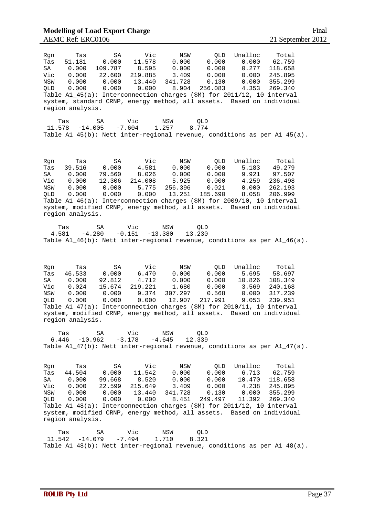| Tas<br>Rqn<br>51.181<br>Tas<br>SA<br>0.000<br>0.000<br>Vic<br>NSW<br>0.000<br>QLD<br>0.000<br>Table A1_45(a): Interconnection charges (\$M) for 2011/12, 10 interval<br>system, standard CRNP, energy method, all assets. Based on individual<br>region analysis. | SA<br>0.000<br>109.787<br>22.600<br>0.000<br>0.000 | Vic<br>11.578<br>8.595<br>219.885<br>13.440<br>0.000 | <b>NSW</b><br>0.000<br>0.000<br>3.409<br>341.728<br>8.904 | <b>QLD</b><br>0.000<br>0.000<br>0.000<br>0.130<br>256.083 | Unalloc<br>0.000<br>0.277<br>0.000<br>0.000<br>4.353   | Total<br>62.759<br>118.658<br>245.895<br>355.299<br>269.340 |
|-------------------------------------------------------------------------------------------------------------------------------------------------------------------------------------------------------------------------------------------------------------------|----------------------------------------------------|------------------------------------------------------|-----------------------------------------------------------|-----------------------------------------------------------|--------------------------------------------------------|-------------------------------------------------------------|
| Tas<br>11.578<br>Table $A1_45(b)$ : Nett inter-regional revenue, conditions as per $A1_45(a)$ .                                                                                                                                                                   | SA<br>$-7.604$<br>$-14.005$                        | Vic<br>1.257                                         | NSW<br>QLD<br>8.774                                       |                                                           |                                                        |                                                             |
| Rgn<br>Tas<br>39.516<br>Tas<br>0.000<br>SA<br>Vic<br>0.000<br>0.000<br>NSW<br>0.000<br>QLD<br>Table A1_46(a): Interconnection charges (\$M) for 2009/10, 10 interval<br>system, modified CRNP, energy method, all assets. Based on individual<br>region analysis. | SA<br>0.000<br>79.560<br>12.306<br>0.000<br>0.000  | Vic<br>4.581<br>8.026<br>214.008<br>5.775<br>0.000   | NSW<br>0.000<br>0.000<br>5.925<br>256.396<br>13.251       | QLD<br>0.000<br>0.000<br>0.000<br>0.021<br>185.690        | Unalloc<br>5.183<br>9.921<br>4.259<br>0.000<br>8.058   | Total<br>49.279<br>97.507<br>236.498<br>262.193<br>206.999  |
| Tas<br>4.581<br>Table $Al_46(b)$ : Nett inter-regional revenue, conditions as per $Al_46(a)$ .                                                                                                                                                                    | SA<br>$-0.151$<br>$-4.280$                         | Vic<br>$-13.380$                                     | NSW<br>QLD<br>13.230                                      |                                                           |                                                        |                                                             |
| Tas<br>Rgn<br>46.533<br>Tas<br>SA<br>0.000<br>Vic<br>0.024<br>NSW<br>0.000<br>QLD<br>0.000<br>Table A1_47(a): Interconnection charges (\$M) for 2010/11, 10 interval<br>system, modified CRNP, energy method, all assets. Based on individual<br>region analysis. | SA<br>0.000<br>92.812<br>15.674<br>0.000<br>0.000  | Vic<br>6.470<br>4.712<br>219.221<br>9.374<br>0.000   | NSW<br>0.000<br>0.000<br>1.680<br>307.297<br>12.907       | QLD<br>0.000<br>0.000<br>0.000<br>0.568<br>217.991        | Unalloc<br>5.695<br>10.826<br>3.569<br>0.000<br>9.053  | Total<br>58.697<br>108.349<br>240.168<br>317.239<br>239.951 |
| Tas<br>6.446<br>Table $A1_47(b)$ : Nett inter-regional revenue, conditions as per $A1_47(a)$ .                                                                                                                                                                    | SA<br>$-10.962$<br>$-3.178$                        | Vic<br>$-4.645$                                      | NSW<br>QLD<br>12.339                                      |                                                           |                                                        |                                                             |
| Rgn<br>Tas<br>44.504<br>Tas<br>SA<br>0.000<br>Vic<br>0.000<br>NSW<br>0.000<br>0.000<br>QLD<br>Table A1_48(a): Interconnection charges (\$M) for 2011/12, 10 interval<br>system, modified CRNP, energy method, all assets. Based on individual<br>region analysis. | SA<br>0.000<br>99.668<br>22.599<br>0.000<br>0.000  | Vic<br>11.542<br>8.520<br>215.649<br>13.440<br>0.000 | NSW<br>0.000<br>0.000<br>3.409<br>341.728<br>8.451        | QLD<br>0.000<br>0.000<br>0.000<br>0.130<br>249.497        | Unalloc<br>6.713<br>10.470<br>4.238<br>0.000<br>11.392 | Total<br>62.759<br>118.658<br>245.895<br>355.299<br>269.340 |
| Tas<br>11.542<br>Table $A1_48(b)$ : Nett inter-regional revenue, conditions as per $A1_48(a)$ .                                                                                                                                                                   | SA<br>$-14.079$<br>$-7.494$                        | Vic<br>1.710                                         | NSW<br>QLD<br>8.321                                       |                                                           |                                                        |                                                             |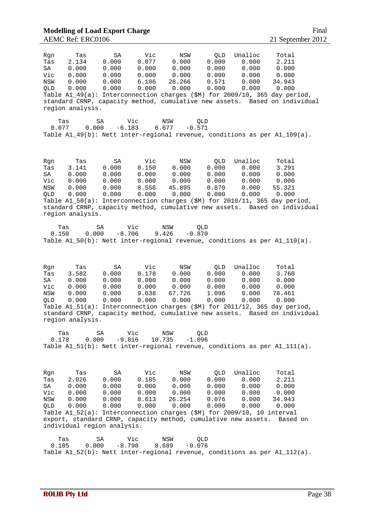| Rgn<br>Tas<br>SA<br>Vic<br>NSW<br>QLD        | Tas<br>2.134<br>0.000<br>0.000<br>0.000<br>0.000<br>region analysis.            | SA<br>0.000<br>0.000<br>0.000<br>0.000<br>0.000 | Vic<br>0.077<br>0.000<br>0.000<br>6.106<br>0.000 | NSW<br>0.000<br>0.000<br>0.000<br>28.266<br>0.000                                                                                                                                             | QLD<br>0.000<br>0.000<br>0.000<br>0.571<br>0.000 | Unalloc<br>0.000<br>0.000<br>0.000<br>0.000<br>0.000 | Total<br>2.211<br>0.000<br>0.000<br>34.943<br>0.000<br>Table A1_49(a): Interconnection charges (\$M) for 2009/10, 365 day period,<br>standard CRNP, capacity method, cumulative new assets. Based on individual |
|----------------------------------------------|---------------------------------------------------------------------------------|-------------------------------------------------|--------------------------------------------------|-----------------------------------------------------------------------------------------------------------------------------------------------------------------------------------------------|--------------------------------------------------|------------------------------------------------------|-----------------------------------------------------------------------------------------------------------------------------------------------------------------------------------------------------------------|
| Tas<br>0.077                                 | 0.000                                                                           | Vic<br>SΑ<br>$-6.183$                           | 6.677                                            | NSW<br><b>QLD</b><br>$-0.571$                                                                                                                                                                 |                                                  |                                                      | Table $A1_49(b)$ : Nett inter-regional revenue, conditions as per $A1_109(a)$ .                                                                                                                                 |
| Rgn<br>Tas<br>SA<br>Vic<br>NSW<br><b>QLD</b> | Tas<br>3.141<br>0.000<br>0.000<br>0.000<br>0.000<br>region analysis.            | SA<br>0.000<br>0.000<br>0.000<br>0.000<br>0.000 | Vic<br>0.150<br>0.000<br>0.000<br>8.556<br>0.000 | NSW<br>0.000<br>0.000<br>0.000<br>45.895<br>0.000                                                                                                                                             | QLD<br>0.000<br>0.000<br>0.000<br>0.870<br>0.000 | Unalloc<br>0.000<br>0.000<br>0.000<br>0.000<br>0.000 | Total<br>3.291<br>0.000<br>0.000<br>55.321<br>0.000<br>Table A1_50(a): Interconnection charges (\$M) for 2010/11, 365 day period,<br>standard CRNP, capacity method, cumulative new assets. Based on individual |
| Tas<br>0.150                                 | 0.000                                                                           | Vic<br>SA<br>$-8.706$                           | 9.426                                            | NSW<br>QLD<br>$-0.870$                                                                                                                                                                        |                                                  |                                                      | Table $A1_50(b)$ : Nett inter-regional revenue, conditions as per $A1_110(a)$ .                                                                                                                                 |
| Rgn<br>Tas<br>SA<br>Vic<br>NSW<br>QLD        | Tas<br>3.582<br>0.000<br>0.000<br>0.000<br>0.000<br>region analysis             | SA<br>0.000<br>0.000<br>0.000<br>0.000<br>0.000 | Vic<br>0.178<br>0.000<br>0.000<br>9.638<br>0.000 | $_{\rm NSW}$<br>0.000<br>0.000<br>0.000<br>67.726<br>0.000                                                                                                                                    | QLD<br>0.000<br>0.000<br>0.000<br>1.096<br>0.000 | Unalloc<br>0.000<br>0.000<br>0.000<br>0.000<br>0.000 | Total<br>3.760<br>0.000<br>0.000<br>78.461<br>0.000<br>Table A1_51(a): Interconnection charges (\$M) for 2011/12, 365 day period,<br>standard CRNP, capacity method, cumulative new assets. Based on individual |
| Tas<br>0.178                                 | 0.000                                                                           | Vic<br>SA<br>$-9.816$                           | 10.735                                           | <b>NSW</b><br>QLD<br>$-1.096$                                                                                                                                                                 |                                                  |                                                      | Table $A1_51(b)$ : Nett inter-regional revenue, conditions as per $A1_111(a)$ .                                                                                                                                 |
| Rgn<br>Tas<br>SA<br>Vic<br>NSW<br>QLD        | Tas<br>2.026<br>0.000<br>0.000<br>0.000<br>0.000<br>individual region analysis. | SA<br>0.000<br>0.000<br>0.000<br>0.000<br>0.000 | Vic<br>0.185<br>0.000<br>0.000<br>8.613<br>0.000 | NSW<br>0.000<br>0.000<br>0.000<br>26.254<br>0.000<br>Table A1_52(a): Interconnection charges (\$M) for 2009/10, 10 interval<br>export, standard CRNP, capacity method, cumulative new assets. | QLD<br>0.000<br>0.000<br>0.000<br>0.076<br>0.000 | Unalloc<br>0.000<br>0.000<br>0.000<br>0.000<br>0.000 | Total<br>2.211<br>0.000<br>0.000<br>34.943<br>0.000<br>Based on                                                                                                                                                 |
| Tas<br>0.185                                 | 0.000                                                                           | SA<br>Vic<br>$-8.798$                           | 8.689                                            | NSW<br>QLD<br>$-0.076$                                                                                                                                                                        |                                                  |                                                      | Table $A1_52(b)$ : Nett inter-regional revenue, conditions as per $A1_112(a)$ .                                                                                                                                 |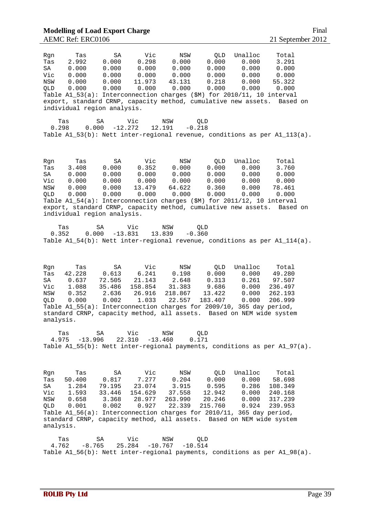| Tas<br>Rgn<br>2.992<br>Tas<br>SA<br>0.000<br>Vic<br>0.000<br>0.000<br>NSW<br>QLD<br>0.000<br>individual region analysis.                     | Vic<br>SA<br>0.000<br>0.298<br>0.000<br>0.000<br>0.000<br>0.000<br>0.000<br>11.973<br>0.000<br>0.000<br>Table A1_53(a): Interconnection charges (\$M) for 2010/11, 10 interval<br>export, standard CRNP, capacity method, cumulative new assets.          | NSW<br>0.000<br>0.000<br>0.000<br>43.131<br>0.000               | QLD<br>0.000<br>0.000<br>0.000<br>0.218<br>0.000     | Unalloc<br>Total<br>0.000<br>3.291<br>0.000<br>0.000<br>0.000<br>0.000<br>0.000<br>55.322<br>0.000<br>0.000         | Based on |
|----------------------------------------------------------------------------------------------------------------------------------------------|-----------------------------------------------------------------------------------------------------------------------------------------------------------------------------------------------------------------------------------------------------------|-----------------------------------------------------------------|------------------------------------------------------|---------------------------------------------------------------------------------------------------------------------|----------|
| Tas<br>SА<br>0.298<br>0.000                                                                                                                  | Vic<br>$-12.272$<br>Table $A1_53(b)$ : Nett inter-regional revenue, conditions as per $A1_113(a)$ .                                                                                                                                                       | NSW<br><b>QLD</b><br>12.191<br>$-0.218$                         |                                                      |                                                                                                                     |          |
| Tas<br>Rgn<br>3.408<br>Tas<br>0.000<br>SA<br>Vic<br>0.000<br>NSW<br>0.000<br><b>OLD</b><br>0.000<br>individual region analysis.<br>Tas<br>SA | Vic<br>SA<br>0.000<br>0.352<br>0.000<br>0.000<br>0.000<br>0.000<br>0.000<br>13.479<br>0.000<br>0.000<br>Table A1_54(a): Interconnection charges (\$M) for 2011/12, 10 interval<br>export, standard CRNP, capacity method, cumulative new assets.<br>Vic   | NSW<br>0.000<br>0.000<br>0.000<br>64.622<br>0.000<br>NSW<br>QLD | QLD<br>0.000<br>0.000<br>0.000<br>0.360<br>0.000     | Unalloc<br>Total<br>0.000<br>3.760<br>0.000<br>0.000<br>0.000<br>0.000<br>0.000<br>78.461<br>0.000<br>0.000         | Based on |
| 0.000<br>0.352                                                                                                                               | $-13.831$<br>Table $A1_54(b)$ : Nett inter-regional revenue, conditions as per $A1_114(a)$ .                                                                                                                                                              | 13.839<br>$-0.360$                                              |                                                      |                                                                                                                     |          |
| Rgn<br>Tas<br>42.228<br>Tas<br>0.637<br>SA<br>Vic<br>1.088<br>NSW<br>0.352<br>0.000<br>QLD<br>analysis.                                      | SA<br>Vic<br>0.613<br>6.241<br>72.505<br>21.143<br>35.486<br>158.854<br>2.636<br>26.916<br>1.033<br>0.002<br>Table A1_55(a): Interconnection charges for 2009/10, 365 day period,<br>standard CRNP, capacity method, all assets. Based on NEM wide system | NSW<br>0.198<br>2.648<br>31.383<br>218.867<br>22.557            | QLD<br>0.000<br>0.313<br>9.686<br>13.422<br>183.407  | Unalloc<br>Total<br>0.000<br>49.280<br>0.261<br>97.507<br>0.000<br>236.497<br>0.000<br>262.193<br>0.000<br>206.999  |          |
| SA<br>Tas<br>4.975<br>$-13.996$                                                                                                              | Vic<br>22.310<br>$-13.460$<br>Table $A1_55(b)$ : Nett inter-regional payments, conditions as per $A1_97(a)$ .                                                                                                                                             | NSW<br><b>QLD</b><br>0.171                                      |                                                      |                                                                                                                     |          |
| Tas<br>Rgn<br>50.400<br>Tas<br>SA<br>1.284<br>Vic<br>1.593<br>NSW<br>0.658<br>0.001<br>QLD<br>analysis.                                      | Vic<br>SA<br>0.817<br>7.277<br>79.195<br>23.074<br>33.446<br>154.629<br>3.368<br>28.977<br>0.927<br>0.002<br>Table A1_56(a): Interconnection charges for 2010/11, 365 day period,<br>standard CRNP, capacity method, all assets. Based on NEM wide system | NSW<br>0.204<br>3.915<br>37.558<br>263.990<br>22.339            | QLD<br>0.000<br>0.595<br>12.942<br>20.246<br>215.760 | Unalloc<br>Total<br>0.000<br>58.698<br>0.286<br>108.349<br>0.000<br>240.168<br>0.000<br>317.239<br>0.924<br>239.953 |          |
| SA<br>Tas<br>4.762<br>$-8.765$                                                                                                               | Vic<br>25.284<br>$-10.767$<br>Table $A1_56(b)$ : Nett inter-regional payments, conditions as per $A1_98(a)$ .                                                                                                                                             | NSW<br>QLD<br>$-10.514$                                         |                                                      |                                                                                                                     |          |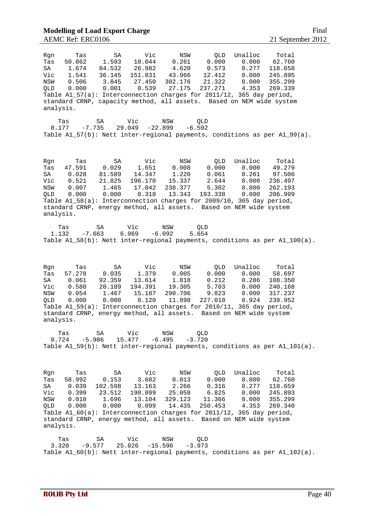| Rqn<br>Tas<br>SA<br>Vic<br>NSW<br>QLD<br>analysis. | Tas<br>50.862<br>1.674<br>1.541<br>0.506<br>0.000 | SA<br>1.593<br>84.532<br>36.145<br>3.845<br>0.001  | Vic<br>10.044<br>26.982<br>151.831<br>27.450<br>0.539 | NSW<br>0.261<br>4.620<br>43.966<br>302.176<br>27.175 | QLD<br>0.000<br>0.573<br>12.412<br>21.322<br>237.271<br>Table A1_57(a): Interconnection charges for 2011/12, 365 day period,<br>standard CRNP, capacity method, all assets. Based on NEM wide system | Unalloc<br>0.000<br>0.277<br>0.000<br>0.000<br>4.353 | Total<br>62.760<br>118.658<br>245.895<br>355.299<br>269.339                      |
|----------------------------------------------------|---------------------------------------------------|----------------------------------------------------|-------------------------------------------------------|------------------------------------------------------|------------------------------------------------------------------------------------------------------------------------------------------------------------------------------------------------------|------------------------------------------------------|----------------------------------------------------------------------------------|
| 8.177                                              | Tas                                               | SA<br>$-7.735$                                     | Vic<br>29.049<br>$-22.899$                            | NSW                                                  | QLD<br>$-6.592$                                                                                                                                                                                      |                                                      | Table A1_57(b): Nett inter-regional payments, conditions as per A1_99(a).        |
| Rgn<br>Tas<br>SA<br>Vic<br>NSW<br>QLD<br>analysis. | Tas<br>47.591<br>0.028<br>0.521<br>0.007<br>0.000 | SA<br>0.029<br>81.589<br>21.825<br>1.465<br>0.000  | Vic<br>1.651<br>14.347<br>196.170<br>17.042<br>0.318  | NSW<br>0.008<br>1.220<br>15.337<br>238.377<br>13.343 | QLD<br>0.000<br>0.061<br>2.644<br>5.302<br>193.338<br>Table A1_58(a): Interconnection charges for 2009/10, 365 day period,<br>standard CRNP, energy method, all assets. Based on NEM wide system     | Unalloc<br>0.000<br>0.261<br>0.000<br>0.000<br>0.000 | Total<br>49.279<br>97.506<br>236.497<br>262.193<br>206.999                       |
| 1.132                                              | Tas                                               | SA<br>$-7.663$                                     | Vic<br>6.969                                          | NSW<br>$-6.092$                                      | OLD<br>5.654                                                                                                                                                                                         |                                                      | Table A1_58(b): Nett inter-regional payments, conditions as per A1_100(a).       |
| Rgn<br>Tas<br>SA<br>Vic<br>NSW<br>QLD<br>analysis. | Tas<br>57.278<br>0.061<br>0.580<br>0.054<br>0.000 | SA<br>0.035<br>92.359<br>20.189<br>1.467<br>0.000  | Vic<br>1.379<br>13.614<br>194.391<br>15.187<br>0.120  | NSW<br>0.005<br>1.818<br>19.305<br>290.706<br>11.898 | QLD<br>0.000<br>0.212<br>5.703<br>9.823<br>227.010<br>Table A1_59(a): Interconnection charges for 2010/11, 365 day period,<br>standard CRNP, energy method, all assets. Based on NEM wide system     | Unalloc<br>0.000<br>0.286<br>0.000<br>0.000<br>0.924 | Total<br>58.697<br>108.350<br>240.168<br>317.237<br>239.952                      |
| 0.724                                              | Tas                                               | SA<br>$-5.986$                                     | Vic<br>15.477                                         | NSW<br>$-6.495$                                      | QLD<br>$-3.720$                                                                                                                                                                                      |                                                      | Table $A1_59(b)$ : Nett inter-regional payments, conditions as per $A1_101(a)$ . |
| Rgn<br>Tas<br>SA<br>Vic<br>NSW<br>QLD<br>analysis. | Tas<br>58.992<br>0.039<br>0.399<br>0.010<br>0.000 | SA<br>0.153<br>102.598<br>23.512<br>1.696<br>0.000 | Vic<br>3.602<br>13.163<br>190.099<br>13.104<br>0.099  | NSW<br>0.013<br>2.266<br>25.058<br>329.123<br>14.435 | QLD<br>0.000<br>0.316<br>6.825<br>11.366<br>250.453<br>Table A1_60(a): Interconnection charges for 2011/12, 365 day period,<br>standard CRNP, energy method, all assets. Based on NEM wide system    | Unalloc<br>0.000<br>0.277<br>0.000<br>0.000<br>4.353 | Total<br>62.760<br>118.659<br>245.893<br>355.299<br>269.340                      |
| 3.320                                              | Tas                                               | SA<br>$-9.577$<br>25.826                           | Vic<br>$-15.596$                                      | NSW                                                  | QLD<br>$-3.973$                                                                                                                                                                                      |                                                      | Table $A1_60(b)$ : Nett inter-regional payments, conditions as per $A1_102(a)$ . |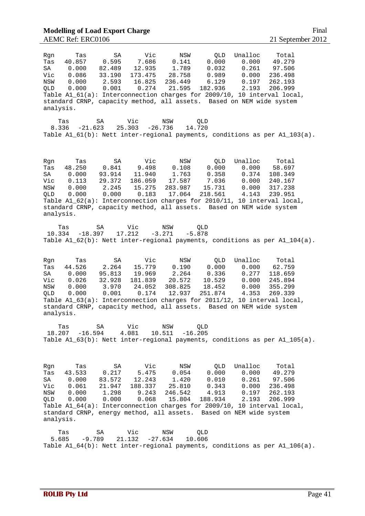| Rgn<br>Tas<br>SA<br>Vic<br>NSW<br>QLD<br>analysis.        |     | Tas<br>40.857<br>0.000<br>0.086<br>0.000<br>0.000 |    | SA<br>0.595<br>82.489<br>33.190<br>2.593<br>0.001 |               | Vic<br>7.686<br>12.935<br>173.475<br>16.825<br>0.274  |                 | NSW<br>0.141<br>1.789<br>28.758<br>236.449<br>21.595 |                 | QLD<br>0.000<br>0.032<br>0.989<br>6.129<br>182.936   | Unalloc | 0.000<br>0.261<br>0.000<br>0.197<br>2.193 | Total<br>49.279<br>97.506<br>236.498<br>262.193<br>206.999<br>Table A1_61(a): Interconnection charges for 2009/10, 10 interval local,<br>standard CRNP, capacity method, all assets. Based on NEM wide system  |  |
|-----------------------------------------------------------|-----|---------------------------------------------------|----|---------------------------------------------------|---------------|-------------------------------------------------------|-----------------|------------------------------------------------------|-----------------|------------------------------------------------------|---------|-------------------------------------------|----------------------------------------------------------------------------------------------------------------------------------------------------------------------------------------------------------------|--|
| 8.336                                                     | Tas | $-21.623$                                         | SA |                                                   | Vic<br>25.303 | $-26.736$                                             | NSW             |                                                      | QLD<br>14.720   |                                                      |         |                                           | Table $A1_61(b)$ : Nett inter-regional payments, conditions as per $A1_103(a)$ .                                                                                                                               |  |
| Rgn<br>Tas<br>SA<br>Vic<br>NSW<br><b>OLD</b><br>analysis. |     | Tas<br>48.250<br>0.000<br>0.113<br>0.000<br>0.000 |    | SA<br>0.841<br>93.914<br>29.372<br>2.245<br>0.000 |               | Vic<br>9.498<br>11.940<br>186.059<br>15.275<br>0.183  |                 | NSW<br>0.108<br>1.763<br>17.587<br>283.987<br>17.064 |                 | QLD<br>0.000<br>0.358<br>7.036<br>15.731<br>218.561  | Unalloc | 0.000<br>0.374<br>0.000<br>0.000<br>4.143 | Total<br>58.697<br>108.349<br>240.167<br>317.238<br>239.951<br>Table A1_62(a): Interconnection charges for 2010/11, 10 interval local,<br>standard CRNP, capacity method, all assets. Based on NEM wide system |  |
| 10.334                                                    | Tas | $-18.397$                                         | SA |                                                   | Vic<br>17.212 |                                                       | NSW<br>$-3.271$ |                                                      | QLD<br>$-5.878$ |                                                      |         |                                           | Table A1_62(b): Nett inter-regional payments, conditions as per A1_104(a).                                                                                                                                     |  |
| Rgn<br>Tas<br>SA<br>Vic<br>NSW<br>QLD<br>analysis.        |     | Tas<br>44.526<br>0.000<br>0.026<br>0.000<br>0.000 |    | SA<br>2.264<br>95.813<br>32.928<br>3.970<br>0.001 |               | Vic<br>15.779<br>19.969<br>181.839<br>24.052<br>0.174 |                 | NSW<br>0.190<br>2.264<br>20.572<br>308.825<br>12.937 |                 | QLD<br>0.000<br>0.336<br>10.529<br>18.452<br>251.874 | Unalloc | 0.000<br>0.277<br>0.000<br>0.000<br>4.353 | Total<br>62.759<br>118.659<br>245.894<br>355.299<br>269.339<br>Table A1_63(a): Interconnection charges for 2011/12, 10 interval local,<br>standard CRNP, capacity method, all assets. Based on NEM wide system |  |
| 18.207                                                    | Tas | $-16.594$                                         | SA |                                                   | Vic<br>4.081  |                                                       | NSW             | $10.511 - 16.205$                                    | QLD             |                                                      |         |                                           | Table A1_63(b): Nett inter-regional payments, conditions as per A1_105(a).                                                                                                                                     |  |
| Rgn<br>Tas<br>SA<br>Vic<br>NSW<br>QLD<br>analysis.        |     | Tas<br>43.533<br>0.000<br>0.061<br>0.000<br>0.000 |    | SA<br>0.217<br>83.572<br>21.947<br>1.298<br>0.000 |               | Vic<br>5.475<br>12.243<br>188.337<br>9.243<br>0.068   |                 | NSW<br>0.054<br>1.420<br>25.810<br>246.542<br>15.804 |                 | QLD<br>0.000<br>0.010<br>0.343<br>4.913<br>188.934   | Unalloc | 0.000<br>0.261<br>0.000<br>0.197<br>2.193 | Total<br>49.279<br>97.506<br>236.498<br>262.193<br>206.999<br>Table A1_64(a): Interconnection charges for 2009/10, 10 interval local,<br>standard CRNP, energy method, all assets. Based on NEM wide system    |  |
| 5.685                                                     | Tas | $-9.789$                                          | SΑ |                                                   | Vic<br>21.132 | $-27.634$                                             | NSW             |                                                      | QLD<br>10.606   |                                                      |         |                                           | Table $A1_64(b)$ : Nett inter-regional payments, conditions as per $A1_106(a)$ .                                                                                                                               |  |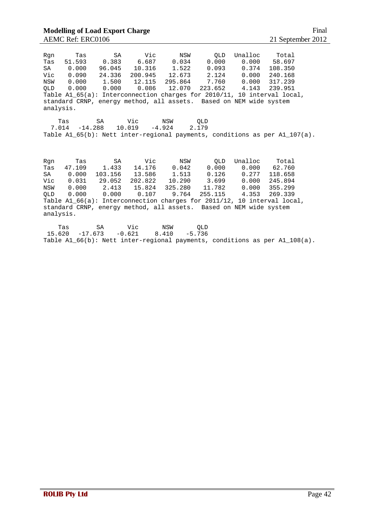| Rqn | Tas                | SA           | Vic    | NSW            | QLD                                                                | Unalloc | Total                                                                                |
|-----|--------------------|--------------|--------|----------------|--------------------------------------------------------------------|---------|--------------------------------------------------------------------------------------|
| Tas | 51.593             | 0.383        | 6.687  | 0.034          | 0.000                                                              | 0.000   | 58.697                                                                               |
| SA  | 0.000              | 96.045       | 10.316 | 1.522          | 0.093                                                              | 0.374   | 108.350                                                                              |
| Vic | 0.090              | 24.336       |        | 200.945 12.673 | 2.124                                                              | 0.000   | 240.168                                                                              |
| NSW |                    | 0.000 1.500  |        | 12.115 295.864 | 7.760                                                              | 0.000   | 317.239                                                                              |
| OLD |                    | 0.000 0.000  | 0.086  |                | 12.070 223.652                                                     | 4.143   | 239.951                                                                              |
|     |                    |              |        |                |                                                                    |         | Table A1_65(a): Interconnection charges for 2010/11, 10 interval local,              |
|     |                    |              |        |                | standard CRNP, energy method, all assets. Based on NEM wide system |         |                                                                                      |
|     | analysis.          |              |        |                |                                                                    |         |                                                                                      |
|     |                    |              |        |                |                                                                    |         |                                                                                      |
|     | Tas                | SA           | Vic    | NSW            | <b>OLD</b>                                                         |         |                                                                                      |
|     | 7.014<br>$-14.288$ |              | 10.019 | $-4.924$       | 2.179                                                              |         |                                                                                      |
|     |                    |              |        |                |                                                                    |         | Table $A1_{65}(b)$ : Nett inter-regional payments, conditions as per $A1_{107}(a)$ . |
|     |                    |              |        |                |                                                                    |         |                                                                                      |
|     |                    |              |        |                |                                                                    |         |                                                                                      |
|     |                    |              |        |                |                                                                    |         |                                                                                      |
| Rqn | Tas                | SA           | Vic    | NSW            | QLD                                                                | Unalloc | Total                                                                                |
| Tas | 47.109             |              | 14.176 | 0.042          | 0.000                                                              | 0.000   |                                                                                      |
|     |                    | 1.433        |        |                |                                                                    |         | 62.760                                                                               |
| SA  | 0.000              | 103.156      | 13.586 | 1.513          | 0.126                                                              | 0.277   | 118.658                                                                              |
| Vic |                    | 0.031 29.052 |        | 202.822 10.290 | 3.699                                                              | 0.000   | 245.894                                                                              |
| NSW |                    | 0.000 2.413  | 15.824 | 325.280        | 11.782                                                             | 0.000   | 355.299                                                                              |
| OLD |                    | 0.000 0.000  | 0.107  | 9.764          | 255.115                                                            | 4.353   | 269.339                                                                              |
|     |                    |              |        |                |                                                                    |         |                                                                                      |
|     |                    |              |        |                |                                                                    |         | Table A1_66(a): Interconnection charges for $2011/12$ , 10 interval local,           |
|     |                    |              |        |                | standard CRNP, energy method, all assets. Based on NEM wide system |         |                                                                                      |
|     | analysis.          |              |        |                |                                                                    |         |                                                                                      |
|     | Tas                | <b>SA</b>    | Vic    | NSW            | <b>OLD</b>                                                         |         |                                                                                      |

Table A1\_66(b): Nett inter-regional payments, conditions as per A1\_108(a).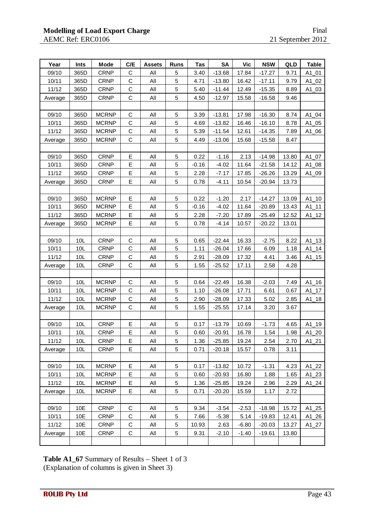| Year    | Ints            | <b>Mode</b>  | C/E          | <b>Assets</b>  | <b>Runs</b> | Tas     | <b>SA</b> | <b>Vic</b> | <b>NSW</b> | QLD   | <b>Table</b>       |
|---------|-----------------|--------------|--------------|----------------|-------------|---------|-----------|------------|------------|-------|--------------------|
| 09/10   | 365D            | <b>CRNP</b>  | $\mathsf{C}$ | All            | 5           | 3.40    | $-13.68$  | 17.84      | $-17.27$   | 9.71  | A1_01              |
| 10/11   | 365D            | <b>CRNP</b>  | $\mathsf C$  | All            | 5           | 4.71    | $-13.80$  | 16.42      | $-17.11$   | 9.79  | $A1_02$            |
| 11/12   | 365D            | <b>CRNP</b>  | $\mathbf C$  | All            | 5           | 5.40    | $-11.44$  | 12.49      | $-15.35$   | 8.89  | A1_03              |
| Average | 365D            | <b>CRNP</b>  | $\mathsf C$  | All            | 5           | 4.50    | $-12.97$  | 15.58      | $-16.58$   | 9.46  |                    |
|         |                 |              |              |                |             |         |           |            |            |       |                    |
| 09/10   | 365D            | <b>MCRNP</b> | $\mathsf C$  | All            | 5           | 3.39    | $-13.81$  | 17.98      | $-16.30$   | 8.74  | $A1_04$            |
| 10/11   | 365D            | <b>MCRNP</b> | $\mathsf C$  | All            | 5           | 4.69    | $-13.82$  | 16.46      | $-16.10$   | 8.78  | A1_05              |
| 11/12   | 365D            | <b>MCRNP</b> | $\mathsf C$  | All            | 5           | 5.39    | $-11.54$  | 12.61      | $-14.35$   | 7.89  | $A1_06$            |
| Average | 365D            | <b>MCRNP</b> | $\mathsf C$  | All            | 5           | 4.49    | $-13.06$  | 15.68      | $-15.58$   | 8.47  |                    |
|         |                 |              |              |                |             |         |           |            |            |       |                    |
| 09/10   | 365D            | <b>CRNP</b>  | E            | All            | 5           | 0.22    | $-1.16$   | 2.13       | $-14.98$   | 13.80 | A1_07              |
| 10/11   | 365D            | <b>CRNP</b>  | E            | All            | 5           | $-0.16$ | $-4.02$   | 11.64      | $-21.58$   | 14.12 | $A1_08$            |
| 11/12   | 365D            | <b>CRNP</b>  | E            | All            | 5           | 2.28    | $-7.17$   | 17.85      | $-26.26$   | 13.29 | $A1_09$            |
| Average | 365D            | <b>CRNP</b>  | E            | $\mathsf{All}$ | 5           | 0.78    | $-4.11$   | 10.54      | $-20.94$   | 13.73 |                    |
|         |                 |              |              |                |             |         |           |            |            |       |                    |
| 09/10   | 365D            | <b>MCRNP</b> | Е            | All            | 5           | 0.22    | $-1.20$   | 2.17       | $-14.27$   | 13.09 | $A1_10$            |
| 10/11   | 365D            | <b>MCRNP</b> | Е            | All            | 5           | $-0.16$ | $-4.02$   | 11.64      | $-20.89$   | 13.43 | A1_11              |
| 11/12   | 365D            | <b>MCRNP</b> | E            | All            | 5           | 2.28    | $-7.20$   | 17.89      | $-25.49$   | 12.52 | $A1_12$            |
| Average | 365D            | <b>MCRNP</b> | E            | All            | 5           | 0.78    | $-4.14$   | 10.57      | $-20.22$   | 13.01 |                    |
|         |                 |              |              |                |             |         |           |            |            |       |                    |
| 09/10   | 10L             | <b>CRNP</b>  | $\mathbf C$  | All            | 5           | 0.65    | $-22.44$  | 16.33      | $-2.75$    | 8.22  | $A1_13$            |
| 10/11   | 10L             | <b>CRNP</b>  | $\mathsf C$  | All            | 5           | 1.11    | $-26.04$  | 17.66      | 6.09       | 1.18  | $A1_14$            |
| 11/12   | 10L             | <b>CRNP</b>  | $\mathsf C$  | All            | 5           | 2.91    | $-28.09$  | 17.32      | 4.41       | 3.46  | $A1$ <sup>15</sup> |
| Average | 10L             | <b>CRNP</b>  | $\mathbf C$  | All            | 5           | 1.55    | $-25.52$  | 17.11      | 2.58       | 4.28  |                    |
|         |                 |              |              |                |             |         |           |            |            |       |                    |
| 09/10   | 10L             | <b>MCRNP</b> | $\mathsf C$  | All            | 5           | 0.64    | $-22.49$  | 16.38      | $-2.03$    | 7.49  | $A1_16$            |
| 10/11   | 10L             | <b>MCRNP</b> | $\mathsf C$  | All            | 5           | 1.10    | $-26.08$  | 17.71      | 6.61       | 0.67  | $A1_17$            |
| 11/12   | 10L             | <b>MCRNP</b> | $\mathsf C$  | All            | 5           | 2.90    | $-28.09$  | 17.33      | 5.02       | 2.85  | $A1$ _18           |
| Average | 10L             | <b>MCRNP</b> | $\mathsf C$  | All            | 5           | 1.55    | $-25.55$  | 17.14      | 3.20       | 3.67  |                    |
|         |                 |              |              |                |             |         |           |            |            |       |                    |
| 09/10   | 10L             | <b>CRNP</b>  | Е            | All            | 5           | 0.17    | $-13.79$  | 10.69      | $-1.73$    | 4.65  | A1_19              |
| 10/11   | 10L             | <b>CRNP</b>  | E.           | All            | 5           | 0.60    | $-20.91$  | 16.78      | 1.54       | 1.98  | $A1_20$            |
| 11/12   | 10L             | <b>CRNP</b>  | E            | All            | 5           | 1.36    | $-25.85$  | 19.24      | 2.54       | 2.70  | $A1_21$            |
| Average | 10 <sub>L</sub> | <b>CRNP</b>  | E            | All            | 5           | 0.71    | $-20.18$  | 15.57      | 0.78       | 3.11  |                    |
|         |                 |              |              |                |             |         |           |            |            |       |                    |
| 09/10   | 10L             | <b>MCRNP</b> | E            | All            | 5           | 0.17    | $-13.82$  | 10.72      | $-1.31$    | 4.23  | $A1_22$            |
| 10/11   | 10L             | <b>MCRNP</b> | E            | All            | 5           | 0.60    | $-20.93$  | 16.80      | 1.88       | 1.65  | $A1_23$            |
| 11/12   | 10L             | <b>MCRNP</b> | Е            | All            | 5           | 1.36    | $-25.85$  | 19.24      | 2.96       | 2.29  | $A1_24$            |
| Average | 10L             | <b>MCRNP</b> | E            | All            | 5           | 0.71    | $-20.20$  | 15.59      | 1.17       | 2.72  |                    |
|         |                 |              |              |                |             |         |           |            |            |       |                    |
| 09/10   | 10E             | <b>CRNP</b>  | $\mathsf C$  | All            | 5           | 9.34    | $-3.54$   | $-2.53$    | $-18.98$   | 15.72 | $A1_25$            |
| 10/11   | 10E             | <b>CRNP</b>  | $\mathbf C$  | All            | 5           | 7.66    | $-5.38$   | 5.14       | $-19.83$   | 12.41 | $A1_26$            |
| 11/12   | 10E             | <b>CRNP</b>  | $\mathsf C$  | All            | 5           | 10.93   | 2.63      | $-6.80$    | $-20.03$   | 13.27 | $A1_27$            |
| Average | 10E             | <b>CRNP</b>  | $\mathsf C$  | All            | 5           | 9.31    | $-2.10$   | $-1.40$    | $-19.61$   | 13.80 |                    |
|         |                 |              |              |                |             |         |           |            |            |       |                    |

## **Table A1\_67** Summary of Results – Sheet 1 of 3

(Explanation of columns is given in Sheet 3)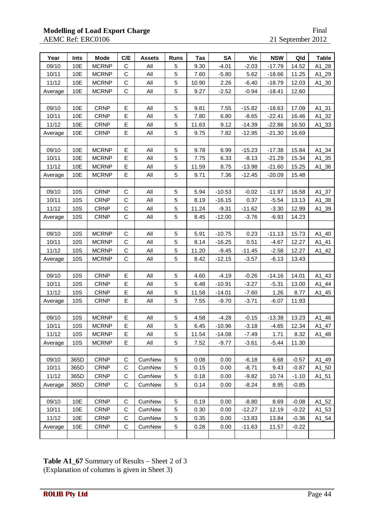#### **Modelling of Load Export Charge** Final AEMC Ref: ERC0106 **Final** 21 September 2012 AEMC Ref: ERC0106

| Year    | Ints       | <b>Mode</b>  | C/E         | <b>Assets</b> | <b>Runs</b> | <b>Tas</b> | <b>SA</b> | <b>Vic</b> | <b>NSW</b> | Qld     | <b>Table</b> |
|---------|------------|--------------|-------------|---------------|-------------|------------|-----------|------------|------------|---------|--------------|
| 09/10   | 10E        | <b>MCRNP</b> | $\mathsf C$ | All           | 5           | 9.30       | $-4.01$   | $-2.03$    | $-17.79$   | 14.52   | $A1_28$      |
| 10/11   | 10E        | <b>MCRNP</b> | С           | All           | 5           | 7.60       | $-5.80$   | 5.62       | $-18.66$   | 11.25   | $A1_29$      |
| 11/12   | 10E        | <b>MCRNP</b> | $\mathsf C$ | All           | 5           | 10.90      | 2.26      | $-6.40$    | $-18.79$   | 12.03   | $A1_30$      |
| Average | 10E        | <b>MCRNP</b> | $\mathsf C$ | All           | $\mathbf 5$ | 9.27       | $-2.52$   | $-0.94$    | $-18.41$   | 12.60   |              |
|         |            |              |             |               |             |            |           |            |            |         |              |
| 09/10   | 10E        | <b>CRNP</b>  | E           | All           | 5           | 9.81       | 7.55      | $-15.82$   | $-18.63$   | 17.09   | $A1_31$      |
| 10/11   | 10E        | <b>CRNP</b>  | E           | All           | 5           | 7.80       | 6.80      | $-8.65$    | $-22.41$   | 16.46   | $A1_32$      |
| 11/12   | 10E        | <b>CRNP</b>  | E           | All           | 5           | 11.63      | 9.12      | $-14.39$   | $-22.86$   | 16.50   | $A1_33$      |
| Average | 10E        | <b>CRNP</b>  | Е           | All           | 5           | 9.75       | 7.82      | $-12.95$   | $-21.30$   | 16.69   |              |
|         |            |              |             |               |             |            |           |            |            |         |              |
| 09/10   | 10E        | <b>MCRNP</b> | E           | All           | $\mathbf 5$ | 9.78       | 6.99      | $-15.23$   | $-17.38$   | 15.84   | $A1_34$      |
| 10/11   | 10E        | <b>MCRNP</b> | E           | All           | 5           | 7.75       | 6.33      | $-8.13$    | $-21.29$   | 15.34   | $A1_35$      |
| 11/12   | 10E        | <b>MCRNP</b> | Е           | All           | 5           | 11.59      | 8.75      | $-13.98$   | $-21.60$   | 15.25   | $A1_36$      |
| Average | 10E        | <b>MCRNP</b> | E           | All           | 5           | 9.71       | 7.36      | $-12.45$   | $-20.09$   | 15.48   |              |
|         |            |              |             |               |             |            |           |            |            |         |              |
| 09/10   | 10S        | <b>CRNP</b>  | C           | All           | 5           | 5.94       | $-10.53$  | $-0.02$    | $-11.97$   | 16.58   | $A1_37$      |
| 10/11   | 10S        | <b>CRNP</b>  | $\mathsf C$ | All           | $\mathbf 5$ | 8.19       | $-16.15$  | 0.37       | $-5.54$    | 13.13   | A1_38        |
| 11/12   | 10S        | <b>CRNP</b>  | $\mathsf C$ | All           | 5           | 11.24      | $-9.31$   | $-11.62$   | $-3.30$    | 12.99   | A1_39        |
| Average | 10S        | <b>CRNP</b>  | $\mathsf C$ | All           | 5           | 8.45       | $-12.00$  | $-3.76$    | $-6.93$    | 14.23   |              |
|         |            |              |             |               |             |            |           |            |            |         |              |
| 09/10   | <b>10S</b> | <b>MCRNP</b> | $\mathsf C$ | All           | 5           | 5.91       | $-10.75$  | 0.23       | $-11.13$   | 15.73   | $A1_40$      |
| 10/11   | <b>10S</b> | <b>MCRNP</b> | $\mathsf C$ | All           | 5           | 8.14       | $-16.25$  | 0.51       | $-4.67$    | 12.27   | $A1_41$      |
| 11/12   | 10S        | <b>MCRNP</b> | C           | All           | 5           | 11.20      | $-9.45$   | $-11.45$   | $-2.58$    | 12.27   | $A1_42$      |
| Average | 10S        | <b>MCRNP</b> | $\mathsf C$ | All           | 5           | 8.42       | $-12.15$  | $-3.57$    | $-6.13$    | 13.43   |              |
|         |            |              |             |               |             |            |           |            |            |         |              |
| 09/10   | <b>10S</b> | <b>CRNP</b>  | E           | All           | 5           | 4.60       | $-4.19$   | $-0.26$    | $-14.16$   | 14.01   | $A1_43$      |
| 10/11   | 10S        | <b>CRNP</b>  | Е           | All           | 5           | 6.48       | $-10.91$  | $-3.27$    | $-5.31$    | 13.00   | $A1_44$      |
| 11/12   | <b>10S</b> | <b>CRNP</b>  | E           | All           | $\mathbf 5$ | 11.58      | $-14.01$  | $-7.60$    | 1.26       | 8.77    | $A1_45$      |
| Average | 10S        | <b>CRNP</b>  | E           | All           | $\mathbf 5$ | 7.55       | $-9.70$   | $-3.71$    | $-6.07$    | 11.93   |              |
|         |            |              |             |               |             |            |           |            |            |         |              |
| 09/10   | 10S        | <b>MCRNP</b> | Е           | All           | $\mathbf 5$ | 4.58       | $-4.28$   | $-0.15$    | $-13.38$   | 13.23   | $A1_46$      |
| 10/11   | <b>10S</b> | <b>MCRNP</b> | E.          | All           | 5           | 6.45       | $-10.96$  | $-3.18$    | $-4.65$    | 12.34   | $A1_47$      |
| 11/12   | 10S        | <b>MCRNP</b> | Е           | All           | 5           | 11.54      | $-14.08$  | $-7.49$    | 1.71       | 8.32    | A1_48        |
| Average | 10S        | <b>MCRNP</b> | Е.          | All           | 5           | 7.52       | $-9.77$   | $-3.61$    | $-5.44$    | 11.30   |              |
|         |            |              |             |               |             |            |           |            |            |         |              |
| 09/10   | 365D       | <b>CRNP</b>  | $\mathsf C$ | CumNew        | 5           | 0.08       | 0.00      | $-6.18$    | 6.68       | $-0.57$ | $A1_49$      |
| 10/11   | 365D       | <b>CRNP</b>  | C           | CumNew        | 5           | 0.15       | 0.00      | $-8.71$    | 9.43       | $-0.87$ | A1_50        |
| 11/12   | 365D       | <b>CRNP</b>  | C           | CumNew        | 5           | 0.18       | 0.00      | $-9.82$    | 10.74      | $-1.10$ | A1_51        |
| Average | 365D       | <b>CRNP</b>  | C           | CumNew        | 5           | 0.14       | 0.00      | $-8.24$    | 8.95       | $-0.85$ |              |
|         |            |              |             |               |             |            |           |            |            |         |              |
| 09/10   | 10E        | <b>CRNP</b>  | С           | CumNew        | 5           | 0.19       | 0.00      | $-8.80$    | 8.69       | $-0.08$ | $A1_52$      |
| 10/11   | 10E        | <b>CRNP</b>  | C           | CumNew        | 5           | 0.30       | 0.00      | $-12.27$   | 12.19      | $-0.22$ | $A1$ _53     |
| 11/12   | 10E        | <b>CRNP</b>  | C           | CumNew        | 5           | 0.35       | 0.00      | $-13.83$   | 13.84      | $-0.36$ | $A1_54$      |
| Average | 10E        | <b>CRNP</b>  | C           | CumNew        | 5           | 0.28       | 0.00      | $-11.63$   | 11.57      | $-0.22$ |              |
|         |            |              |             |               |             |            |           |            |            |         |              |

**Table A1\_67** Summary of Results – Sheet 2 of 3 (Explanation of columns is given in Sheet 3)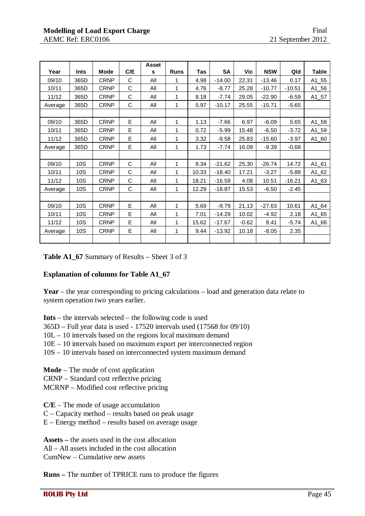|         |             |             |              | <b>Asset</b> |             |       |          |         |            |          |              |
|---------|-------------|-------------|--------------|--------------|-------------|-------|----------|---------|------------|----------|--------------|
| Year    | <b>Ints</b> | Mode        | C/E          | s            | <b>Runs</b> | Tas   | SA       | Vic     | <b>NSW</b> | Qld      | <b>Table</b> |
| 09/10   | 365D        | <b>CRNP</b> | C            | All          | 1           | 4.98  | $-14.00$ | 22.31   | $-13.46$   | 0.17     | A1_55        |
| 10/11   | 365D        | <b>CRNP</b> | C            | All          | 1           | 4.76  | $-8.77$  | 25.28   | $-10.77$   | $-10.51$ | $A1_56$      |
| 11/12   | 365D        | <b>CRNP</b> | $\mathsf{C}$ | All          | 1           | 8.18  | $-7.74$  | 29.05   | $-22.90$   | $-6.59$  | $A1$ _57     |
| Average | 365D        | <b>CRNP</b> | C            | All          | 1           | 5.97  | $-10.17$ | 25.55   | $-15.71$   | $-5.65$  |              |
|         |             |             |              |              |             |       |          |         |            |          |              |
| 09/10   | 365D        | <b>CRNP</b> | E            | All          | 1           | 1.13  | $-7.66$  | 6.97    | $-6.09$    | 5.65     | A1_58        |
| 10/11   | 365D        | <b>CRNP</b> | E            | All          | 1           | 0.72  | $-5.99$  | 15.48   | $-6.50$    | $-3.72$  | A1_59        |
| 11/12   | 365D        | <b>CRNP</b> | E            | All          | 1           | 3.32  | $-9.58$  | 25.83   | $-15.60$   | $-3.97$  | A1_60        |
| Average | 365D        | <b>CRNP</b> | E            | All          | 1           | 1.73  | $-7.74$  | 16.09   | $-9.39$    | $-0.68$  |              |
|         |             |             |              |              |             |       |          |         |            |          |              |
| 09/10   | 10S         | <b>CRNP</b> | C            | All          | 1           | 8.34  | $-21.62$ | 25.30   | $-26.74$   | 14.72    | $A1$ 61      |
| 10/11   | 10S         | <b>CRNP</b> | C            | All          | 1           | 10.33 | $-18.40$ | 17.21   | $-3.27$    | $-5.88$  | $A1_62$      |
| 11/12   | 10S         | <b>CRNP</b> | C            | All          | 1           | 18.21 | $-16.59$ | 4.08    | 10.51      | $-16.21$ | $A1$ 63      |
| Average | <b>10S</b>  | <b>CRNP</b> | C            | All          | 1           | 12.29 | $-18.87$ | 15.53   | $-6.50$    | $-2.45$  |              |
|         |             |             |              |              |             |       |          |         |            |          |              |
| 09/10   | <b>10S</b>  | <b>CRNP</b> | E            | All          | 1           | 5.69  | $-9.79$  | 21.13   | $-27.63$   | 10.61    | $A1_64$      |
| 10/11   | 10S         | <b>CRNP</b> | E            | All          | 1           | 7.01  | $-14.29$ | 10.02   | $-4.92$    | 2.18     | A1_65        |
| 11/12   | 10S         | <b>CRNP</b> | E            | All          | 1           | 15.62 | $-17.67$ | $-0.62$ | 8.41       | $-5.74$  | A1_66        |
| Average | <b>10S</b>  | <b>CRNP</b> | E            | All          | 1           | 9.44  | $-13.92$ | 10.18   | $-8.05$    | 2.35     |              |
|         |             |             |              |              |             |       |          |         |            |          |              |

**Table A1\_67** Summary of Results – Sheet 3 of 3

#### **Explanation of columns for Table A1\_67**

**Year** – the year corresponding to pricing calculations – load and generation data relate to system operation two years earlier.

**Ints** – the intervals selected – the following code is used

365D – Full year data is used - 17520 intervals used (17568 for 09/10)

10L – 10 intervals based on the regions local maximum demand

10E – 10 intervals based on maximum export per interconnected region

10S – 10 intervals based on interconnected system maximum demand

**Mode** – The mode of cost application

CRNP – Standard cost reflective pricing

MCRNP – Modified cost reflective pricing

**C/E** – The mode of usage accumulation

C – Capacity method – results based on peak usage

E – Energy method – results based on average usage

**Assets –** the assets used in the cost allocation All – All assets included in the cost allocation CumNew – Cumulative new assets

**Runs –** The number of TPRICE runs to produce the figures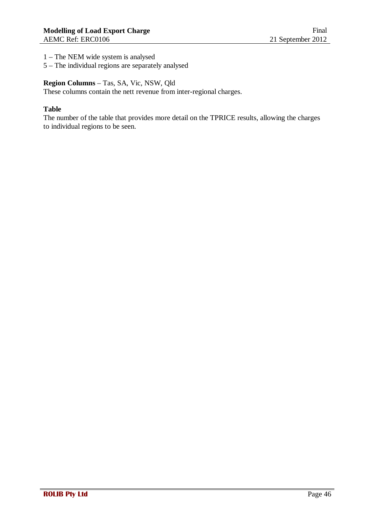- 1 The NEM wide system is analysed
- 5 The individual regions are separately analysed

#### **Region Columns** – Tas, SA, Vic, NSW, Qld

These columns contain the nett revenue from inter-regional charges.

#### **Table**

The number of the table that provides more detail on the TPRICE results, allowing the charges to individual regions to be seen.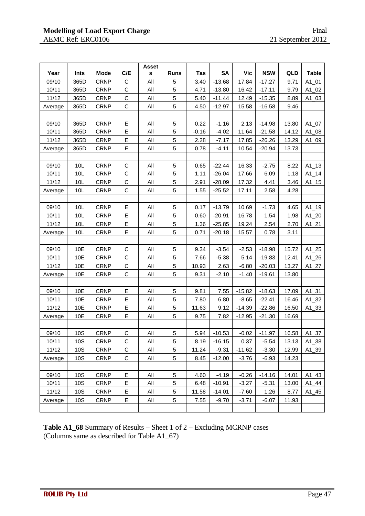|         |            |             |              | <b>Asset</b> |             |         |           |          |            |       |                    |
|---------|------------|-------------|--------------|--------------|-------------|---------|-----------|----------|------------|-------|--------------------|
| Year    | Ints       | <b>Mode</b> | C/E          | s            | <b>Runs</b> | Tas     | <b>SA</b> | Vic      | <b>NSW</b> | QLD   | <b>Table</b>       |
| 09/10   | 365D       | <b>CRNP</b> | C            | All          | 5           | 3.40    | $-13.68$  | 17.84    | $-17.27$   | 9.71  | A1_01              |
| 10/11   | 365D       | <b>CRNP</b> | $\mathsf C$  | All          | $\mathbf 5$ | 4.71    | $-13.80$  | 16.42    | $-17.11$   | 9.79  | A1_02              |
| 11/12   | 365D       | <b>CRNP</b> | $\mathsf C$  | All          | $\mathbf 5$ | 5.40    | $-11.44$  | 12.49    | $-15.35$   | 8.89  | $A1_03$            |
| Average | 365D       | <b>CRNP</b> | $\mathsf C$  | All          | $\mathbf 5$ | 4.50    | $-12.97$  | 15.58    | $-16.58$   | 9.46  |                    |
|         |            |             |              |              |             |         |           |          |            |       |                    |
| 09/10   | 365D       | <b>CRNP</b> | E            | All          | 5           | 0.22    | $-1.16$   | 2.13     | $-14.98$   | 13.80 | A1_07              |
| 10/11   | 365D       | <b>CRNP</b> | E            | All          | 5           | $-0.16$ | $-4.02$   | 11.64    | $-21.58$   | 14.12 | A1_08              |
| 11/12   | 365D       | <b>CRNP</b> | E            | All          | $\mathbf 5$ | 2.28    | $-7.17$   | 17.85    | $-26.26$   | 13.29 | $A1_09$            |
| Average | 365D       | <b>CRNP</b> | E            | All          | 5           | 0.78    | $-4.11$   | 10.54    | $-20.94$   | 13.73 |                    |
|         |            |             |              |              |             |         |           |          |            |       |                    |
| 09/10   | 10L        | <b>CRNP</b> | $\mathsf C$  | All          | $\mathbf 5$ | 0.65    | $-22.44$  | 16.33    | $-2.75$    | 8.22  | $A1_13$            |
| 10/11   | 10L        | <b>CRNP</b> | $\mathsf C$  | All          | 5           | 1.11    | $-26.04$  | 17.66    | 6.09       | 1.18  | $A1$ <sup>14</sup> |
| 11/12   | 10L        | <b>CRNP</b> | $\mathsf C$  | All          | 5           | 2.91    | $-28.09$  | 17.32    | 4.41       | 3.46  | $A1$ <sup>15</sup> |
| Average | 10L        | <b>CRNP</b> | $\mathsf C$  | All          | 5           | 1.55    | $-25.52$  | 17.11    | 2.58       | 4.28  |                    |
|         |            |             |              |              |             |         |           |          |            |       |                    |
| 09/10   | 10L        | <b>CRNP</b> | E            | All          | 5           | 0.17    | $-13.79$  | 10.69    | $-1.73$    | 4.65  | $A1_19$            |
| 10/11   | 10L        | <b>CRNP</b> | E            | All          | 5           | 0.60    | $-20.91$  | 16.78    | 1.54       | 1.98  | $A1_20$            |
| 11/12   | 10L        | <b>CRNP</b> | E            | All          | $\mathbf 5$ | 1.36    | $-25.85$  | 19.24    | 2.54       | 2.70  | $A1_21$            |
| Average | 10L        | <b>CRNP</b> | E            | All          | 5           | 0.71    | $-20.18$  | 15.57    | 0.78       | 3.11  |                    |
|         |            |             |              |              |             |         |           |          |            |       |                    |
| 09/10   | 10E        | <b>CRNP</b> | $\mathsf C$  | All          | 5           | 9.34    | $-3.54$   | $-2.53$  | $-18.98$   | 15.72 | $A1_25$            |
| 10/11   | 10E        | <b>CRNP</b> | $\mathsf{C}$ | All          | 5           | 7.66    | $-5.38$   | 5.14     | $-19.83$   | 12.41 | $A1_26$            |
| 11/12   | 10E        | <b>CRNP</b> | $\mathsf C$  | All          | 5           | 10.93   | 2.63      | $-6.80$  | $-20.03$   | 13.27 | $A1_27$            |
| Average | 10E        | <b>CRNP</b> | $\mathsf C$  | All          | 5           | 9.31    | $-2.10$   | $-1.40$  | $-19.61$   | 13.80 |                    |
|         |            |             |              |              |             |         |           |          |            |       |                    |
| 09/10   | 10E        | <b>CRNP</b> | E            | All          | 5           | 9.81    | 7.55      | $-15.82$ | $-18.63$   | 17.09 | $A1$ _31           |
| 10/11   | 10E        | <b>CRNP</b> | E            | All          | $\mathbf 5$ | 7.80    | 6.80      | $-8.65$  | $-22.41$   | 16.46 | $A1_32$            |
| 11/12   | 10E        | <b>CRNP</b> | E            | All          | $\mathbf 5$ | 11.63   | 9.12      | $-14.39$ | $-22.86$   | 16.50 | $A1_33$            |
| Average | 10E        | <b>CRNP</b> | E            | All          | 5           | 9.75    | 7.82      | $-12.95$ | $-21.30$   | 16.69 |                    |
|         |            |             |              |              |             |         |           |          |            |       |                    |
| 09/10   | <b>10S</b> | <b>CRNP</b> | $\mathsf C$  | All          | 5           | 5.94    | $-10.53$  | $-0.02$  | $-11.97$   | 16.58 | $A1_37$            |
| 10/11   | <b>10S</b> | <b>CRNP</b> | $\mathsf C$  | All          | 5           | 8.19    | $-16.15$  | 0.37     | $-5.54$    | 13.13 | $A1_38$            |
| 11/12   | 10S        | <b>CRNP</b> | $\mathsf C$  | All          | 5           | 11.24   | $-9.31$   | $-11.62$ | $-3.30$    | 12.99 | $A1_39$            |
| Average | 10S        | <b>CRNP</b> | C            | All          | 5           | 8.45    | $-12.00$  | $-3.76$  | $-6.93$    | 14.23 |                    |
|         |            |             |              |              |             |         |           |          |            |       |                    |
| 09/10   | 10S        | <b>CRNP</b> | E            | All          | 5           | 4.60    | $-4.19$   | $-0.26$  | $-14.16$   | 14.01 | $A1_43$            |
| 10/11   | 10S        | <b>CRNP</b> | Е            | All          | 5           | 6.48    | $-10.91$  | $-3.27$  | $-5.31$    | 13.00 | $A1_44$            |
| 11/12   | 10S        | <b>CRNP</b> | E            | All          | $\mathbf 5$ | 11.58   | $-14.01$  | $-7.60$  | 1.26       | 8.77  | $A1_45$            |
| Average | 10S        | <b>CRNP</b> | E            | All          | 5           | 7.55    | $-9.70$   | $-3.71$  | $-6.07$    | 11.93 |                    |
|         |            |             |              |              |             |         |           |          |            |       |                    |

**Table A1\_68** Summary of Results – Sheet 1 of 2 – Excluding MCRNP cases (Columns same as described for Table A1\_67)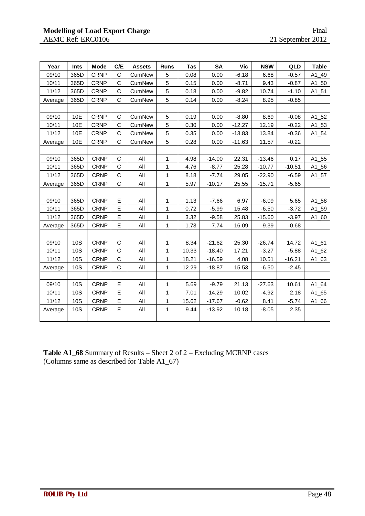| Year    | Ints       | <b>Mode</b> | C/E          | <b>Assets</b> | <b>Runs</b>  | Tas   | <b>SA</b> | <b>Vic</b> | <b>NSW</b> | QLD      | <b>Table</b> |
|---------|------------|-------------|--------------|---------------|--------------|-------|-----------|------------|------------|----------|--------------|
| 09/10   | 365D       | <b>CRNP</b> | C            | CumNew        | 5            | 0.08  | 0.00      | $-6.18$    | 6.68       | $-0.57$  | $A1_49$      |
| 10/11   | 365D       | <b>CRNP</b> | $\mathsf C$  | CumNew        | 5            | 0.15  | 0.00      | $-8.71$    | 9.43       | $-0.87$  | A1_50        |
| 11/12   | 365D       | <b>CRNP</b> | $\mathsf C$  | CumNew        | 5            | 0.18  | 0.00      | $-9.82$    | 10.74      | $-1.10$  | $A1_51$      |
| Average | 365D       | <b>CRNP</b> | $\mathsf{C}$ | <b>CumNew</b> | 5            | 0.14  | 0.00      | $-8.24$    | 8.95       | $-0.85$  |              |
|         |            |             |              |               |              |       |           |            |            |          |              |
| 09/10   | 10E        | <b>CRNP</b> | $\mathsf C$  | CumNew        | 5            | 0.19  | 0.00      | $-8.80$    | 8.69       | $-0.08$  | $A1_52$      |
| 10/11   | 10E        | <b>CRNP</b> | $\mathsf{C}$ | CumNew        | 5            | 0.30  | 0.00      | $-12.27$   | 12.19      | $-0.22$  | A1_53        |
| 11/12   | 10E        | <b>CRNP</b> | $\mathsf C$  | CumNew        | 5            | 0.35  | 0.00      | $-13.83$   | 13.84      | $-0.36$  | $A1_54$      |
| Average | 10E        | <b>CRNP</b> | C            | <b>CumNew</b> | 5            | 0.28  | 0.00      | $-11.63$   | 11.57      | $-0.22$  |              |
|         |            |             |              |               |              |       |           |            |            |          |              |
| 09/10   | 365D       | <b>CRNP</b> | $\mathsf C$  | All           | 1            | 4.98  | $-14.00$  | 22.31      | $-13.46$   | 0.17     | A1_55        |
| 10/11   | 365D       | <b>CRNP</b> | $\mathsf{C}$ | All           | 1            | 4.76  | $-8.77$   | 25.28      | $-10.77$   | $-10.51$ | $A1_56$      |
| 11/12   | 365D       | <b>CRNP</b> | $\mathsf C$  | All           | 1            | 8.18  | $-7.74$   | 29.05      | $-22.90$   | $-6.59$  | $A1$ _57     |
| Average | 365D       | <b>CRNP</b> | $\mathsf{C}$ | All           | 1            | 5.97  | $-10.17$  | 25.55      | $-15.71$   | $-5.65$  |              |
|         |            |             |              |               |              |       |           |            |            |          |              |
| 09/10   | 365D       | <b>CRNP</b> | E            | All           | 1            | 1.13  | $-7.66$   | 6.97       | $-6.09$    | 5.65     | A1_58        |
| 10/11   | 365D       | <b>CRNP</b> | E            | All           | 1            | 0.72  | $-5.99$   | 15.48      | $-6.50$    | $-3.72$  | A1_59        |
| 11/12   | 365D       | <b>CRNP</b> | E            | All           | 1            | 3.32  | $-9.58$   | 25.83      | $-15.60$   | $-3.97$  | $A1_60$      |
| Average | 365D       | <b>CRNP</b> | E            | All           | 1            | 1.73  | $-7.74$   | 16.09      | $-9.39$    | $-0.68$  |              |
|         |            |             |              |               |              |       |           |            |            |          |              |
| 09/10   | 10S        | <b>CRNP</b> | C            | All           | 1            | 8.34  | $-21.62$  | 25.30      | $-26.74$   | 14.72    | A1_61        |
| 10/11   | <b>10S</b> | <b>CRNP</b> | $\mathsf{C}$ | All           | 1            | 10.33 | $-18.40$  | 17.21      | $-3.27$    | $-5.88$  | $A1_62$      |
| 11/12   | <b>10S</b> | <b>CRNP</b> | $\mathsf C$  | All           | 1            | 18.21 | $-16.59$  | 4.08       | 10.51      | $-16.21$ | $A1_63$      |
| Average | <b>10S</b> | <b>CRNP</b> | $\mathsf C$  | All           | $\mathbf{1}$ | 12.29 | $-18.87$  | 15.53      | $-6.50$    | $-2.45$  |              |
|         |            |             |              |               |              |       |           |            |            |          |              |
| 09/10   | 10S        | <b>CRNP</b> | E            | All           | 1            | 5.69  | $-9.79$   | 21.13      | $-27.63$   | 10.61    | A1_64        |
| 10/11   | <b>10S</b> | <b>CRNP</b> | E            | All           | 1            | 7.01  | $-14.29$  | 10.02      | $-4.92$    | 2.18     | $A1_65$      |
| 11/12   | 10S        | <b>CRNP</b> | E            | All           | 1            | 15.62 | $-17.67$  | $-0.62$    | 8.41       | $-5.74$  | $A1_66$      |
| Average | 10S        | <b>CRNP</b> | Е            | All           | 1            | 9.44  | $-13.92$  | 10.18      | $-8.05$    | 2.35     |              |
|         |            |             |              |               |              |       |           |            |            |          |              |

**Table A1\_68** Summary of Results – Sheet 2 of 2 – Excluding MCRNP cases (Columns same as described for Table A1\_67)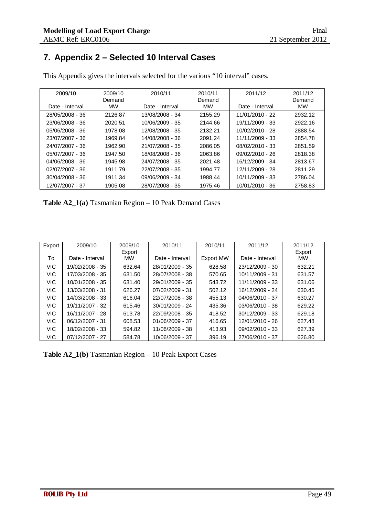## <span id="page-48-0"></span>**7. Appendix 2 – Selected 10 Interval Cases**

| 2009/10           | 2009/10<br>Demand | 2010/11           | 2010/11<br>Demand | 2011/12         | 2011/12<br>Demand |
|-------------------|-------------------|-------------------|-------------------|-----------------|-------------------|
| Date - Interval   | <b>MW</b>         | Date - Interval   | <b>MW</b>         | Date - Interval | <b>MW</b>         |
| 28/05/2008 - 36   | 2126.87           | 13/08/2008 - 34   | 2155.29           | 11/01/2010 - 22 | 2932.12           |
| 23/06/2008 - 36   | 2020.51           | 10/06/2009 - 35   | 2144.66           | 19/11/2009 - 33 | 2922.16           |
| 05/06/2008 - 36   | 1978.08           | 12/08/2008 - 35   | 2132.21           | 10/02/2010 - 28 | 2888.54           |
| 23/07/2007 - 36   | 1969.84           | 14/08/2008 - 36   | 2091.24           | 11/11/2009 - 33 | 2854.78           |
| 24/07/2007 - 36   | 1962.90           | $21/07/2008 - 35$ | 2086.05           | 08/02/2010 - 33 | 2851.59           |
| 05/07/2007 - 36   | 1947.50           | 18/08/2008 - 36   | 2063.86           | 09/02/2010 - 26 | 2818.38           |
| 04/06/2008 - 36   | 1945.98           | 24/07/2008 - 35   | 2021.48           | 16/12/2009 - 34 | 2813.67           |
| $02/07/2007 - 36$ | 1911.79           | 22/07/2008 - 35   | 1994.77           | 12/11/2009 - 28 | 2811.29           |
| $30/04/2008 - 36$ | 1911.34           | 09/06/2009 - 34   | 1988.44           | 10/11/2009 - 33 | 2786.04           |
| 12/07/2007 - 37   | 1905.08           | 28/07/2008 - 35   | 1975.46           | 10/01/2010 - 36 | 2758.83           |

This Appendix gives the intervals selected for the various "10 interval" cases.

**Table A2\_1(a)** Tasmanian Region – 10 Peak Demand Cases

| Export     | 2009/10         | 2009/10   | 2010/11           | 2010/11   | 2011/12           | 2011/12   |
|------------|-----------------|-----------|-------------------|-----------|-------------------|-----------|
|            |                 | Export    |                   |           |                   | Export    |
| To         | Date - Interval | <b>MW</b> | Date - Interval   | Export MW | Date - Interval   | <b>MW</b> |
| <b>VIC</b> | 19/02/2008 - 35 | 632.64    | 28/01/2009 - 35   | 628.58    | 23/12/2009 - 30   | 632.21    |
| <b>VIC</b> | 17/03/2008 - 35 | 631.50    | 28/07/2008 - 38   | 570.65    | 10/11/2009 - 31   | 631.57    |
| <b>VIC</b> | 10/01/2008 - 35 | 631.40    | 29/01/2009 - 35   | 543.72    | $11/11/2009 - 33$ | 631.06    |
| <b>VIC</b> | 13/03/2008 - 31 | 626.27    | 07/02/2009 - 31   | 502.12    | 16/12/2009 - 24   | 630.45    |
| <b>VIC</b> | 14/03/2008 - 33 | 616.04    | 22/07/2008 - 38   | 455.13    | 04/06/2010 - 37   | 630.27    |
| <b>VIC</b> | 19/11/2007 - 32 | 615.46    | $30/01/2009 - 24$ | 435.36    | $03/06/2010 - 38$ | 629.22    |
| <b>VIC</b> | 16/11/2007 - 28 | 613.78    | 22/09/2008 - 35   | 418.52    | $30/12/2009 - 33$ | 629.18    |
| <b>VIC</b> | 06/12/2007 - 31 | 608.53    | $01/06/2009 - 37$ | 416.65    | 12/01/2010 - 26   | 627.48    |
| <b>VIC</b> | 18/02/2008 - 33 | 594.82    | 11/06/2009 - 38   | 413.93    | 09/02/2010 - 33   | 627.39    |
| <b>VIC</b> | 07/12/2007 - 27 | 584.78    | 10/06/2009 - 37   | 396.19    | 27/06/2010 - 37   | 626.80    |

**Table A2\_1(b)** Tasmanian Region – 10 Peak Export Cases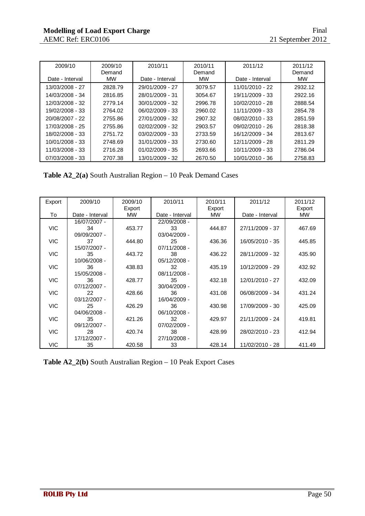| 2009/10<br>Date - Interval | 2009/10<br>Demand<br><b>MW</b> | 2010/11<br>Date - Interval | 2010/11<br>Demand<br><b>MW</b> | 2011/12<br>Date - Interval | 2011/12<br>Demand<br><b>MW</b> |
|----------------------------|--------------------------------|----------------------------|--------------------------------|----------------------------|--------------------------------|
| 13/03/2008 - 27            | 2828.79                        | 29/01/2009 - 27            | 3079.57                        | 11/01/2010 - 22            | 2932.12                        |
| 14/03/2008 - 34            | 2816.85                        | 28/01/2009 - 31            | 3054.67                        | 19/11/2009 - 33            | 2922.16                        |
| 12/03/2008 - 32            | 2779.14                        | 30/01/2009 - 32            | 2996.78                        | 10/02/2010 - 28            | 2888.54                        |
| 19/02/2008 - 33            | 2764.02                        | 06/02/2009 - 33            | 2960.02                        | 11/11/2009 - 33            | 2854.78                        |
| 20/08/2007 - 22            | 2755.86                        | 27/01/2009 - 32            | 2907.32                        | 08/02/2010 - 33            | 2851.59                        |
| 17/03/2008 - 25            | 2755.86                        | $02/02/2009 - 32$          | 2903.57                        | 09/02/2010 - 26            | 2818.38                        |
| 18/02/2008 - 33            | 2751.72                        | $03/02/2009 - 33$          | 2733.59                        | 16/12/2009 - 34            | 2813.67                        |
| 10/01/2008 - 33            | 2748.69                        | $31/01/2009 - 33$          | 2730.60                        | 12/11/2009 - 28            | 2811.29                        |
| 11/03/2008 - 33            | 2716.28                        | $01/02/2009 - 35$          | 2693.66                        | 10/11/2009 - 33            | 2786.04                        |
| 07/03/2008 - 33            | 2707.38                        | 13/01/2009 - 32            | 2670.50                        | 10/01/2010 - 36            | 2758.83                        |

**Table A2\_2(a)** South Australian Region – 10 Peak Demand Cases

| Export     | 2009/10         | 2009/10             | 2010/11         | 2010/11      | 2011/12         | 2011/12      |
|------------|-----------------|---------------------|-----------------|--------------|-----------------|--------------|
| To         | Date - Interval | Export<br><b>MW</b> | Date - Interval | Export<br>MW |                 | Export<br>MW |
|            |                 |                     |                 |              | Date - Interval |              |
|            | 16/07/2007 -    |                     | 22/09/2008 -    |              |                 |              |
| <b>VIC</b> | 34              | 453.77              | 33              | 444.87       | 27/11/2009 - 37 | 467.69       |
|            | 09/09/2007 -    |                     | 03/04/2009 -    |              |                 |              |
| <b>VIC</b> | 37              | 444.80              | 25              | 436.36       | 16/05/2010 - 35 | 445.85       |
|            | 15/07/2007 -    |                     | 07/11/2008 -    |              |                 |              |
| <b>VIC</b> | 35              | 443.72              | 38              | 436.22       | 28/11/2009 - 32 | 435.90       |
|            | 10/06/2008 -    |                     | 05/12/2008 -    |              |                 |              |
| <b>VIC</b> | 36              | 438.83              | 32              | 435.19       | 10/12/2009 - 29 | 432.92       |
|            | 15/05/2008 -    |                     | 08/11/2008 -    |              |                 |              |
| <b>VIC</b> | 36              | 428.77              | 35              | 432.18       | 12/01/2010 - 27 | 432.09       |
|            | 07/12/2007 -    |                     | 30/04/2009 -    |              |                 |              |
| <b>VIC</b> | 22              | 428.66              | 36              | 431.08       | 06/08/2009 - 34 | 431.24       |
|            | 03/12/2007 -    |                     | 16/04/2009 -    |              |                 |              |
| <b>VIC</b> | 25              | 426.29              | 36              | 430.98       | 17/09/2009 - 30 | 425.09       |
|            | 04/06/2008 -    |                     | 06/10/2008 -    |              |                 |              |
| <b>VIC</b> | 35              | 421.26              | 32              | 429.97       | 21/11/2009 - 24 | 419.81       |
|            | 09/12/2007 -    |                     | 07/02/2009 -    |              |                 |              |
| <b>VIC</b> | 28              | 420.74              | 38              | 428.99       | 28/02/2010 - 23 | 412.94       |
|            | 17/12/2007 -    |                     | 27/10/2008 -    |              |                 |              |
| <b>VIC</b> | 35              | 420.58              | 33              | 428.14       | 11/02/2010 - 28 | 411.49       |

**Table A2\_2(b)** South Australian Region – 10 Peak Export Cases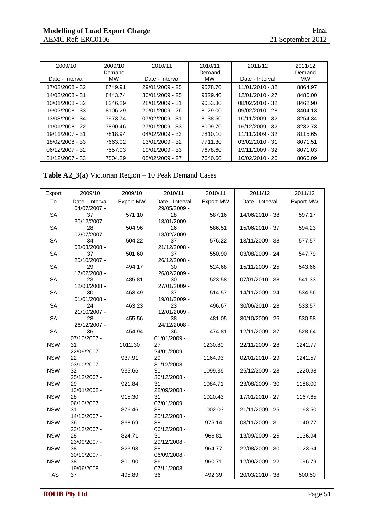| 2009/10<br>Date - Interval | 2009/10<br>Demand<br><b>MW</b> | 2010/11<br>Date - Interval | 2010/11<br>Demand<br><b>MW</b> | 2011/12<br>Date - Interval | 2011/12<br>Demand<br><b>MW</b> |
|----------------------------|--------------------------------|----------------------------|--------------------------------|----------------------------|--------------------------------|
| 17/03/2008 - 32            | 8749.91                        | 29/01/2009 - 25            | 9578.70                        | 11/01/2010 - 32            | 8864.97                        |
| 14/03/2008 - 31            | 8443.74                        | 30/01/2009 - 25            | 9329.40                        | 12/01/2010 - 27            | 8480.00                        |
| 10/01/2008 - 32            | 8246.29                        | 28/01/2009 - 31            | 9053.30                        | 08/02/2010 - 32            | 8462.90                        |
| 19/02/2008 - 33            | 8106.29                        | 20/01/2009 - 26            | 8179.00                        | 09/02/2010 - 28            | 8404.13                        |
| 13/03/2008 - 34            | 7973.74                        | 07/02/2009 - 31            | 8138.50                        | $10/11/2009 - 32$          | 8254.34                        |
| 11/01/2008 - 22            | 7890.46                        | 27/01/2009 - 33            | 8009.70                        | 16/12/2009 - 32            | 8232.73                        |
| 19/11/2007 - 31            | 7818.94                        | $04/02/2009 - 33$          | 7810.10                        | 11/11/2009 - 32            | 8115.65                        |
| 18/02/2008 - 33            | 7663.02                        | 13/01/2009 - 32            | 7711.30                        | $03/02/2010 - 31$          | 8071.51                        |
| 06/12/2007 - 32            | 7557.03                        | 19/01/2009 - 33            | 7678.60                        | 19/11/2009 - 32            | 8071.03                        |
| 31/12/2007 - 33            | 7504.29                        | 05/02/2009 - 27            | 7640.60                        | 10/02/2010 - 26            | 8066.09                        |

**Table A2\_3(a)** Victorian Region – 10 Peak Demand Cases

| Export     | 2009/10            | 2009/10          | 2010/11            | 2010/11   | 2011/12         | 2011/12          |
|------------|--------------------|------------------|--------------------|-----------|-----------------|------------------|
| To         | Date - Interval    | <b>Export MW</b> | Date - Interval    | Export MW | Date - Interval | <b>Export MW</b> |
|            | 04/07/2007 -       |                  | 29/05/2009 -       |           |                 |                  |
| <b>SA</b>  | 37                 | 571.10           | 28                 | 587.16    | 14/06/2010 - 38 | 597.17           |
|            | 30/12/2007 -       |                  | 18/01/2009 -       |           |                 |                  |
| <b>SA</b>  | 28                 | 504.96           | 26                 | 586.51    | 15/06/2010 - 37 | 594.23           |
|            | 02/07/2007 -       |                  | 18/02/2009 -       |           |                 |                  |
| SA         | 34<br>08/03/2008 - | 504.22           | 37<br>21/12/2008 - | 576.22    | 13/11/2009 - 38 | 577.57           |
| <b>SA</b>  | 37                 | 501.60           | 37                 | 550.90    | 03/08/2009 - 24 | 547.79           |
|            | 20/10/2007 -       |                  | 26/12/2008 -       |           |                 |                  |
| <b>SA</b>  | 29                 | 494.17           | 30                 | 524.68    | 15/11/2009 - 25 | 543.66           |
|            | 17/02/2008 -       |                  | 26/02/2009 -       |           |                 |                  |
| <b>SA</b>  | 23                 | 485.81           | 30                 | 523.58    | 07/01/2010 - 38 | 541.33           |
|            | 12/03/2008 -       |                  | 27/01/2009 -       |           |                 |                  |
| <b>SA</b>  | 30                 | 463.49           | 37                 | 514.57    | 14/11/2009 - 24 | 534.56           |
|            | 01/01/2008 -       |                  | 19/01/2009 -       |           |                 |                  |
| <b>SA</b>  | 24                 | 463.23           | 23                 | 496.67    | 30/06/2010 - 28 | 533.57           |
|            | 21/10/2007 -       |                  | 12/01/2009 -       |           |                 |                  |
| <b>SA</b>  | 28<br>26/12/2007 - | 455.56           | 38<br>24/12/2008 - | 481.05    | 30/10/2009 - 26 | 530.58           |
| <b>SA</b>  | 36                 | 454.94           | 36                 | 474.81    | 12/11/2009 - 37 | 528.64           |
|            | $07/10/2007 -$     |                  | $01/01/2009 -$     |           |                 |                  |
| <b>NSW</b> | 31                 | 1012.30          | 27                 | 1230.80   | 22/11/2009 - 28 | 1242.77          |
|            | 22/09/2007 -       |                  | 24/01/2009 -       |           |                 |                  |
| <b>NSW</b> | 22                 | 937.91           | 29                 | 1164.93   | 02/01/2010 - 29 | 1242.57          |
|            | 03/10/2007 -       |                  | 31/12/2008 -       |           |                 |                  |
| <b>NSW</b> | 32                 | 935.66           | 30                 | 1099.36   | 25/12/2009 - 28 | 1220.98          |
|            | 25/12/2007 -       |                  | 30/12/2008 -       |           |                 |                  |
| <b>NSW</b> | 29                 | 921.84           | 31                 | 1084.71   | 23/08/2009 - 30 | 1188.00          |
|            | 13/01/2008 -       |                  | 28/09/2008 -       |           |                 |                  |
| <b>NSW</b> | 28<br>06/10/2007 - | 915.30           | 31<br>07/01/2009 - | 1020.43   | 17/01/2010 - 27 | 1167.65          |
| <b>NSW</b> | 31                 | 876.46           | 38                 | 1002.03   | 21/11/2009 - 25 | 1163.50          |
|            | 14/10/2007 -       |                  | 25/12/2008 -       |           |                 |                  |
| <b>NSW</b> | 36                 | 838.69           | 38                 | 975.14    | 03/11/2009 - 31 | 1140.77          |
|            | 23/12/2007 -       |                  | 06/12/2008 -       |           |                 |                  |
| <b>NSW</b> | 28                 | 824.71           | 30                 | 966.81    | 13/09/2009 - 25 | 1136.94          |
|            | 23/09/2007 -       |                  | 29/12/2008 -       |           |                 |                  |
| <b>NSW</b> | 38                 | 823.93           | 38                 | 964.77    | 22/08/2009 - 30 | 1123.64          |
|            | 30/10/2007 -       |                  | 06/09/2008 -       |           |                 |                  |
| <b>NSW</b> | 38                 | 801.90           | 36                 | 960.71    | 12/09/2009 - 22 | 1096.79          |
|            | 19/06/2008 -       |                  | $07/11/2008 -$     |           |                 |                  |
| <b>TAS</b> | 37                 | 495.89           | 36                 | 492.39    | 20/03/2010 - 38 | 500.50           |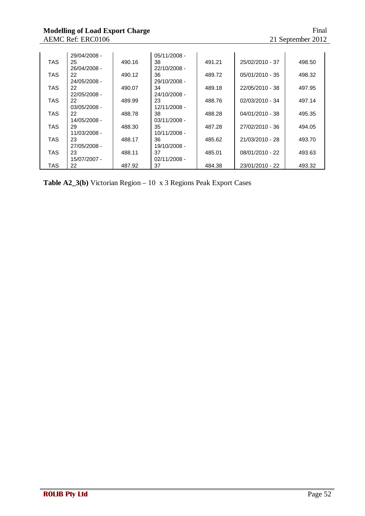|      | 29/04/2008 - |        | 05/11/2008 -   |        |                   |        |
|------|--------------|--------|----------------|--------|-------------------|--------|
| TAS. | 25           | 490.16 | 38             | 491.21 | 25/02/2010 - 37   | 498.50 |
|      | 26/04/2008 - |        | 22/10/2008 -   |        |                   |        |
| TAS. | 22           | 490.12 | 36             | 489.72 | 05/01/2010 - 35   | 498.32 |
|      | 24/05/2008 - |        | 29/10/2008 -   |        |                   |        |
| TAS. | 22           | 490.07 | 34             | 489.18 | 22/05/2010 - 38   | 497.95 |
|      | 22/05/2008 - |        | 24/10/2008 -   |        |                   |        |
| TAS. | 22           | 489.99 | 23             | 488.76 | 02/03/2010 - 34   | 497.14 |
|      | 03/05/2008 - |        | 12/11/2008 -   |        |                   |        |
| TAS. | 22           | 488.78 | 38             | 488.28 | $04/01/2010 - 38$ | 495.35 |
|      | 14/05/2008 - |        | $03/11/2008 -$ |        |                   |        |
| TAS. | 29           | 488.30 | 35             | 487.28 | 27/02/2010 - 36   | 494.05 |
|      | 11/03/2008 - |        | 10/11/2008 -   |        |                   |        |
| TAS. | 23           | 488.17 | 36             | 485.62 | 21/03/2010 - 28   | 493.70 |
|      | 27/05/2008 - |        | 19/10/2008 -   |        |                   |        |
| TAS. | 23           | 488.11 | 37             | 485.01 | 08/01/2010 - 22   | 493.63 |
|      | 15/07/2007 - |        | $02/11/2008 -$ |        |                   |        |
| TAS  | 22           | 487.92 | 37             | 484.38 | 23/01/2010 - 22   | 493.32 |

**Table A2\_3(b)** Victorian Region – 10 x 3 Regions Peak Export Cases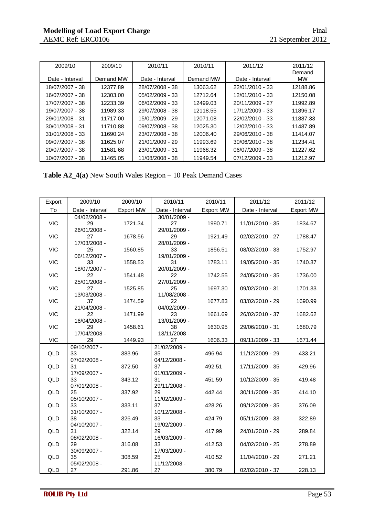| 2009/10<br>Date - Interval | 2009/10<br>Demand MW | 2010/11<br>Date - Interval | 2010/11<br>Demand MW | 2011/12<br>Date - Interval | 2011/12<br>Demand<br><b>MW</b> |
|----------------------------|----------------------|----------------------------|----------------------|----------------------------|--------------------------------|
| 18/07/2007 - 38            | 12377.89             | 28/07/2008 - 38            | 13063.62             | 22/01/2010 - 33            | 12188.86                       |
| 16/07/2007 - 38            | 12303.00             | $05/02/2009 - 33$          | 12712.64             | $12/01/2010 - 33$          | 12150.08                       |
| 17/07/2007 - 38            | 12233.39             | 06/02/2009 - 33            | 12499.03             | 20/11/2009 - 27            | 11992.89                       |
| 19/07/2007 - 38            | 11989.33             | 29/07/2008 - 38            | 12118.55             | 17/12/2009 - 33            | 11896.17                       |
| 29/01/2008 - 31            | 11717.00             | 15/01/2009 - 29            | 12071.08             | $22/02/2010 - 33$          | 11887.33                       |
| $30/01/2008 - 31$          | 11710.88             | 09/07/2008 - 38            | 12025.30             | 12/02/2010 - 33            | 11487.89                       |
| $31/01/2008 - 33$          | 11690.24             | 23/07/2008 - 38            | 12006.40             | 29/06/2010 - 38            | 11414.07                       |
| 09/07/2007 - 38            | 11625.07             | 21/01/2009 - 29            | 11993.69             | $30/06/2010 - 38$          | 11234.41                       |
| 20/07/2007 - 38            | 11581.68             | 23/01/2009 - 31            | 11968.32             | 06/07/2009 - 38            | 11227.62                       |
| 10/07/2007 - 38            | 11465.05             | 11/08/2008 - 38            | 11949.54             | $07/12/2009 - 33$          | 11212.97                       |

**Table A2\_4(a)** New South Wales Region – 10 Peak Demand Cases

| Export     | 2009/10            | 2009/10   | 2010/11            | 2010/11   | 2011/12         | 2011/12   |
|------------|--------------------|-----------|--------------------|-----------|-----------------|-----------|
| To         | Date - Interval    | Export MW | Date - Interval    | Export MW | Date - Interval | Export MW |
|            | 04/02/2008 -       |           | 30/01/2009 -       |           |                 |           |
| <b>VIC</b> | 29                 | 1721.34   | 27                 | 1990.71   | 11/01/2010 - 35 | 1834.67   |
|            | 26/01/2008 -       |           | 29/01/2009 -       |           |                 |           |
| <b>VIC</b> | 27                 | 1678.56   | 29                 | 1921.49   | 02/02/2010 - 27 | 1788.47   |
|            | 17/03/2008 -       |           | 28/01/2009 -       |           |                 |           |
| <b>VIC</b> | 25                 | 1560.85   | 33                 | 1856.51   | 08/02/2010 - 33 | 1752.97   |
|            | 06/12/2007 -       |           | 19/01/2009 -       |           |                 |           |
| <b>VIC</b> | 33<br>18/07/2007 - | 1558.53   | 31<br>20/01/2009 - | 1783.11   | 19/05/2010 - 35 | 1740.37   |
| <b>VIC</b> | 22                 | 1541.48   | 22                 | 1742.55   | 24/05/2010 - 35 | 1736.00   |
|            | 25/01/2008 -       |           | 27/01/2009 -       |           |                 |           |
| <b>VIC</b> | 27                 | 1525.85   | 25                 | 1697.30   | 09/02/2010 - 31 | 1701.33   |
|            | 13/03/2008 -       |           | 11/08/2008 -       |           |                 |           |
| <b>VIC</b> | 37                 | 1474.59   | 22                 | 1677.83   | 03/02/2010 - 29 | 1690.99   |
|            | 21/04/2008 -       |           | 04/02/2009 -       |           |                 |           |
| <b>VIC</b> | 22                 | 1471.99   | 23                 | 1661.69   | 26/02/2010 - 37 | 1682.62   |
|            | 16/04/2008 -       |           | 13/01/2009 -       |           |                 |           |
| <b>VIC</b> | 29                 | 1458.61   | 38                 | 1630.95   | 29/06/2010 - 31 | 1680.79   |
|            | 17/04/2008 -       |           | 13/11/2008 -       |           |                 |           |
| <b>VIC</b> | 29                 | 1449.93   | 27                 | 1606.33   | 09/11/2009 - 33 | 1671.44   |
|            | 09/10/2007 -       |           | 21/02/2009 -       |           |                 |           |
| QLD        | 33                 | 383.96    | 35                 | 496.94    | 11/12/2009 - 29 | 433.21    |
| QLD        | 07/02/2008 -<br>31 | 372.50    | 04/12/2008 -<br>37 | 492.51    | 17/11/2009 - 35 | 429.96    |
|            | 17/09/2007 -       |           | 01/03/2009 -       |           |                 |           |
| QLD        | 33                 | 343.12    | 31                 | 451.59    | 10/12/2009 - 35 | 419.48    |
|            | 07/01/2008 -       |           | 29/11/2008 -       |           |                 |           |
| QLD        | 25                 | 337.92    | 29                 | 442.44    | 30/11/2009 - 35 | 414.10    |
|            | 05/10/2007 -       |           | 11/02/2009 -       |           |                 |           |
| QLD        | 33                 | 333.11    | 37                 | 428.26    | 09/12/2009 - 35 | 376.09    |
|            | 31/10/2007 -       |           | 10/12/2008 -       |           |                 |           |
| QLD        | 38                 | 326.49    | 33                 | 424.79    | 05/11/2009 - 33 | 322.89    |
|            | 04/10/2007 -       |           | 19/02/2009 -       |           |                 |           |
| QLD        | 31                 | 322.14    | 29                 | 417.99    | 24/01/2010 - 29 | 289.84    |
|            | 08/02/2008 -       |           | 16/03/2009 -       |           |                 |           |
| QLD        | 29                 | 316.08    | 33                 | 412.53    | 04/02/2010 - 25 | 278.89    |
|            | 30/09/2007 -       |           | 17/03/2009 -       |           |                 |           |
| QLD        | 35<br>05/02/2008 - | 308.59    | 25<br>11/12/2008 - | 410.52    | 11/04/2010 - 29 | 271.21    |
| QLD        | 27                 | 291.86    | 27                 | 380.79    | 02/02/2010 - 37 | 228.13    |
|            |                    |           |                    |           |                 |           |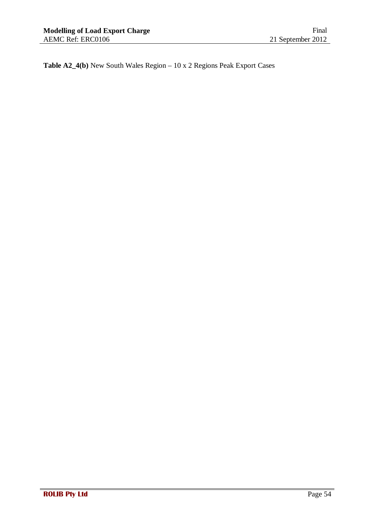**Table A2\_4(b)** New South Wales Region – 10 x 2 Regions Peak Export Cases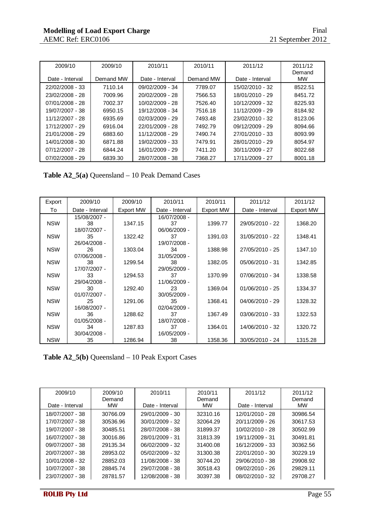| 2009/10           | 2009/10   | 2010/11         | 2010/11   | 2011/12           | 2011/12<br>Demand |
|-------------------|-----------|-----------------|-----------|-------------------|-------------------|
| Date - Interval   | Demand MW | Date - Interval | Demand MW | Date - Interval   | <b>MW</b>         |
| 22/02/2008 - 33   | 7110.14   | 09/02/2009 - 34 | 7789.07   | 15/02/2010 - 32   | 8522.51           |
| 23/02/2008 - 28   | 7009.96   | 20/02/2009 - 28 | 7566.53   | 18/01/2010 - 29   | 8451.72           |
| 07/01/2008 - 28   | 7002.37   | 10/02/2009 - 28 | 7526.40   | 10/12/2009 - 32   | 8225.93           |
| 19/07/2007 - 38   | 6950.15   | 19/12/2008 - 34 | 7516.18   | 11/12/2009 - 29   | 8184.92           |
| 11/12/2007 - 28   | 6935.69   | 02/03/2009 - 29 | 7493.48   | 23/02/2010 - 32   | 8123.06           |
| 17/12/2007 - 29   | 6916.04   | 22/01/2009 - 28 | 7492.79   | $09/12/2009 - 29$ | 8094.66           |
| $21/01/2008 - 29$ | 6883.60   | 11/12/2008 - 29 | 7490.74   | $27/01/2010 - 33$ | 8093.99           |
| 14/01/2008 - 30   | 6871.88   | 19/02/2009 - 33 | 7479.91   | 28/01/2010 - 29   | 8054.97           |
| 07/12/2007 - 28   | 6844.24   | 16/01/2009 - 29 | 7411.20   | $30/11/2009 - 27$ | 8022.68           |
| 07/02/2008 - 29   | 6839.30   | 28/07/2008 - 38 | 7368.27   | 17/11/2009 - 27   | 8001.18           |

**Table A2\_5(a)** Queensland – 10 Peak Demand Cases

| Export     | 2009/10         | 2009/10          | 2010/11         | 2010/11          | 2011/12         | 2011/12          |
|------------|-----------------|------------------|-----------------|------------------|-----------------|------------------|
| To         | Date - Interval | <b>Export MW</b> | Date - Interval | <b>Export MW</b> | Date - Interval | <b>Export MW</b> |
|            | 15/08/2007 -    |                  | 16/07/2008 -    |                  |                 |                  |
| <b>NSW</b> | 38              | 1347.15          | 37              | 1399.77          | 29/05/2010 - 22 | 1368.20          |
|            | 18/07/2007 -    |                  | 06/06/2009 -    |                  |                 |                  |
| <b>NSW</b> | 35              | 1322.42          | 37              | 1391.03          | 31/05/2010 - 22 | 1348.41          |
|            | 26/04/2008 -    |                  | 19/07/2008 -    |                  |                 |                  |
| <b>NSW</b> | 26              | 1303.04          | 34              | 1388.98          | 27/05/2010 - 25 | 1347.10          |
|            | 07/06/2008 -    |                  | 31/05/2009 -    |                  |                 |                  |
| <b>NSW</b> | 38              | 1299.54          | 38              | 1382.05          | 05/06/2010 - 31 | 1342.85          |
|            | 17/07/2007 -    |                  | 29/05/2009 -    |                  |                 |                  |
| <b>NSW</b> | 33              | 1294.53          | 37              | 1370.99          | 07/06/2010 - 34 | 1338.58          |
|            | 29/04/2008 -    |                  | 11/06/2009 -    |                  |                 |                  |
| <b>NSW</b> | 30              | 1292.40          | 23              | 1369.04          | 01/06/2010 - 25 | 1334.37          |
|            | $01/07/2007 -$  |                  | 30/05/2009 -    |                  |                 |                  |
| <b>NSW</b> | 25              | 1291.06          | 35              | 1368.41          | 04/06/2010 - 29 | 1328.32          |
|            | 16/08/2007 -    |                  | 02/04/2009 -    |                  |                 |                  |
| <b>NSW</b> | 36              | 1288.62          | 37              | 1367.49          | 03/06/2010 - 33 | 1322.53          |
|            | $01/05/2008 -$  |                  | 18/07/2008 -    |                  |                 |                  |
| <b>NSW</b> | 34              | 1287.83          | 37              | 1364.01          | 14/06/2010 - 32 | 1320.72          |
|            | 30/04/2008 -    |                  | 16/05/2009 -    |                  |                 |                  |
| <b>NSW</b> | 35              | 1286.94          | 38              | 1358.36          | 30/05/2010 - 24 | 1315.28          |

**Table A2\_5(b)** Queensland – 10 Peak Export Cases

| 2009/10<br>Date - Interval | 2009/10<br>Demand<br><b>MW</b> | 2010/11<br>Date - Interval | 2010/11<br>Demand<br><b>MW</b> | 2011/12<br>Date - Interval | 2011/12<br>Demand<br><b>MW</b> |
|----------------------------|--------------------------------|----------------------------|--------------------------------|----------------------------|--------------------------------|
| 18/07/2007 - 38            | 30766.09                       | 29/01/2009 - 30            | 32310.16                       | 12/01/2010 - 28            | 30986.54                       |
| 17/07/2007 - 38            | 30536.96                       | $30/01/2009 - 32$          | 32064.29                       | $20/11/2009 - 26$          | 30617.53                       |
| 19/07/2007 - 38            | 30485.51                       | 28/07/2008 - 38            | 31899.37                       | 10/02/2010 - 28            | 30502.99                       |
| 16/07/2007 - 38            | 30016.86                       | 28/01/2009 - 31            | 31813.39                       | 19/11/2009 - 31            | 30491.81                       |
| 09/07/2007 - 38            | 29135.34                       | 06/02/2009 - 32            | 31400.08                       | 16/12/2009 - 33            | 30362.56                       |
| 20/07/2007 - 38            | 28953.02                       | 05/02/2009 - 32            | 31300.38                       | $22/01/2010 - 30$          | 30229.19                       |
| $10/01/2008 - 32$          | 28852.03                       | 11/08/2008 - 38            | 30744.20                       | 29/06/2010 - 38            | 29908.92                       |
| 10/07/2007 - 38            | 28845.74                       | 29/07/2008 - 38            | 30518.43                       | 09/02/2010 - 26            | 29829.11                       |
| 23/07/2007 - 38            | 28781.57                       | 12/08/2008 - 38            | 30397.38                       | 08/02/2010 - 32            | 29708.27                       |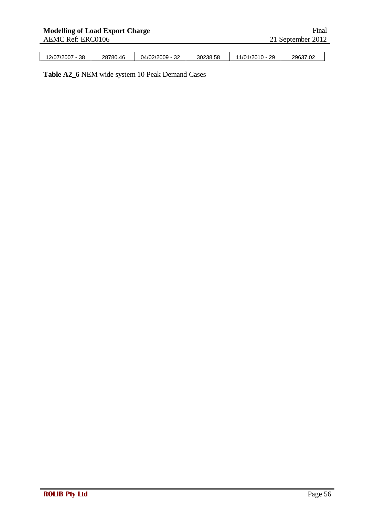| <b>Modelling of Load Export Charge</b><br><b>AEMC Ref: ERC0106</b><br>21 September 2012 |          |                 |          |                 |          |
|-----------------------------------------------------------------------------------------|----------|-----------------|----------|-----------------|----------|
| 12/07/2007 - 38                                                                         | 28780.46 | 04/02/2009 - 32 | 30238.58 | 11/01/2010 - 29 | 29637.02 |

**Table A2\_6** NEM wide system 10 Peak Demand Cases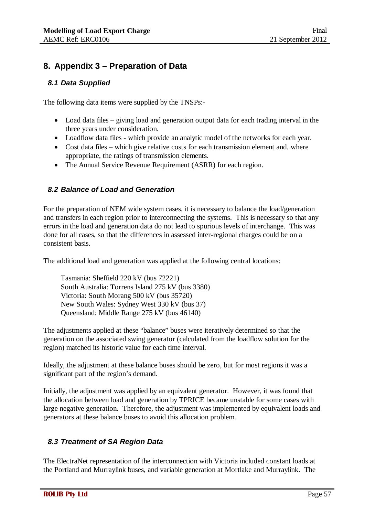## <span id="page-56-0"></span>**8. Appendix 3 – Preparation of Data**

### <span id="page-56-1"></span>*8.1 Data Supplied*

The following data items were supplied by the TNSPs:-

- Load data files giving load and generation output data for each trading interval in the three years under consideration.
- Loadflow data files which provide an analytic model of the networks for each year.
- Cost data files which give relative costs for each transmission element and, where appropriate, the ratings of transmission elements.
- The Annual Service Revenue Requirement (ASRR) for each region.

## <span id="page-56-2"></span>*8.2 Balance of Load and Generation*

For the preparation of NEM wide system cases, it is necessary to balance the load/generation and transfers in each region prior to interconnecting the systems. This is necessary so that any errors in the load and generation data do not lead to spurious levels of interchange. This was done for all cases, so that the differences in assessed inter-regional charges could be on a consistent basis.

The additional load and generation was applied at the following central locations:

Tasmania: Sheffield 220 kV (bus 72221) South Australia: Torrens Island 275 kV (bus 3380) Victoria: South Morang 500 kV (bus 35720) New South Wales: Sydney West 330 kV (bus 37) Queensland: Middle Range 275 kV (bus 46140)

The adjustments applied at these "balance" buses were iteratively determined so that the generation on the associated swing generator (calculated from the loadflow solution for the region) matched its historic value for each time interval.

Ideally, the adjustment at these balance buses should be zero, but for most regions it was a significant part of the region's demand.

Initially, the adjustment was applied by an equivalent generator. However, it was found that the allocation between load and generation by TPRICE became unstable for some cases with large negative generation. Therefore, the adjustment was implemented by equivalent loads and generators at these balance buses to avoid this allocation problem.

#### <span id="page-56-3"></span>*8.3 Treatment of SA Region Data*

The ElectraNet representation of the interconnection with Victoria included constant loads at the Portland and Murraylink buses, and variable generation at Mortlake and Murraylink. The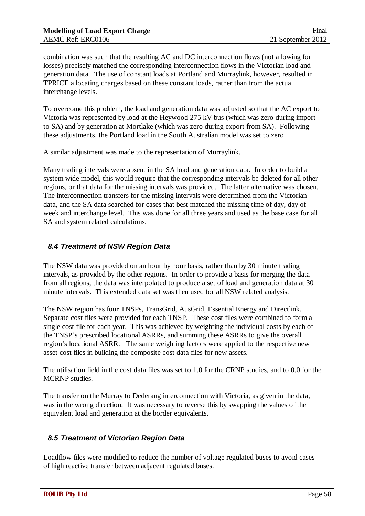combination was such that the resulting AC and DC interconnection flows (not allowing for losses) precisely matched the corresponding interconnection flows in the Victorian load and generation data. The use of constant loads at Portland and Murraylink, however, resulted in TPRICE allocating charges based on these constant loads, rather than from the actual interchange levels.

To overcome this problem, the load and generation data was adjusted so that the AC export to Victoria was represented by load at the Heywood 275 kV bus (which was zero during import to SA) and by generation at Mortlake (which was zero during export from SA). Following these adjustments, the Portland load in the South Australian model was set to zero.

A similar adjustment was made to the representation of Murraylink.

Many trading intervals were absent in the SA load and generation data. In order to build a system wide model, this would require that the corresponding intervals be deleted for all other regions, or that data for the missing intervals was provided. The latter alternative was chosen. The interconnection transfers for the missing intervals were determined from the Victorian data, and the SA data searched for cases that best matched the missing time of day, day of week and interchange level. This was done for all three years and used as the base case for all SA and system related calculations.

## <span id="page-57-0"></span>*8.4 Treatment of NSW Region Data*

The NSW data was provided on an hour by hour basis, rather than by 30 minute trading intervals, as provided by the other regions. In order to provide a basis for merging the data from all regions, the data was interpolated to produce a set of load and generation data at 30 minute intervals. This extended data set was then used for all NSW related analysis.

The NSW region has four TNSPs, TransGrid, AusGrid, Essential Energy and Directlink. Separate cost files were provided for each TNSP. These cost files were combined to form a single cost file for each year. This was achieved by weighting the individual costs by each of the TNSP's prescribed locational ASRRs, and summing these ASRRs to give the overall region's locational ASRR. The same weighting factors were applied to the respective new asset cost files in building the composite cost data files for new assets.

The utilisation field in the cost data files was set to 1.0 for the CRNP studies, and to 0.0 for the MCRNP studies.

The transfer on the Murray to Dederang interconnection with Victoria, as given in the data, was in the wrong direction. It was necessary to reverse this by swapping the values of the equivalent load and generation at the border equivalents.

#### <span id="page-57-1"></span>*8.5 Treatment of Victorian Region Data*

Loadflow files were modified to reduce the number of voltage regulated buses to avoid cases of high reactive transfer between adjacent regulated buses.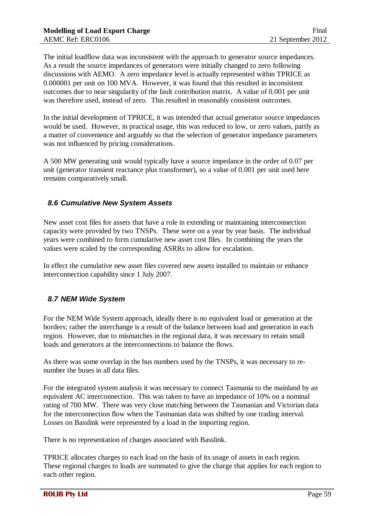The initial loadflow data was inconsistent with the approach to generator source impedances. As a result the source impedances of generators were initially changed to zero following discussions with AEMO. A zero impedance level is actually represented within TPRICE as 0.000001 per unit on 100 MVA. However, it was found that this resulted in inconsistent outcomes due to near singularity of the fault contribution matrix. A value of 0.001 per unit was therefore used, instead of zero. This resulted in reasonably consistent outcomes.

In the initial development of TPRICE, it was intended that actual generator source impedances would be used. However, in practical usage, this was reduced to low, or zero values, partly as a matter of convenience and arguably so that the selection of generator impedance parameters was not influenced by pricing considerations.

A 500 MW generating unit would typically have a source impedance in the order of 0.07 per unit (generator transient reactance plus transformer), so a value of 0.001 per unit used here remains comparatively small.

#### <span id="page-58-0"></span>*8.6 Cumulative New System Assets*

New asset cost files for assets that have a role in extending or maintaining interconnection capacity were provided by two TNSPs. These were on a year by year basis. The individual years were combined to form cumulative new asset cost files. In combining the years the values were scaled by the corresponding ASRRs to allow for escalation.

In effect the cumulative new asset files covered new assets installed to maintain or enhance interconnection capability since 1 July 2007.

## <span id="page-58-1"></span>*8.7 NEM Wide System*

For the NEM Wide System approach, ideally there is no equivalent load or generation at the borders; rather the interchange is a result of the balance between load and generation in each region. However, due to mismatches in the regional data, it was necessary to retain small loads and generators at the interconnections to balance the flows.

As there was some overlap in the bus numbers used by the TNSPs, it was necessary to renumber the buses in all data files.

For the integrated system analysis it was necessary to connect Tasmania to the mainland by an equivalent AC interconnection. This was taken to have an impedance of 10% on a nominal rating of 700 MW. There was very close matching between the Tasmanian and Victorian data for the interconnection flow when the Tasmanian data was shifted by one trading interval. Losses on Basslink were represented by a load in the importing region.

There is no representation of charges associated with Basslink.

TPRICE allocates charges to each load on the basis of its usage of assets in each region. These regional charges to loads are summated to give the charge that applies for each region to each other region.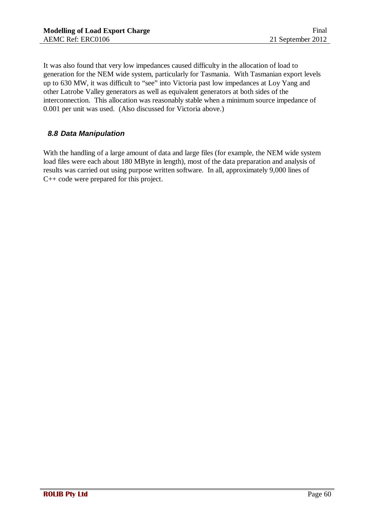It was also found that very low impedances caused difficulty in the allocation of load to generation for the NEM wide system, particularly for Tasmania. With Tasmanian export levels up to 630 MW, it was difficult to "see" into Victoria past low impedances at Loy Yang and other Latrobe Valley generators as well as equivalent generators at both sides of the interconnection. This allocation was reasonably stable when a minimum source impedance of 0.001 per unit was used. (Also discussed for Victoria above.)

#### <span id="page-59-0"></span>*8.8 Data Manipulation*

With the handling of a large amount of data and large files (for example, the NEM wide system load files were each about 180 MByte in length), most of the data preparation and analysis of results was carried out using purpose written software. In all, approximately 9,000 lines of C++ code were prepared for this project.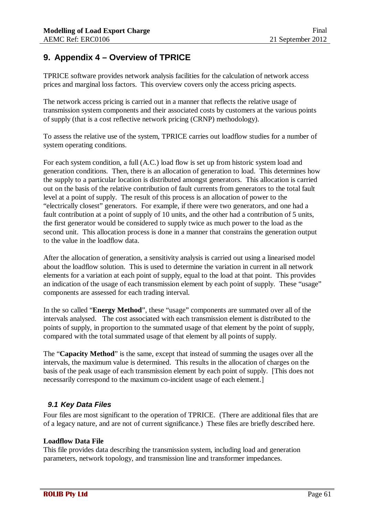## <span id="page-60-0"></span>**9. Appendix 4 – Overview of TPRICE**

TPRICE software provides network analysis facilities for the calculation of network access prices and marginal loss factors. This overview covers only the access pricing aspects.

The network access pricing is carried out in a manner that reflects the relative usage of transmission system components and their associated costs by customers at the various points of supply (that is a cost reflective network pricing (CRNP) methodology).

To assess the relative use of the system, TPRICE carries out loadflow studies for a number of system operating conditions.

For each system condition, a full (A.C.) load flow is set up from historic system load and generation conditions. Then, there is an allocation of generation to load. This determines how the supply to a particular location is distributed amongst generators. This allocation is carried out on the basis of the relative contribution of fault currents from generators to the total fault level at a point of supply. The result of this process is an allocation of power to the "electrically closest" generators. For example, if there were two generators, and one had a fault contribution at a point of supply of 10 units, and the other had a contribution of 5 units, the first generator would be considered to supply twice as much power to the load as the second unit. This allocation process is done in a manner that constrains the generation output to the value in the loadflow data.

After the allocation of generation, a sensitivity analysis is carried out using a linearised model about the loadflow solution. This is used to determine the variation in current in all network elements for a variation at each point of supply, equal to the load at that point. This provides an indication of the usage of each transmission element by each point of supply. These "usage" components are assessed for each trading interval.

In the so called "**Energy Method**", these "usage" components are summated over all of the intervals analysed. The cost associated with each transmission element is distributed to the points of supply, in proportion to the summated usage of that element by the point of supply, compared with the total summated usage of that element by all points of supply.

The "**Capacity Method**" is the same, except that instead of summing the usages over all the intervals, the maximum value is determined. This results in the allocation of charges on the basis of the peak usage of each transmission element by each point of supply. [This does not necessarily correspond to the maximum co-incident usage of each element.]

#### <span id="page-60-1"></span>*9.1 Key Data Files*

Four files are most significant to the operation of TPRICE. (There are additional files that are of a legacy nature, and are not of current significance.) These files are briefly described here.

#### **Loadflow Data File**

This file provides data describing the transmission system, including load and generation parameters, network topology, and transmission line and transformer impedances.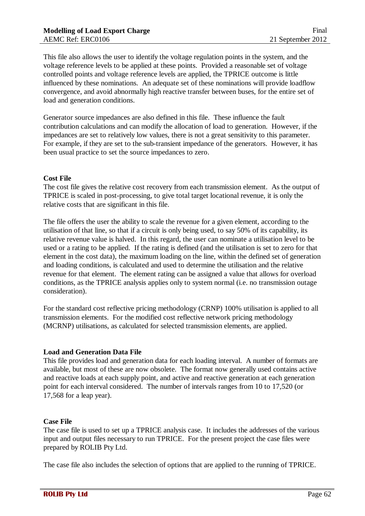This file also allows the user to identify the voltage regulation points in the system, and the voltage reference levels to be applied at these points. Provided a reasonable set of voltage controlled points and voltage reference levels are applied, the TPRICE outcome is little influenced by these nominations. An adequate set of these nominations will provide loadflow convergence, and avoid abnormally high reactive transfer between buses, for the entire set of load and generation conditions.

Generator source impedances are also defined in this file. These influence the fault contribution calculations and can modify the allocation of load to generation. However, if the impedances are set to relatively low values, there is not a great sensitivity to this parameter. For example, if they are set to the sub-transient impedance of the generators. However, it has been usual practice to set the source impedances to zero.

#### **Cost File**

The cost file gives the relative cost recovery from each transmission element. As the output of TPRICE is scaled in post-processing, to give total target locational revenue, it is only the relative costs that are significant in this file.

The file offers the user the ability to scale the revenue for a given element, according to the utilisation of that line, so that if a circuit is only being used, to say 50% of its capability, its relative revenue value is halved. In this regard, the user can nominate a utilisation level to be used or a rating to be applied. If the rating is defined (and the utilisation is set to zero for that element in the cost data), the maximum loading on the line, within the defined set of generation and loading conditions, is calculated and used to determine the utilisation and the relative revenue for that element. The element rating can be assigned a value that allows for overload conditions, as the TPRICE analysis applies only to system normal (i.e. no transmission outage consideration).

For the standard cost reflective pricing methodology (CRNP) 100% utilisation is applied to all transmission elements. For the modified cost reflective network pricing methodology (MCRNP) utilisations, as calculated for selected transmission elements, are applied.

#### **Load and Generation Data File**

This file provides load and generation data for each loading interval. A number of formats are available, but most of these are now obsolete. The format now generally used contains active and reactive loads at each supply point, and active and reactive generation at each generation point for each interval considered. The number of intervals ranges from 10 to 17,520 (or 17,568 for a leap year).

#### **Case File**

The case file is used to set up a TPRICE analysis case. It includes the addresses of the various input and output files necessary to run TPRICE. For the present project the case files were prepared by ROLIB Pty Ltd.

The case file also includes the selection of options that are applied to the running of TPRICE.